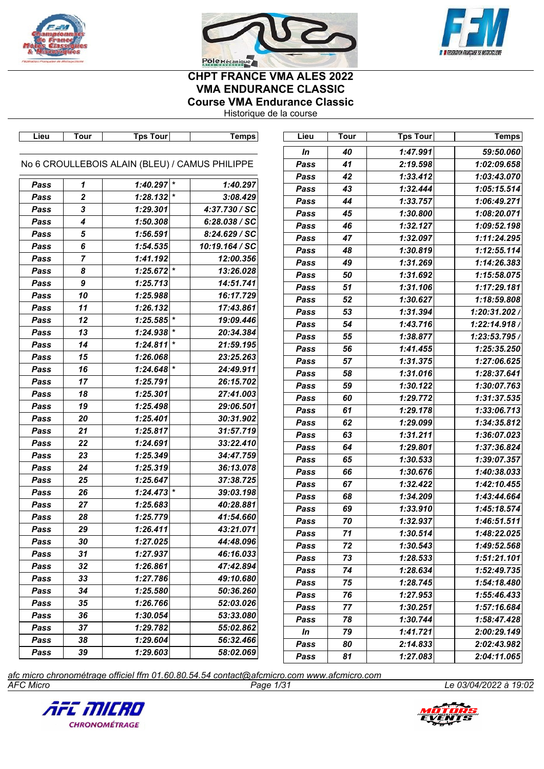





# **CHPT FRANCE VMA ALES 2022 VMA ENDURANCE CLASSIC Course VMA Endurance Classic**

Historique de la course

| Lieu | Tour             | <b>Tps Tour</b>                                | Temps          | Lieu        | Tour | <b>Tps Tour</b> | <b>Temps</b>  |
|------|------------------|------------------------------------------------|----------------|-------------|------|-----------------|---------------|
|      |                  |                                                |                | In          | 40   | 1:47.991        | 59:50.060     |
|      |                  | No 6 CROULLEBOIS ALAIN (BLEU) / CAMUS PHILIPPE |                | Pass        | 41   | 2:19.598        | 1:02:09.658   |
|      |                  |                                                |                | Pass        | 42   | 1:33.412        | 1:03:43.070   |
| Pass | 1                | $1:40.297$ *                                   | 1:40.297       | Pass        | 43   | 1:32.444        | 1:05:15.514   |
| Pass | $\boldsymbol{2}$ | $1:28.132$ *                                   | 3:08.429       | Pass        | 44   | 1:33.757        | 1:06:49.271   |
| Pass | $\mathbf{3}$     | 1:29.301                                       | 4:37.730 / SC  | Pass        | 45   | 1:30.800        | 1:08:20.071   |
| Pass | 4                | 1:50.308                                       | 6:28.038 / SC  | Pass        | 46   | 1:32.127        | 1:09:52.198   |
| Pass | ${\bf 5}$        | 1:56.591                                       | 8:24.629 / SC  | Pass        | 47   | 1:32.097        | 1:11:24.295   |
| Pass | 6                | 1:54.535                                       | 10:19.164 / SC | Pass        | 48   | 1:30.819        | 1:12:55.114   |
| Pass | $\overline{7}$   | 1:41.192                                       | 12:00.356      | Pass        | 49   | 1:31.269        | 1:14:26.383   |
| Pass | 8                | $1:25.672$ *                                   | 13:26.028      | Pass        | 50   | 1:31.692        | 1:15:58.075   |
| Pass | 9                | 1:25.713                                       | 14:51.741      | Pass        | 51   | 1:31.106        | 1:17:29.181   |
| Pass | 10               | 1:25.988                                       | 16:17.729      | Pass        | 52   | 1:30.627        | 1:18:59.808   |
| Pass | 11               | 1:26.132                                       | 17:43.861      | Pass        | 53   | 1:31.394        | 1:20:31.202 / |
| Pass | 12               | $1:25.585$ *                                   | 19:09.446      | Pass        | 54   | 1:43.716        | 1:22:14.918/  |
| Pass | 13               | $1:24.938$ *                                   | 20:34.384      | Pass        | 55   | 1:38.877        | 1:23:53.795 / |
| Pass | 14               | $1:24.811$ *                                   | 21:59.195      | Pass        | 56   | 1:41.455        | 1:25:35.250   |
| Pass | 15               | 1:26.068                                       | 23:25.263      | Pass        | 57   | 1:31.375        | 1:27:06.625   |
| Pass | 16               | $1:24.648$ *                                   | 24:49.911      | Pass        | 58   | 1:31.016        | 1:28:37.641   |
| Pass | 17               | 1:25.791                                       | 26:15.702      | Pass        | 59   | 1:30.122        | 1:30:07.763   |
| Pass | 18               | 1:25.301                                       | 27:41.003      | Pass        | 60   | 1:29.772        | 1:31:37.535   |
| Pass | 19               | 1:25.498                                       | 29:06.501      | Pass        | 61   | 1:29.178        | 1:33:06.713   |
| Pass | 20               | 1:25.401                                       | 30:31.902      | Pass        | 62   | 1:29.099        | 1:34:35.812   |
| Pass | 21               | 1:25.817                                       | 31:57.719      | Pass        | 63   | 1:31.211        | 1:36:07.023   |
| Pass | 22               | 1:24.691                                       | 33:22.410      | Pass        | 64   | 1:29.801        | 1:37:36.824   |
| Pass | 23               | 1:25.349                                       | 34:47.759      | Pass        | 65   | 1:30.533        | 1:39:07.357   |
| Pass | 24               | 1:25.319                                       | 36:13.078      | Pass        | 66   | 1:30.676        | 1:40:38.033   |
| Pass | 25               | 1:25.647                                       | 37:38.725      | Pass        | 67   | 1:32.422        | 1:42:10.455   |
| Pass | 26               | $1:24.473$ *                                   | 39:03.198      | Pass        | 68   | 1:34.209        | 1:43:44.664   |
| Pass | 27               | 1:25.683                                       | 40:28.881      | Pass        | 69   | 1:33.910        | 1:45:18.574   |
| Pass | 28               | 1:25.779                                       | 41:54.660      | Pass        | 70   | 1:32.937        | 1:46:51.511   |
| Pass | 29               | 1:26.411                                       | 43:21.071      | Pass        | 71   | 1:30.514        | 1:48:22.025   |
| Pass | 30               | 1:27.025                                       | 44:48.096      | Pass        | 72   | 1:30.543        | 1:49:52.568   |
| Pass | 31               | 1:27.937                                       | 46:16.033      | Pass        | 73   | 1:28.533        | 1:51:21.101   |
| Pass | 32               | 1:26.861                                       | 47:42.894      | Pass        | 74   | 1:28.634        | 1:52:49.735   |
| Pass | 33               | 1:27.786                                       | 49:10.680      | Pass        | 75   | 1:28.745        | 1:54:18.480   |
| Pass | 34               | 1:25.580                                       | 50:36.260      | Pass        | 76   | 1:27.953        | 1:55:46.433   |
| Pass | 35               | 1:26.766                                       | 52:03.026      | Pass        | 77   | 1:30.251        | 1:57:16.684   |
| Pass | 36               | 1:30.054                                       | 53:33.080      | Pass        | 78   | 1:30.744        | 1:58:47.428   |
| Pass | 37               | 1:29.782                                       | 55:02.862      | In          | 79   | 1:41.721        | 2:00:29.149   |
| Pass | 38               | 1:29.604                                       | 56:32.466      | Pass        | 80   | 2:14.833        | 2:02:43.982   |
| Pass | 39               | 1:29.603                                       | 58:02.069      | <b>Pass</b> | 81   | 1:27.083        | 2:04:11.065   |
|      |                  |                                                |                |             |      |                 |               |

*AFC Micro Page 1/31 Le 03/04/2022 à 19:02 afc micro chronométrage officiel ffm 01.60.80.54.54 contact@afcmicro.com www.afcmicro.com*



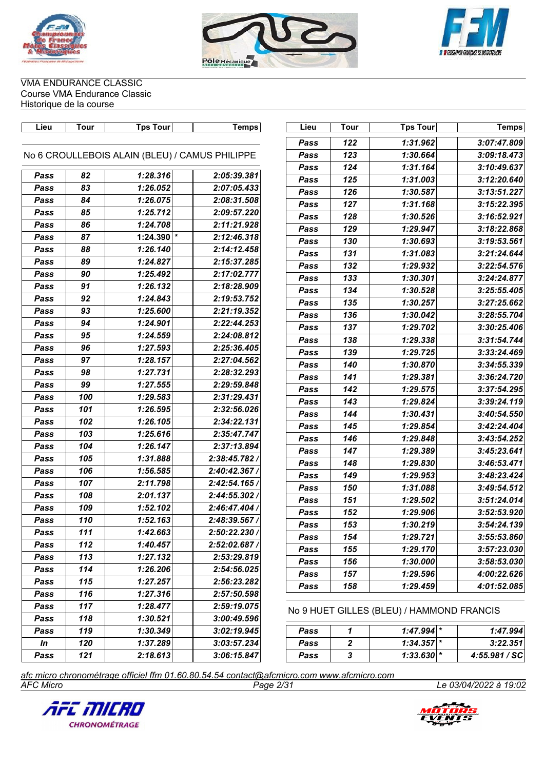





VMA ENDURANCE CLASSIC Course VMA Endurance Classic Historique de la course

| Lieu                                           | <b>Tour</b> | <b>Tps Tour</b> | <b>Temps</b>  |  |  |  |  |
|------------------------------------------------|-------------|-----------------|---------------|--|--|--|--|
|                                                |             |                 |               |  |  |  |  |
| No 6 CROULLEBOIS ALAIN (BLEU) / CAMUS PHILIPPE |             |                 |               |  |  |  |  |
| Pass                                           | 82          | 1:28.316        | 2:05:39.381   |  |  |  |  |
| Pass                                           | 83          | 1:26.052        | 2:07:05.433   |  |  |  |  |
| Pass                                           | 84          | 1:26.075        | 2:08:31.508   |  |  |  |  |
| Pass                                           | 85          | 1:25.712        | 2:09:57.220   |  |  |  |  |
| Pass                                           | 86          | 1:24.708        | 2:11:21.928   |  |  |  |  |
| Pass                                           | 87          | $1:24.390$ *    | 2:12:46.318   |  |  |  |  |
| Pass                                           | 88          | 1:26.140        | 2:14:12.458   |  |  |  |  |
| Pass                                           | 89          | 1:24.827        | 2:15:37.285   |  |  |  |  |
| Pass                                           | 90          | 1:25.492        | 2:17:02.777   |  |  |  |  |
| Pass                                           | 91          | 1:26.132        | 2:18:28.909   |  |  |  |  |
| Pass                                           | 92          | 1:24.843        | 2:19:53.752   |  |  |  |  |
| Pass                                           | 93          | 1:25.600        | 2:21:19.352   |  |  |  |  |
| Pass                                           | 94          | 1:24.901        | 2:22:44.253   |  |  |  |  |
| Pass                                           | 95          | 1:24.559        | 2:24:08.812   |  |  |  |  |
| Pass                                           | 96          | 1:27.593        | 2:25:36.405   |  |  |  |  |
| Pass                                           | 97          | 1:28.157        | 2:27:04.562   |  |  |  |  |
| Pass                                           | 98          | 1:27.731        | 2:28:32.293   |  |  |  |  |
| Pass                                           | 99          | 1:27.555        | 2:29:59.848   |  |  |  |  |
| Pass                                           | 100         | 1:29.583        | 2:31:29.431   |  |  |  |  |
| Pass                                           | 101         | 1:26.595        | 2:32:56.026   |  |  |  |  |
| Pass                                           | 102         | 1:26.105        | 2:34:22.131   |  |  |  |  |
| Pass                                           | 103         | 1:25.616        | 2:35:47.747   |  |  |  |  |
| Pass                                           | 104         | 1:26.147        | 2:37:13.894   |  |  |  |  |
| Pass                                           | 105         | 1:31.888        | 2:38:45.782   |  |  |  |  |
| Pass                                           | 106         | 1:56.585        | 2:40:42.367   |  |  |  |  |
| Pass                                           | 107         | 2:11.798        | 2:42:54.165   |  |  |  |  |
| Pass                                           | 108         | 2:01.137        | 2:44:55.302   |  |  |  |  |
| Pass                                           | 109         | 1:52.102        | 2:46:47.404   |  |  |  |  |
| Pass                                           | 110         | 1:52.163        | 2:48:39.567   |  |  |  |  |
| Pass                                           | 111         | 1:42.663        | 2:50:22.230 / |  |  |  |  |
| Pass                                           | 112         | 1:40.457        | 2:52:02.687   |  |  |  |  |
| Pass                                           | 113         | 1:27.132        | 2:53:29.819   |  |  |  |  |
| Pass                                           | 114         | 1:26.206        | 2:54:56.025   |  |  |  |  |
| Pass                                           | 115         | 1:27.257        | 2:56:23.282   |  |  |  |  |
| Pass                                           | 116         | 1:27.316        | 2:57:50.598   |  |  |  |  |
| Pass                                           | 117         | 1:28.477        | 2:59:19.075   |  |  |  |  |
| Pass                                           | 118         | 1:30.521        | 3:00:49.596   |  |  |  |  |
| Pass                                           | 119         | 1:30.349        | 3:02:19.945   |  |  |  |  |
| In                                             | 120         | 1:37.289        | 3:03:57.234   |  |  |  |  |
| Pass                                           | 121         | 2:18.613        | 3:06:15.847   |  |  |  |  |
|                                                |             |                 |               |  |  |  |  |

| Lieu | Tour | <b>Tps Tour</b> | <b>Temps</b> |
|------|------|-----------------|--------------|
| Pass | 122  | 1:31.962        | 3:07:47.809  |
| Pass | 123  | 1:30.664        | 3:09:18.473  |
| Pass | 124  | 1:31.164        | 3:10:49.637  |
| Pass | 125  | 1:31.003        | 3:12:20.640  |
| Pass | 126  | 1:30.587        | 3:13:51.227  |
| Pass | 127  | 1:31.168        | 3:15:22.395  |
| Pass | 128  | 1:30.526        | 3:16:52.921  |
| Pass | 129  | 1:29.947        | 3:18:22.868  |
| Pass | 130  | 1:30.693        | 3:19:53.561  |
| Pass | 131  | 1:31.083        | 3:21:24.644  |
| Pass | 132  | 1:29.932        | 3:22:54.576  |
| Pass | 133  | 1:30.301        | 3:24:24.877  |
| Pass | 134  | 1:30.528        | 3:25:55.405  |
| Pass | 135  | 1:30.257        | 3:27:25.662  |
| Pass | 136  | 1:30.042        | 3:28:55.704  |
| Pass | 137  | 1:29.702        | 3:30:25.406  |
| Pass | 138  | 1:29.338        | 3:31:54.744  |
| Pass | 139  | 1:29.725        | 3:33:24.469  |
| Pass | 140  | 1:30.870        | 3:34:55.339  |
| Pass | 141  | 1:29.381        | 3:36:24.720  |
| Pass | 142  | 1:29.575        | 3:37:54.295  |
| Pass | 143  | 1:29.824        | 3:39:24.119  |
| Pass | 144  | 1:30.431        | 3:40:54.550  |
| Pass | 145  | 1:29.854        | 3:42:24.404  |
| Pass | 146  | 1:29.848        | 3:43:54.252  |
| Pass | 147  | 1:29.389        | 3:45:23.641  |
| Pass | 148  | 1:29.830        | 3:46:53.471  |
| Pass | 149  | 1:29.953        | 3:48:23.424  |
| Pass | 150  | 1:31.088        | 3:49:54.512  |
| Pass | 151  | 1:29.502        | 3:51:24.014  |
| Pass | 152  | 1:29.906        | 3:52:53.920  |
| Pass | 153  | 1:30.219        | 3:54:24.139  |
| Pass | 154  | 1:29.721        | 3:55:53.860  |
| Pass | 155  | 1:29.170        | 3:57:23.030  |
| Pass | 156  | 1:30.000        | 3:58:53.030  |
| Pass | 157  | 1:29.596        | 4:00:22.626  |
| Pass | 158  | 1:29.459        | 4:01:52.085  |

## No 9 HUET GILLES (BLEU) / HAMMOND FRANCIS

| Pass | $1:47.994$ <sup>*</sup> | 1:47.994      |
|------|-------------------------|---------------|
| Pass | $1:34.357$ *            | 3:22.351      |
| Pass | $1:33.630$ <sup>*</sup> | 4:55.981 / SC |

*AFC Micro Page 2/31 Le 03/04/2022 à 19:02 afc micro chronométrage officiel ffm 01.60.80.54.54 contact@afcmicro.com www.afcmicro.com*



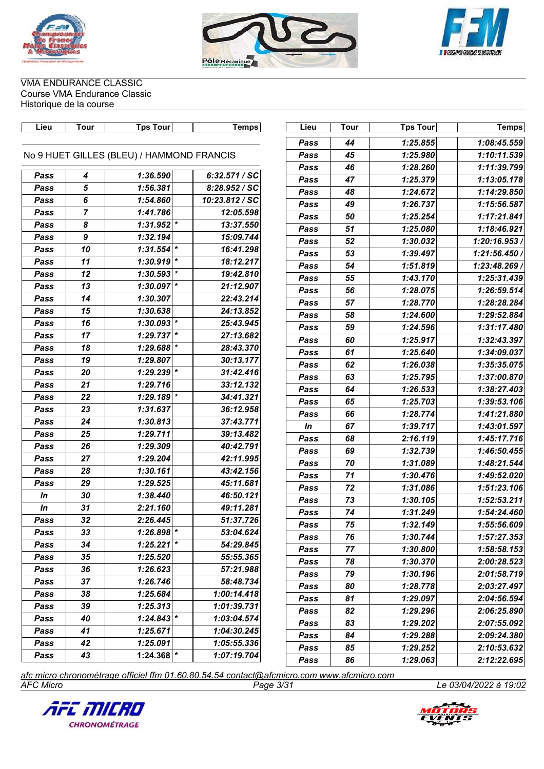

 $\mathbf{r}$ 





VMA ENDURANCE CLASSIC Course VMA Endurance Classic Historique de la course

| Lieu  | Tour           | <b>Tps Tour</b>                           | Temps          | Lieu          | <b>Tour</b> | <b>Tps Tour</b> | <b>Temps</b> |
|-------|----------------|-------------------------------------------|----------------|---------------|-------------|-----------------|--------------|
|       |                |                                           |                | Pass          | 44          | 1:25.855        | 1:08:45.559  |
|       |                | No 9 HUET GILLES (BLEU) / HAMMOND FRANCIS |                | Pass          | 45          | 1:25.980        | 1:10:11.539  |
|       |                |                                           |                | Pass          | 46          | 1:28.260        | 1:11:39.799  |
| Pass  | 4              | 1:36.590                                  | 6:32.571 / SC  | Pass          | 47          | 1:25.379        | 1:13:05.178  |
| Pass  | 5              | 1:56.381                                  | 8:28.952 / SC  | Pass          | 48          | 1:24.672        | 1:14:29.850  |
| Pass  | 6              | 1:54.860                                  | 10:23.812 / SC | Pass          | 49          | 1:26.737        | 1:15:56.587  |
| Pass  | $\overline{7}$ | 1:41.786                                  | 12:05.598      | Pass          | 50          | 1:25.254        | 1:17:21.841  |
| Pass  | 8              | $1:31.952$ *                              | 13:37.550      | Pass          | 51          | 1:25.080        | 1:18:46.921  |
| Pass  | 9              | 1:32.194                                  | 15:09.744      | Pass          | 52          | 1:30.032        | 1:20:16.953  |
| Pass  | 10             | $1:31.554$ *                              | 16:41.298      | Pass          | 53          | 1:39.497        | 1:21:56.450  |
| Pass  | 11             | $1:30.919$ <sup>*</sup>                   | 18:12.217      | Pass          | 54          | 1:51.819        | 1:23:48.269  |
| Pass  | 12             | $1:30.593$ <sup>*</sup>                   | 19:42.810      | Pass          | 55          | 1:43.170        | 1:25:31.439  |
| Pass  | 13             | $1:30.097$ *                              | 21:12.907      | Pass          | 56          | 1:28.075        | 1:26:59.514  |
| Pass  | 14             | 1:30.307                                  | 22:43.214      | Pass          | 57          | 1:28.770        | 1:28:28.284  |
| Pass  | 15             | 1:30.638                                  | 24:13.852      | Pass          | 58          | 1:24.600        | 1:29:52.884  |
| Pass  | 16             | $1:30.093$ <sup>*</sup>                   | 25:43.945      | Pass          | 59          | 1:24.596        | 1:31:17.480  |
| Pass  | 17             | $1:29.737$ *                              | 27:13.682      | Pass          | 60          | 1:25.917        | 1:32:43.397  |
| Pass  | 18             | $1:29.688$ <sup>*</sup>                   | 28:43.370      | Pass          | 61          | 1:25.640        | 1:34:09.037  |
| Pass  | 19             | 1:29.807                                  | 30:13.177      | Pass          | 62          | 1:26.038        | 1:35:35.075  |
| Pass  | 20             | $1:29.239$ *                              | 31:42.416      | Pass          | 63          | 1:25.795        | 1:37:00.870  |
| Pass  | 21             | 1:29.716                                  | 33:12.132      | Pass          | 64          | 1:26.533        | 1:38:27.403  |
| Pass  | 22             | $1:29.189$ <sup>*</sup>                   | 34:41.321      | Pass          | 65          | 1:25.703        | 1:39:53.106  |
| Pass  | 23             | 1:31.637                                  | 36:12.958      | Pass          | 66          | 1:28.774        | 1:41:21.880  |
| Pass  | 24             | 1:30.813                                  | 37:43.771      | $\mathbf{ln}$ | 67          | 1:39.717        | 1:43:01.597  |
| Pass  | 25             | 1:29.711                                  | 39:13.482      | Pass          | 68          | 2:16.119        | 1:45:17.716  |
| Pass  | 26             | 1:29.309                                  | 40:42.791      | Pass          | 69          | 1:32.739        | 1:46:50.455  |
| Pass  | 27             | 1:29.204                                  | 42:11.995      | Pass          | 70          | 1:31.089        | 1:48:21.544  |
| Pass  | 28             | 1:30.161                                  | 43:42.156      | Pass          | 71          | 1:30.476        | 1:49:52.020  |
| Pass  | 29             | 1:29.525                                  | 45:11.681      | Pass          | 72          | 1:31.086        | 1:51:23.106  |
| In    | 30             | 1:38.440                                  | 46:50.121      | Pass          | 73          | 1:30.105        | 1:52:53.211  |
| $\ln$ | 31             | 2:21.160                                  | 49:11.281      | Pass          | 74          | 1:31.249        | 1:54:24.460  |
| Pass  | 32             | 2:26.445                                  | 51:37.726      | Pass          | 75          | 1:32.149        | 1:55:56.609  |
| Pass  | 33             | $1:26.898$ <sup>*</sup>                   | 53:04.624      | Pass          | 76          | 1:30.744        | 1:57:27.353  |
| Pass  | 34             | $1:25.221$ *                              | 54:29.845      | Pass          | 77          | 1:30.800        | 1:58:58.153  |
| Pass  | 35             | 1:25.520                                  | 55:55.365      | Pass          | 78          | 1:30.370        | 2:00:28.523  |
| Pass  | 36             | 1:26.623                                  | 57:21.988      | Pass          | 79          | 1:30.196        | 2:01:58.719  |
| Pass  | 37             | 1:26.746                                  | 58:48.734      | Pass          | 80          | 1:28.778        | 2:03:27.497  |
| Pass  | 38             | 1:25.684                                  | 1:00:14.418    | Pass          | 81          | 1:29.097        | 2:04:56.594  |
| Pass  | 39             | 1:25.313                                  | 1:01:39.731    | Pass          | 82          | 1:29.296        | 2:06:25.890  |
| Pass  | 40             | $1:24.843$ <sup>*</sup>                   | 1:03:04.574    | Pass          | 83          | 1:29.202        | 2:07:55.092  |
| Pass  | 41             | 1:25.671                                  | 1:04:30.245    | Pass          | 84          | 1:29.288        | 2:09:24.380  |
| Pass  | 42             | 1:25.091                                  | 1:05:55.336    | Pass          | 85          | 1:29.252        | 2:10:53.632  |
| Pass  | 43             | $1:24.368$ *                              | 1:07:19.704    | Pass          | 86          | 1:29.063        | 2:12:22.695  |
|       |                |                                           |                |               |             |                 |              |

*AFC Micro Page 3/31 Le 03/04/2022 à 19:02 afc micro chronométrage officiel ffm 01.60.80.54.54 contact@afcmicro.com www.afcmicro.com*



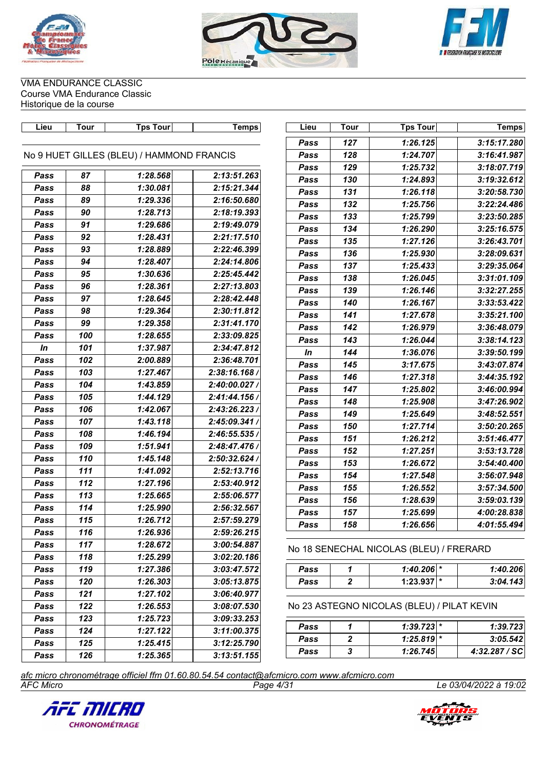





VMA ENDURANCE CLASSIC Course VMA Endurance Classic Historique de la course

| Lieu  | <b>Tour</b> | <b>Tps Tour</b>                           | <b>Temps</b> | Lieu | <b>Tour</b>      | <b>Tps Tour</b>                            | <b>Temps</b>  |
|-------|-------------|-------------------------------------------|--------------|------|------------------|--------------------------------------------|---------------|
|       |             |                                           |              | Pass | 127              | 1:26.125                                   | 3:15:17.280   |
|       |             | No 9 HUET GILLES (BLEU) / HAMMOND FRANCIS |              | Pass | 128              | 1:24.707                                   | 3:16:41.987   |
|       |             |                                           |              | Pass | 129              | 1:25.732                                   | 3:18:07.719   |
| Pass  | 87          | 1:28.568                                  | 2:13:51.263  | Pass | 130              | 1:24.893                                   | 3:19:32.612   |
| Pass  | 88          | 1:30.081                                  | 2:15:21.344  | Pass | 131              | 1:26.118                                   | 3:20:58.730   |
| Pass  | 89          | 1:29.336                                  | 2:16:50.680  | Pass | 132              | 1:25.756                                   | 3:22:24.486   |
| Pass  | 90          | 1:28.713                                  | 2:18:19.393  | Pass | 133              | 1:25.799                                   | 3:23:50.285   |
| Pass  | 91          | 1:29.686                                  | 2:19:49.079  | Pass | 134              | 1:26.290                                   | 3:25:16.575   |
| Pass  | 92          | 1:28.431                                  | 2:21:17.510  | Pass | 135              | 1:27.126                                   | 3:26:43.701   |
| Pass  | 93          | 1:28.889                                  | 2:22:46.399  | Pass | 136              | 1:25.930                                   | 3:28:09.631   |
| Pass  | 94          | 1:28.407                                  | 2:24:14.806  | Pass | 137              | 1:25.433                                   | 3:29:35.064   |
| Pass  | 95          | 1:30.636                                  | 2:25:45.442  | Pass | 138              | 1:26.045                                   | 3:31:01.109   |
| Pass  | 96          | 1:28.361                                  | 2:27:13.803  | Pass | 139              | 1:26.146                                   | 3:32:27.255   |
| Pass  | 97          | 1:28.645                                  | 2:28:42.448  | Pass | 140              | 1:26.167                                   | 3:33:53.422   |
| Pass  | 98          | 1:29.364                                  | 2:30:11.812  | Pass | 141              | 1:27.678                                   | 3:35:21.100   |
| Pass  | 99          | 1:29.358                                  | 2:31:41.170  | Pass | 142              | 1:26.979                                   | 3:36:48.079   |
| Pass  | 100         | 1:28.655                                  | 2:33:09.825  | Pass | 143              | 1:26.044                                   | 3:38:14.123   |
| $\ln$ | 101         | 1:37.987                                  | 2:34:47.812  | In   | 144              | 1:36.076                                   | 3:39:50.199   |
| Pass  | 102         | 2:00.889                                  | 2:36:48.701  | Pass | 145              | 3:17.675                                   | 3:43:07.874   |
| Pass  | 103         | 1:27.467                                  | 2:38:16.168  | Pass | 146              | 1:27.318                                   | 3:44:35.192   |
| Pass  | 104         | 1:43.859                                  | 2:40:00.027  | Pass | 147              | 1:25.802                                   | 3:46:00.994   |
| Pass  | 105         | 1:44.129                                  | 2:41:44.156  | Pass | 148              | 1:25.908                                   | 3:47:26.902   |
| Pass  | 106         | 1:42.067                                  | 2:43:26.223  | Pass | 149              | 1:25.649                                   | 3:48:52.551   |
| Pass  | 107         | 1:43.118                                  | 2:45:09.341  | Pass | 150              | 1:27.714                                   | 3:50:20.265   |
| Pass  | 108         | 1:46.194                                  | 2:46:55.535  | Pass | 151              | 1:26.212                                   | 3:51:46.477   |
| Pass  | 109         | 1:51.941                                  | 2:48:47.476  | Pass | 152              | 1:27.251                                   | 3:53:13.728   |
| Pass  | 110         | 1:45.148                                  | 2:50:32.624  | Pass | 153              | 1:26.672                                   | 3:54:40.400   |
| Pass  | 111         | 1:41.092                                  | 2:52:13.716  | Pass | 154              | 1:27.548                                   | 3:56:07.948   |
| Pass  | 112         | 1:27.196                                  | 2:53:40.912  | Pass | 155              | 1:26.552                                   | 3:57:34.500   |
| Pass  | 113         | 1:25.665                                  | 2:55:06.577  | Pass | 156              | 1:28.639                                   | 3:59:03.139   |
| Pass  | 114         | 1:25.990                                  | 2:56:32.567  | Pass | 157              | 1:25.699                                   | 4:00:28.838   |
| Pass  | 115         | 1:26.712                                  | 2:57:59.279  | Pass | 158              | 1:26.656                                   | 4:01:55.494   |
| rass  | 116         | 1:26.936                                  | 2:59:26.215  |      |                  |                                            |               |
| Pass  | 117         | 1:28.672                                  | 3:00:54.887  |      |                  | No 18 SENECHAL NICOLAS (BLEU) / FRERARD    |               |
| Pass  | 118         | 1:25.299                                  | 3:02:20.186  |      |                  |                                            |               |
| Pass  | 119         | 1:27.386                                  | 3:03:47.572  | Pass | 1                | $1:40.206$ *                               | 1:40.206      |
| Pass  | 120         | 1:26.303                                  | 3:05:13.875  | Pass | 2                | $1:23.937$ *                               | 3:04.143      |
| Pass  | 121         | 1:27.102                                  | 3:06:40.977  |      |                  |                                            |               |
| Pass  | 122         | 1:26.553                                  | 3:08:07.530  |      |                  | No 23 ASTEGNO NICOLAS (BLEU) / PILAT KEVIN |               |
| Pass  | 123         | 1:25.723                                  | 3:09:33.253  |      |                  | $1:39.723$ *                               | 1:39.723      |
| Pass  | 124         | 1:27.122                                  | 3:11:00.375  | Pass | 1                | $1:25.819$ <sup>*</sup>                    | 3:05.542      |
| Pass  | 125         | 1:25.415                                  | 3:12:25.790  | Pass | $\boldsymbol{2}$ |                                            |               |
| Pass  | 126         | 1:25.365                                  | 3:13:51.155  | Pass | 3                | 1:26.745                                   | 4:32.287 / SC |

*AFC Micro Page 4/31 Le 03/04/2022 à 19:02 afc micro chronométrage officiel ffm 01.60.80.54.54 contact@afcmicro.com www.afcmicro.com*



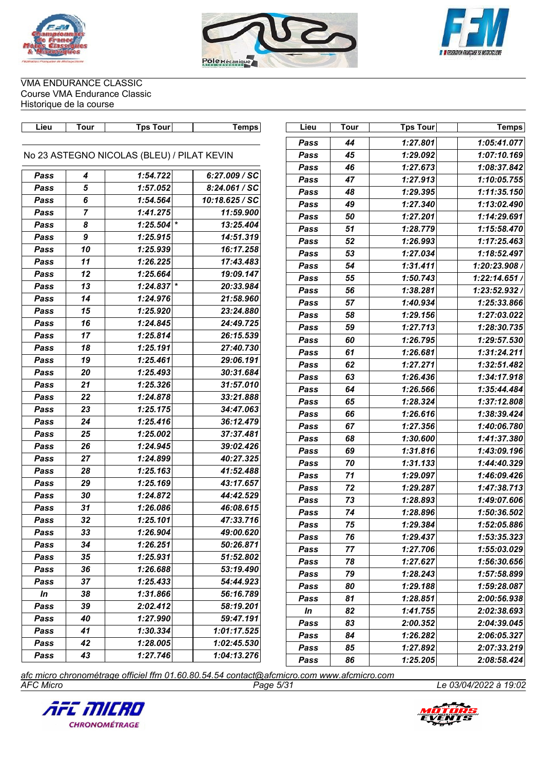





| 1:27.801<br>1:05:41.077<br>Pass<br>44<br>No 23 ASTEGNO NICOLAS (BLEU) / PILAT KEVIN<br>45<br>1:29.092<br>1:07:10.169<br>Pass<br>46<br>1:27.673<br>1:08:37.842<br>Pass<br>6:27.009 / SC<br>Pass<br>1:54.722<br>4<br>47<br>1:27.913<br>1:10:05.755<br>Pass<br>5<br>1:57.052<br>8:24.061 / SC<br>Pass<br>48<br>1:29.395<br>1:11:35.150<br>Pass<br>6<br>1:54.564<br>10:18.625 / SC<br>Pass<br>49<br>1:27.340<br>1:13:02.490<br>Pass<br>$\overline{7}$<br>1:41.275<br>11:59.900<br>Pass<br>50<br>1:27.201<br>1:14:29.691<br>Pass<br>$1:25.504$ *<br>8<br>13:25.404<br>Pass<br>51<br>1:28.779<br>Pass<br>1:15:58.470<br>$\boldsymbol{9}$<br>1:25.915<br>14:51.319<br>Pass<br>52<br>1:26.993<br>1:17:25.463<br>Pass<br>10<br>1:25.939<br>16:17.258<br>Pass<br>53<br>1:27.034<br>1:18:52.497<br>Pass<br>11<br>17:43.483<br>Pass<br>1:26.225<br>54<br>1:31.411<br>1:20:23.908<br>Pass<br>12<br>Pass<br>1:25.664<br>19:09.147<br>55<br>1:50.743<br>1:22:14.651/<br>Pass<br>$1:24.837$ *<br>13<br>Pass<br>20:33.984<br>56<br>1:38.281<br>1:23:52.932<br>Pass<br>14<br>1:24.976<br>21:58.960<br>Pass<br>57<br>1:40.934<br>1:25:33.866<br>Pass<br>15<br>1:25.920<br>23:24.880<br>Pass<br>58<br>1:29.156<br>1:27:03.022<br>Pass<br>16<br>1:24.845<br>24:49.725<br>Pass<br>59<br>1:27.713<br>Pass<br>1:28:30.735<br>17<br>1:25.814<br>26:15.539<br>Pass<br>60<br>1:26.795<br>1:29:57.530<br>Pass<br>18<br>1:25.191<br>27:40.730<br>Pass<br>61<br>1:26.681<br>1:31:24.211<br>Pass<br>19<br>1:25.461<br>29:06.191<br>Pass<br>62<br>1:27.271<br>1:32:51.482<br>Pass<br>20<br>1:25.493<br>30:31.684<br>Pass<br>63<br>1:26.436<br>1:34:17.918<br>Pass<br>21<br>1:25.326<br>31:57.010<br>Pass<br>64<br>1:26.566<br>1:35:44.484<br>Pass<br>22<br>1:24.878<br>33:21.888<br>Pass<br>65<br>1:37:12.808<br>1:28.324<br>Pass<br>23<br>1:25.175<br>34:47.063<br>Pass<br>66<br>1:26.616<br>1:38:39.424<br>Pass<br>24<br>1:25.416<br>36:12.479<br>Pass<br>67<br>1:27.356<br>Pass<br>1:40:06.780<br>25<br>1:25.002<br>37:37.481<br>Pass<br>68<br>1:30.600<br>1:41:37.380<br>Pass<br>26<br>1:24.945<br>39:02.426<br>Pass<br>69<br>1:31.816<br>1:43:09.196<br>Pass<br>27<br>Pass<br>1:24.899<br>40:27.325<br>70<br>1:31.133<br>1:44:40.329<br>Pass<br>28<br>1:25.163<br>41:52.488<br>Pass<br>71<br>1:29.097<br>1:46:09.426<br>Pass<br>29<br>1:25.169<br>43:17.657<br>Pass<br>72<br>1:29.287<br>1:47:38.713<br>Pass<br>30<br>1:24.872<br>44:42.529<br>Pass<br>73<br>1:28.893<br>1:49:07.606<br>Pass<br>31<br>1:26.086<br>46:08.615<br>Pass<br>74<br>1:28.896<br>1:50:36.502<br>Pass<br>32<br>1:25.101<br>47:33.716<br>Pass<br>Pass<br>75<br>1:29.384<br>1:52:05.886<br>33<br>1:26.904<br>49:00.620<br>Pass<br>Pass<br>76<br>1:29.437<br>1:53:35.323<br>34<br>1:26.251<br>50:26.871<br>Pass<br>77<br>1:27.706<br>1:55:03.029<br>Pass<br>35<br>1:25.931<br>Pass<br>51:52.802<br>78<br>1:27.627<br>1:56:30.656<br>Pass<br>36<br>1:26.688<br>53:19.490<br>Pass<br>79<br>1:28.243<br>1:57:58.899<br>Pass<br>37<br>1:25.433<br>54:44.923<br>Pass<br>Pass<br>80<br>1:29.188<br>1:59:28.087<br>38<br>1:31.866<br>56:16.789<br>In<br>81<br>1:28.851<br>2:00:56.938<br>Pass<br>39<br>58:19.201<br>Pass<br>2:02.412<br>82<br>1:41.755<br>2:02:38.693<br>In<br>1:27.990<br>59:47.191<br>Pass<br>40<br>83<br>2:00.352<br>Pass<br>2:04:39.045<br>41<br>1:30.334<br>1:01:17.525<br>Pass<br>1:26.282<br>2:06:05.327<br>Pass<br>84<br>42<br>1:28.005<br>1:02:45.530<br>Pass<br>1:27.892<br>2:07:33.219<br>85<br>Pass<br>43<br>1:27.746<br>1:04:13.276<br>Pass<br>2:08:58.424<br>86<br>1:25.205<br>Pass | Lieu | Tour | <b>Tps Tour</b> | <b>Temps</b> | Lieu | Tour | <b>Tps Tour</b> | <b>Temps</b> |
|-----------------------------------------------------------------------------------------------------------------------------------------------------------------------------------------------------------------------------------------------------------------------------------------------------------------------------------------------------------------------------------------------------------------------------------------------------------------------------------------------------------------------------------------------------------------------------------------------------------------------------------------------------------------------------------------------------------------------------------------------------------------------------------------------------------------------------------------------------------------------------------------------------------------------------------------------------------------------------------------------------------------------------------------------------------------------------------------------------------------------------------------------------------------------------------------------------------------------------------------------------------------------------------------------------------------------------------------------------------------------------------------------------------------------------------------------------------------------------------------------------------------------------------------------------------------------------------------------------------------------------------------------------------------------------------------------------------------------------------------------------------------------------------------------------------------------------------------------------------------------------------------------------------------------------------------------------------------------------------------------------------------------------------------------------------------------------------------------------------------------------------------------------------------------------------------------------------------------------------------------------------------------------------------------------------------------------------------------------------------------------------------------------------------------------------------------------------------------------------------------------------------------------------------------------------------------------------------------------------------------------------------------------------------------------------------------------------------------------------------------------------------------------------------------------------------------------------------------------------------------------------------------------------------------------------------------------------------------------------------------------------------------------------------------------------------------------------------------------------------------------------------------------------------------------------------------------------------------------------------------------------------------------------------------------------------------------------------------------------------------------------------------------------------------------------------------------------------------------------------------------------------------------------------------------|------|------|-----------------|--------------|------|------|-----------------|--------------|
|                                                                                                                                                                                                                                                                                                                                                                                                                                                                                                                                                                                                                                                                                                                                                                                                                                                                                                                                                                                                                                                                                                                                                                                                                                                                                                                                                                                                                                                                                                                                                                                                                                                                                                                                                                                                                                                                                                                                                                                                                                                                                                                                                                                                                                                                                                                                                                                                                                                                                                                                                                                                                                                                                                                                                                                                                                                                                                                                                                                                                                                                                                                                                                                                                                                                                                                                                                                                                                                                                                                                                     |      |      |                 |              |      |      |                 |              |
|                                                                                                                                                                                                                                                                                                                                                                                                                                                                                                                                                                                                                                                                                                                                                                                                                                                                                                                                                                                                                                                                                                                                                                                                                                                                                                                                                                                                                                                                                                                                                                                                                                                                                                                                                                                                                                                                                                                                                                                                                                                                                                                                                                                                                                                                                                                                                                                                                                                                                                                                                                                                                                                                                                                                                                                                                                                                                                                                                                                                                                                                                                                                                                                                                                                                                                                                                                                                                                                                                                                                                     |      |      |                 |              |      |      |                 |              |
|                                                                                                                                                                                                                                                                                                                                                                                                                                                                                                                                                                                                                                                                                                                                                                                                                                                                                                                                                                                                                                                                                                                                                                                                                                                                                                                                                                                                                                                                                                                                                                                                                                                                                                                                                                                                                                                                                                                                                                                                                                                                                                                                                                                                                                                                                                                                                                                                                                                                                                                                                                                                                                                                                                                                                                                                                                                                                                                                                                                                                                                                                                                                                                                                                                                                                                                                                                                                                                                                                                                                                     |      |      |                 |              |      |      |                 |              |
|                                                                                                                                                                                                                                                                                                                                                                                                                                                                                                                                                                                                                                                                                                                                                                                                                                                                                                                                                                                                                                                                                                                                                                                                                                                                                                                                                                                                                                                                                                                                                                                                                                                                                                                                                                                                                                                                                                                                                                                                                                                                                                                                                                                                                                                                                                                                                                                                                                                                                                                                                                                                                                                                                                                                                                                                                                                                                                                                                                                                                                                                                                                                                                                                                                                                                                                                                                                                                                                                                                                                                     |      |      |                 |              |      |      |                 |              |
|                                                                                                                                                                                                                                                                                                                                                                                                                                                                                                                                                                                                                                                                                                                                                                                                                                                                                                                                                                                                                                                                                                                                                                                                                                                                                                                                                                                                                                                                                                                                                                                                                                                                                                                                                                                                                                                                                                                                                                                                                                                                                                                                                                                                                                                                                                                                                                                                                                                                                                                                                                                                                                                                                                                                                                                                                                                                                                                                                                                                                                                                                                                                                                                                                                                                                                                                                                                                                                                                                                                                                     |      |      |                 |              |      |      |                 |              |
|                                                                                                                                                                                                                                                                                                                                                                                                                                                                                                                                                                                                                                                                                                                                                                                                                                                                                                                                                                                                                                                                                                                                                                                                                                                                                                                                                                                                                                                                                                                                                                                                                                                                                                                                                                                                                                                                                                                                                                                                                                                                                                                                                                                                                                                                                                                                                                                                                                                                                                                                                                                                                                                                                                                                                                                                                                                                                                                                                                                                                                                                                                                                                                                                                                                                                                                                                                                                                                                                                                                                                     |      |      |                 |              |      |      |                 |              |
|                                                                                                                                                                                                                                                                                                                                                                                                                                                                                                                                                                                                                                                                                                                                                                                                                                                                                                                                                                                                                                                                                                                                                                                                                                                                                                                                                                                                                                                                                                                                                                                                                                                                                                                                                                                                                                                                                                                                                                                                                                                                                                                                                                                                                                                                                                                                                                                                                                                                                                                                                                                                                                                                                                                                                                                                                                                                                                                                                                                                                                                                                                                                                                                                                                                                                                                                                                                                                                                                                                                                                     |      |      |                 |              |      |      |                 |              |
|                                                                                                                                                                                                                                                                                                                                                                                                                                                                                                                                                                                                                                                                                                                                                                                                                                                                                                                                                                                                                                                                                                                                                                                                                                                                                                                                                                                                                                                                                                                                                                                                                                                                                                                                                                                                                                                                                                                                                                                                                                                                                                                                                                                                                                                                                                                                                                                                                                                                                                                                                                                                                                                                                                                                                                                                                                                                                                                                                                                                                                                                                                                                                                                                                                                                                                                                                                                                                                                                                                                                                     |      |      |                 |              |      |      |                 |              |
|                                                                                                                                                                                                                                                                                                                                                                                                                                                                                                                                                                                                                                                                                                                                                                                                                                                                                                                                                                                                                                                                                                                                                                                                                                                                                                                                                                                                                                                                                                                                                                                                                                                                                                                                                                                                                                                                                                                                                                                                                                                                                                                                                                                                                                                                                                                                                                                                                                                                                                                                                                                                                                                                                                                                                                                                                                                                                                                                                                                                                                                                                                                                                                                                                                                                                                                                                                                                                                                                                                                                                     |      |      |                 |              |      |      |                 |              |
|                                                                                                                                                                                                                                                                                                                                                                                                                                                                                                                                                                                                                                                                                                                                                                                                                                                                                                                                                                                                                                                                                                                                                                                                                                                                                                                                                                                                                                                                                                                                                                                                                                                                                                                                                                                                                                                                                                                                                                                                                                                                                                                                                                                                                                                                                                                                                                                                                                                                                                                                                                                                                                                                                                                                                                                                                                                                                                                                                                                                                                                                                                                                                                                                                                                                                                                                                                                                                                                                                                                                                     |      |      |                 |              |      |      |                 |              |
|                                                                                                                                                                                                                                                                                                                                                                                                                                                                                                                                                                                                                                                                                                                                                                                                                                                                                                                                                                                                                                                                                                                                                                                                                                                                                                                                                                                                                                                                                                                                                                                                                                                                                                                                                                                                                                                                                                                                                                                                                                                                                                                                                                                                                                                                                                                                                                                                                                                                                                                                                                                                                                                                                                                                                                                                                                                                                                                                                                                                                                                                                                                                                                                                                                                                                                                                                                                                                                                                                                                                                     |      |      |                 |              |      |      |                 |              |
|                                                                                                                                                                                                                                                                                                                                                                                                                                                                                                                                                                                                                                                                                                                                                                                                                                                                                                                                                                                                                                                                                                                                                                                                                                                                                                                                                                                                                                                                                                                                                                                                                                                                                                                                                                                                                                                                                                                                                                                                                                                                                                                                                                                                                                                                                                                                                                                                                                                                                                                                                                                                                                                                                                                                                                                                                                                                                                                                                                                                                                                                                                                                                                                                                                                                                                                                                                                                                                                                                                                                                     |      |      |                 |              |      |      |                 |              |
|                                                                                                                                                                                                                                                                                                                                                                                                                                                                                                                                                                                                                                                                                                                                                                                                                                                                                                                                                                                                                                                                                                                                                                                                                                                                                                                                                                                                                                                                                                                                                                                                                                                                                                                                                                                                                                                                                                                                                                                                                                                                                                                                                                                                                                                                                                                                                                                                                                                                                                                                                                                                                                                                                                                                                                                                                                                                                                                                                                                                                                                                                                                                                                                                                                                                                                                                                                                                                                                                                                                                                     |      |      |                 |              |      |      |                 |              |
|                                                                                                                                                                                                                                                                                                                                                                                                                                                                                                                                                                                                                                                                                                                                                                                                                                                                                                                                                                                                                                                                                                                                                                                                                                                                                                                                                                                                                                                                                                                                                                                                                                                                                                                                                                                                                                                                                                                                                                                                                                                                                                                                                                                                                                                                                                                                                                                                                                                                                                                                                                                                                                                                                                                                                                                                                                                                                                                                                                                                                                                                                                                                                                                                                                                                                                                                                                                                                                                                                                                                                     |      |      |                 |              |      |      |                 |              |
|                                                                                                                                                                                                                                                                                                                                                                                                                                                                                                                                                                                                                                                                                                                                                                                                                                                                                                                                                                                                                                                                                                                                                                                                                                                                                                                                                                                                                                                                                                                                                                                                                                                                                                                                                                                                                                                                                                                                                                                                                                                                                                                                                                                                                                                                                                                                                                                                                                                                                                                                                                                                                                                                                                                                                                                                                                                                                                                                                                                                                                                                                                                                                                                                                                                                                                                                                                                                                                                                                                                                                     |      |      |                 |              |      |      |                 |              |
|                                                                                                                                                                                                                                                                                                                                                                                                                                                                                                                                                                                                                                                                                                                                                                                                                                                                                                                                                                                                                                                                                                                                                                                                                                                                                                                                                                                                                                                                                                                                                                                                                                                                                                                                                                                                                                                                                                                                                                                                                                                                                                                                                                                                                                                                                                                                                                                                                                                                                                                                                                                                                                                                                                                                                                                                                                                                                                                                                                                                                                                                                                                                                                                                                                                                                                                                                                                                                                                                                                                                                     |      |      |                 |              |      |      |                 |              |
|                                                                                                                                                                                                                                                                                                                                                                                                                                                                                                                                                                                                                                                                                                                                                                                                                                                                                                                                                                                                                                                                                                                                                                                                                                                                                                                                                                                                                                                                                                                                                                                                                                                                                                                                                                                                                                                                                                                                                                                                                                                                                                                                                                                                                                                                                                                                                                                                                                                                                                                                                                                                                                                                                                                                                                                                                                                                                                                                                                                                                                                                                                                                                                                                                                                                                                                                                                                                                                                                                                                                                     |      |      |                 |              |      |      |                 |              |
|                                                                                                                                                                                                                                                                                                                                                                                                                                                                                                                                                                                                                                                                                                                                                                                                                                                                                                                                                                                                                                                                                                                                                                                                                                                                                                                                                                                                                                                                                                                                                                                                                                                                                                                                                                                                                                                                                                                                                                                                                                                                                                                                                                                                                                                                                                                                                                                                                                                                                                                                                                                                                                                                                                                                                                                                                                                                                                                                                                                                                                                                                                                                                                                                                                                                                                                                                                                                                                                                                                                                                     |      |      |                 |              |      |      |                 |              |
|                                                                                                                                                                                                                                                                                                                                                                                                                                                                                                                                                                                                                                                                                                                                                                                                                                                                                                                                                                                                                                                                                                                                                                                                                                                                                                                                                                                                                                                                                                                                                                                                                                                                                                                                                                                                                                                                                                                                                                                                                                                                                                                                                                                                                                                                                                                                                                                                                                                                                                                                                                                                                                                                                                                                                                                                                                                                                                                                                                                                                                                                                                                                                                                                                                                                                                                                                                                                                                                                                                                                                     |      |      |                 |              |      |      |                 |              |
|                                                                                                                                                                                                                                                                                                                                                                                                                                                                                                                                                                                                                                                                                                                                                                                                                                                                                                                                                                                                                                                                                                                                                                                                                                                                                                                                                                                                                                                                                                                                                                                                                                                                                                                                                                                                                                                                                                                                                                                                                                                                                                                                                                                                                                                                                                                                                                                                                                                                                                                                                                                                                                                                                                                                                                                                                                                                                                                                                                                                                                                                                                                                                                                                                                                                                                                                                                                                                                                                                                                                                     |      |      |                 |              |      |      |                 |              |
|                                                                                                                                                                                                                                                                                                                                                                                                                                                                                                                                                                                                                                                                                                                                                                                                                                                                                                                                                                                                                                                                                                                                                                                                                                                                                                                                                                                                                                                                                                                                                                                                                                                                                                                                                                                                                                                                                                                                                                                                                                                                                                                                                                                                                                                                                                                                                                                                                                                                                                                                                                                                                                                                                                                                                                                                                                                                                                                                                                                                                                                                                                                                                                                                                                                                                                                                                                                                                                                                                                                                                     |      |      |                 |              |      |      |                 |              |
|                                                                                                                                                                                                                                                                                                                                                                                                                                                                                                                                                                                                                                                                                                                                                                                                                                                                                                                                                                                                                                                                                                                                                                                                                                                                                                                                                                                                                                                                                                                                                                                                                                                                                                                                                                                                                                                                                                                                                                                                                                                                                                                                                                                                                                                                                                                                                                                                                                                                                                                                                                                                                                                                                                                                                                                                                                                                                                                                                                                                                                                                                                                                                                                                                                                                                                                                                                                                                                                                                                                                                     |      |      |                 |              |      |      |                 |              |
|                                                                                                                                                                                                                                                                                                                                                                                                                                                                                                                                                                                                                                                                                                                                                                                                                                                                                                                                                                                                                                                                                                                                                                                                                                                                                                                                                                                                                                                                                                                                                                                                                                                                                                                                                                                                                                                                                                                                                                                                                                                                                                                                                                                                                                                                                                                                                                                                                                                                                                                                                                                                                                                                                                                                                                                                                                                                                                                                                                                                                                                                                                                                                                                                                                                                                                                                                                                                                                                                                                                                                     |      |      |                 |              |      |      |                 |              |
|                                                                                                                                                                                                                                                                                                                                                                                                                                                                                                                                                                                                                                                                                                                                                                                                                                                                                                                                                                                                                                                                                                                                                                                                                                                                                                                                                                                                                                                                                                                                                                                                                                                                                                                                                                                                                                                                                                                                                                                                                                                                                                                                                                                                                                                                                                                                                                                                                                                                                                                                                                                                                                                                                                                                                                                                                                                                                                                                                                                                                                                                                                                                                                                                                                                                                                                                                                                                                                                                                                                                                     |      |      |                 |              |      |      |                 |              |
|                                                                                                                                                                                                                                                                                                                                                                                                                                                                                                                                                                                                                                                                                                                                                                                                                                                                                                                                                                                                                                                                                                                                                                                                                                                                                                                                                                                                                                                                                                                                                                                                                                                                                                                                                                                                                                                                                                                                                                                                                                                                                                                                                                                                                                                                                                                                                                                                                                                                                                                                                                                                                                                                                                                                                                                                                                                                                                                                                                                                                                                                                                                                                                                                                                                                                                                                                                                                                                                                                                                                                     |      |      |                 |              |      |      |                 |              |
|                                                                                                                                                                                                                                                                                                                                                                                                                                                                                                                                                                                                                                                                                                                                                                                                                                                                                                                                                                                                                                                                                                                                                                                                                                                                                                                                                                                                                                                                                                                                                                                                                                                                                                                                                                                                                                                                                                                                                                                                                                                                                                                                                                                                                                                                                                                                                                                                                                                                                                                                                                                                                                                                                                                                                                                                                                                                                                                                                                                                                                                                                                                                                                                                                                                                                                                                                                                                                                                                                                                                                     |      |      |                 |              |      |      |                 |              |
|                                                                                                                                                                                                                                                                                                                                                                                                                                                                                                                                                                                                                                                                                                                                                                                                                                                                                                                                                                                                                                                                                                                                                                                                                                                                                                                                                                                                                                                                                                                                                                                                                                                                                                                                                                                                                                                                                                                                                                                                                                                                                                                                                                                                                                                                                                                                                                                                                                                                                                                                                                                                                                                                                                                                                                                                                                                                                                                                                                                                                                                                                                                                                                                                                                                                                                                                                                                                                                                                                                                                                     |      |      |                 |              |      |      |                 |              |
|                                                                                                                                                                                                                                                                                                                                                                                                                                                                                                                                                                                                                                                                                                                                                                                                                                                                                                                                                                                                                                                                                                                                                                                                                                                                                                                                                                                                                                                                                                                                                                                                                                                                                                                                                                                                                                                                                                                                                                                                                                                                                                                                                                                                                                                                                                                                                                                                                                                                                                                                                                                                                                                                                                                                                                                                                                                                                                                                                                                                                                                                                                                                                                                                                                                                                                                                                                                                                                                                                                                                                     |      |      |                 |              |      |      |                 |              |
|                                                                                                                                                                                                                                                                                                                                                                                                                                                                                                                                                                                                                                                                                                                                                                                                                                                                                                                                                                                                                                                                                                                                                                                                                                                                                                                                                                                                                                                                                                                                                                                                                                                                                                                                                                                                                                                                                                                                                                                                                                                                                                                                                                                                                                                                                                                                                                                                                                                                                                                                                                                                                                                                                                                                                                                                                                                                                                                                                                                                                                                                                                                                                                                                                                                                                                                                                                                                                                                                                                                                                     |      |      |                 |              |      |      |                 |              |
|                                                                                                                                                                                                                                                                                                                                                                                                                                                                                                                                                                                                                                                                                                                                                                                                                                                                                                                                                                                                                                                                                                                                                                                                                                                                                                                                                                                                                                                                                                                                                                                                                                                                                                                                                                                                                                                                                                                                                                                                                                                                                                                                                                                                                                                                                                                                                                                                                                                                                                                                                                                                                                                                                                                                                                                                                                                                                                                                                                                                                                                                                                                                                                                                                                                                                                                                                                                                                                                                                                                                                     |      |      |                 |              |      |      |                 |              |
|                                                                                                                                                                                                                                                                                                                                                                                                                                                                                                                                                                                                                                                                                                                                                                                                                                                                                                                                                                                                                                                                                                                                                                                                                                                                                                                                                                                                                                                                                                                                                                                                                                                                                                                                                                                                                                                                                                                                                                                                                                                                                                                                                                                                                                                                                                                                                                                                                                                                                                                                                                                                                                                                                                                                                                                                                                                                                                                                                                                                                                                                                                                                                                                                                                                                                                                                                                                                                                                                                                                                                     |      |      |                 |              |      |      |                 |              |
|                                                                                                                                                                                                                                                                                                                                                                                                                                                                                                                                                                                                                                                                                                                                                                                                                                                                                                                                                                                                                                                                                                                                                                                                                                                                                                                                                                                                                                                                                                                                                                                                                                                                                                                                                                                                                                                                                                                                                                                                                                                                                                                                                                                                                                                                                                                                                                                                                                                                                                                                                                                                                                                                                                                                                                                                                                                                                                                                                                                                                                                                                                                                                                                                                                                                                                                                                                                                                                                                                                                                                     |      |      |                 |              |      |      |                 |              |
|                                                                                                                                                                                                                                                                                                                                                                                                                                                                                                                                                                                                                                                                                                                                                                                                                                                                                                                                                                                                                                                                                                                                                                                                                                                                                                                                                                                                                                                                                                                                                                                                                                                                                                                                                                                                                                                                                                                                                                                                                                                                                                                                                                                                                                                                                                                                                                                                                                                                                                                                                                                                                                                                                                                                                                                                                                                                                                                                                                                                                                                                                                                                                                                                                                                                                                                                                                                                                                                                                                                                                     |      |      |                 |              |      |      |                 |              |
|                                                                                                                                                                                                                                                                                                                                                                                                                                                                                                                                                                                                                                                                                                                                                                                                                                                                                                                                                                                                                                                                                                                                                                                                                                                                                                                                                                                                                                                                                                                                                                                                                                                                                                                                                                                                                                                                                                                                                                                                                                                                                                                                                                                                                                                                                                                                                                                                                                                                                                                                                                                                                                                                                                                                                                                                                                                                                                                                                                                                                                                                                                                                                                                                                                                                                                                                                                                                                                                                                                                                                     |      |      |                 |              |      |      |                 |              |
|                                                                                                                                                                                                                                                                                                                                                                                                                                                                                                                                                                                                                                                                                                                                                                                                                                                                                                                                                                                                                                                                                                                                                                                                                                                                                                                                                                                                                                                                                                                                                                                                                                                                                                                                                                                                                                                                                                                                                                                                                                                                                                                                                                                                                                                                                                                                                                                                                                                                                                                                                                                                                                                                                                                                                                                                                                                                                                                                                                                                                                                                                                                                                                                                                                                                                                                                                                                                                                                                                                                                                     |      |      |                 |              |      |      |                 |              |
|                                                                                                                                                                                                                                                                                                                                                                                                                                                                                                                                                                                                                                                                                                                                                                                                                                                                                                                                                                                                                                                                                                                                                                                                                                                                                                                                                                                                                                                                                                                                                                                                                                                                                                                                                                                                                                                                                                                                                                                                                                                                                                                                                                                                                                                                                                                                                                                                                                                                                                                                                                                                                                                                                                                                                                                                                                                                                                                                                                                                                                                                                                                                                                                                                                                                                                                                                                                                                                                                                                                                                     |      |      |                 |              |      |      |                 |              |
|                                                                                                                                                                                                                                                                                                                                                                                                                                                                                                                                                                                                                                                                                                                                                                                                                                                                                                                                                                                                                                                                                                                                                                                                                                                                                                                                                                                                                                                                                                                                                                                                                                                                                                                                                                                                                                                                                                                                                                                                                                                                                                                                                                                                                                                                                                                                                                                                                                                                                                                                                                                                                                                                                                                                                                                                                                                                                                                                                                                                                                                                                                                                                                                                                                                                                                                                                                                                                                                                                                                                                     |      |      |                 |              |      |      |                 |              |
|                                                                                                                                                                                                                                                                                                                                                                                                                                                                                                                                                                                                                                                                                                                                                                                                                                                                                                                                                                                                                                                                                                                                                                                                                                                                                                                                                                                                                                                                                                                                                                                                                                                                                                                                                                                                                                                                                                                                                                                                                                                                                                                                                                                                                                                                                                                                                                                                                                                                                                                                                                                                                                                                                                                                                                                                                                                                                                                                                                                                                                                                                                                                                                                                                                                                                                                                                                                                                                                                                                                                                     |      |      |                 |              |      |      |                 |              |
|                                                                                                                                                                                                                                                                                                                                                                                                                                                                                                                                                                                                                                                                                                                                                                                                                                                                                                                                                                                                                                                                                                                                                                                                                                                                                                                                                                                                                                                                                                                                                                                                                                                                                                                                                                                                                                                                                                                                                                                                                                                                                                                                                                                                                                                                                                                                                                                                                                                                                                                                                                                                                                                                                                                                                                                                                                                                                                                                                                                                                                                                                                                                                                                                                                                                                                                                                                                                                                                                                                                                                     |      |      |                 |              |      |      |                 |              |
|                                                                                                                                                                                                                                                                                                                                                                                                                                                                                                                                                                                                                                                                                                                                                                                                                                                                                                                                                                                                                                                                                                                                                                                                                                                                                                                                                                                                                                                                                                                                                                                                                                                                                                                                                                                                                                                                                                                                                                                                                                                                                                                                                                                                                                                                                                                                                                                                                                                                                                                                                                                                                                                                                                                                                                                                                                                                                                                                                                                                                                                                                                                                                                                                                                                                                                                                                                                                                                                                                                                                                     |      |      |                 |              |      |      |                 |              |
|                                                                                                                                                                                                                                                                                                                                                                                                                                                                                                                                                                                                                                                                                                                                                                                                                                                                                                                                                                                                                                                                                                                                                                                                                                                                                                                                                                                                                                                                                                                                                                                                                                                                                                                                                                                                                                                                                                                                                                                                                                                                                                                                                                                                                                                                                                                                                                                                                                                                                                                                                                                                                                                                                                                                                                                                                                                                                                                                                                                                                                                                                                                                                                                                                                                                                                                                                                                                                                                                                                                                                     |      |      |                 |              |      |      |                 |              |
|                                                                                                                                                                                                                                                                                                                                                                                                                                                                                                                                                                                                                                                                                                                                                                                                                                                                                                                                                                                                                                                                                                                                                                                                                                                                                                                                                                                                                                                                                                                                                                                                                                                                                                                                                                                                                                                                                                                                                                                                                                                                                                                                                                                                                                                                                                                                                                                                                                                                                                                                                                                                                                                                                                                                                                                                                                                                                                                                                                                                                                                                                                                                                                                                                                                                                                                                                                                                                                                                                                                                                     |      |      |                 |              |      |      |                 |              |
|                                                                                                                                                                                                                                                                                                                                                                                                                                                                                                                                                                                                                                                                                                                                                                                                                                                                                                                                                                                                                                                                                                                                                                                                                                                                                                                                                                                                                                                                                                                                                                                                                                                                                                                                                                                                                                                                                                                                                                                                                                                                                                                                                                                                                                                                                                                                                                                                                                                                                                                                                                                                                                                                                                                                                                                                                                                                                                                                                                                                                                                                                                                                                                                                                                                                                                                                                                                                                                                                                                                                                     |      |      |                 |              |      |      |                 |              |

*AFC Micro Page 5/31 Le 03/04/2022 à 19:02 afc micro chronométrage officiel ffm 01.60.80.54.54 contact@afcmicro.com www.afcmicro.com*



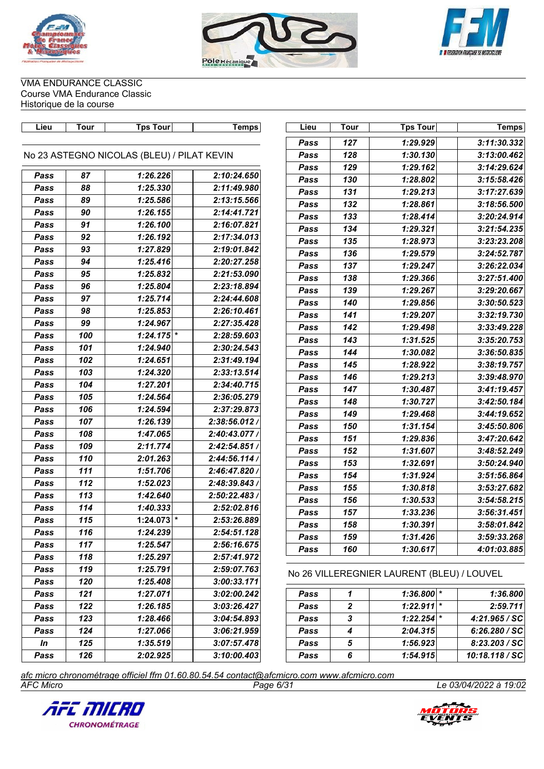





| Lieu          | Tour | <b>Tps Tour</b>                            | <b>Temps</b>  | Lieu | <b>Tour</b> | <b>Tps Tour</b>                            | <b>Temps</b>   |
|---------------|------|--------------------------------------------|---------------|------|-------------|--------------------------------------------|----------------|
|               |      |                                            |               | Pass | 127         | 1:29.929                                   | 3:11:30.332    |
|               |      | No 23 ASTEGNO NICOLAS (BLEU) / PILAT KEVIN |               | Pass | 128         | 1:30.130                                   | 3:13:00.462    |
|               |      |                                            |               | Pass | 129         | 1:29.162                                   | 3:14:29.624    |
| Pass          | 87   | 1:26.226                                   | 2:10:24.650   | Pass | 130         | 1:28.802                                   | 3:15:58.426    |
| Pass          | 88   | 1:25.330                                   | 2:11:49.980   | Pass | 131         | 1:29.213                                   | 3:17:27.639    |
| Pass          | 89   | 1:25.586                                   | 2:13:15.566   | Pass | 132         | 1:28.861                                   | 3:18:56.500    |
| Pass          | 90   | 1:26.155                                   | 2:14:41.721   | Pass | 133         | 1:28.414                                   | 3:20:24.914    |
| Pass          | 91   | 1:26.100                                   | 2:16:07.821   | Pass | 134         | 1:29.321                                   | 3:21:54.235    |
| Pass          | 92   | 1:26.192                                   | 2:17:34.013   | Pass | 135         | 1:28.973                                   | 3:23:23.208    |
| Pass          | 93   | 1:27.829                                   | 2:19:01.842   | Pass | 136         | 1:29.579                                   | 3:24:52.787    |
| Pass          | 94   | 1:25.416                                   | 2:20:27.258   | Pass | 137         | 1:29.247                                   | 3:26:22.034    |
| Pass          | 95   | 1:25.832                                   | 2:21:53.090   | Pass | 138         | 1:29.366                                   | 3:27:51.400    |
| Pass          | 96   | 1:25.804                                   | 2:23:18.894   | Pass | 139         | 1:29.267                                   | 3:29:20.667    |
| Pass          | 97   | 1:25.714                                   | 2:24:44.608   | Pass | 140         | 1:29.856                                   | 3:30:50.523    |
| Pass          | 98   | 1:25.853                                   | 2:26:10.461   | Pass | 141         | 1:29.207                                   | 3:32:19.730    |
| Pass          | 99   | 1:24.967                                   | 2:27:35.428   | Pass | 142         | 1:29.498                                   | 3:33:49.228    |
| Pass          | 100  | $1:24.175$ <sup>*</sup>                    | 2:28:59.603   | Pass | 143         | 1:31.525                                   | 3:35:20.753    |
| Pass          | 101  | 1:24.940                                   | 2:30:24.543   | Pass | 144         | 1:30.082                                   | 3:36:50.835    |
| Pass          | 102  | 1:24.651                                   | 2:31:49.194   | Pass | 145         | 1:28.922                                   | 3:38:19.757    |
| Pass          | 103  | 1:24.320                                   | 2:33:13.514   | Pass | 146         | 1:29.213                                   | 3:39:48.970    |
| Pass          | 104  | 1:27.201                                   | 2:34:40.715   | Pass | 147         | 1:30.487                                   | 3:41:19.457    |
| Pass          | 105  | 1:24.564                                   | 2:36:05.279   | Pass | 148         | 1:30.727                                   | 3:42:50.184    |
| Pass          | 106  | 1:24.594                                   | 2:37:29.873   | Pass | 149         | 1:29.468                                   | 3:44:19.652    |
| Pass          | 107  | 1:26.139                                   | 2:38:56.012/  | Pass | 150         | 1:31.154                                   | 3:45:50.806    |
| Pass          | 108  | 1:47.065                                   | 2:40:43.077 / | Pass | 151         | 1:29.836                                   | 3:47:20.642    |
| Pass          | 109  | 2:11.774                                   | 2:42:54.851   | Pass | 152         | 1:31.607                                   | 3:48:52.249    |
| Pass          | 110  | 2:01.263                                   | 2:44:56.114 / | Pass | 153         | 1:32.691                                   | 3:50:24.940    |
| Pass          | 111  | 1:51.706                                   | 2:46:47.820   | Pass | 154         | 1:31.924                                   | 3:51:56.864    |
| Pass          | 112  | 1:52.023                                   | 2:48:39.843   | Pass | 155         | 1:30.818                                   | 3:53:27.682    |
| Pass          | 113  | 1:42.640                                   | 2:50:22.483/  | Pass | 156         | 1:30.533                                   | 3:54:58.215    |
| Pass          | 114  | 1:40.333                                   | 2:52:02.816   | Pass | 157         | 1:33.236                                   | 3:56:31.451    |
| Pass          | 115  | $\ast$<br>1:24.073                         | 2:53:26.889   | Pass | 158         | 1:30.391                                   | 3:58:01.842    |
| Pass          | 116  | 1:24.239                                   | 2:54:51.128   | Pass | 159         | 1:31.426                                   | 3:59:33.268    |
| Pass          | 117  | 1:25.547                                   | 2:56:16.675   | Pass | 160         | 1:30.617                                   | 4:01:03.885    |
| Pass          | 118  | 1:25.297                                   | 2:57:41.972   |      |             |                                            |                |
| Pass          | 119  | 1:25.791                                   | 2:59:07.763   |      |             | No 26 VILLEREGNIER LAURENT (BLEU) / LOUVEL |                |
| Pass          | 120  | 1:25.408                                   | 3:00:33.171   |      |             |                                            |                |
| Pass          | 121  | 1:27.071                                   | 3:02:00.242   | Pass | 1           | $1:36.800$ *                               | 1:36.800       |
| Pass          | 122  | 1:26.185                                   | 3:03:26.427   | Pass | 2           | 1:22.911                                   | 2:59.711       |
| Pass          | 123  | 1:28.466                                   | 3:04:54.893   | Pass | 3           | $1:22.254$ *                               | 4:21.965 / SC  |
| Pass          | 124  | 1:27.066                                   | 3:06:21.959   | Pass | 4           | 2:04.315                                   | 6:26.280 / SC  |
| $\mathbf{ln}$ | 125  | 1:35.519                                   | 3:07:57.478   | Pass | 5           | 1:56.923                                   | 8:23.203 / SC  |
| Pass          | 126  | 2:02.925                                   | 3:10:00.403   | Pass | 6           | 1:54.915                                   | 10:18.118 / SC |

*AFC Micro Page 6/31 Le 03/04/2022 à 19:02 afc micro chronométrage officiel ffm 01.60.80.54.54 contact@afcmicro.com www.afcmicro.com*



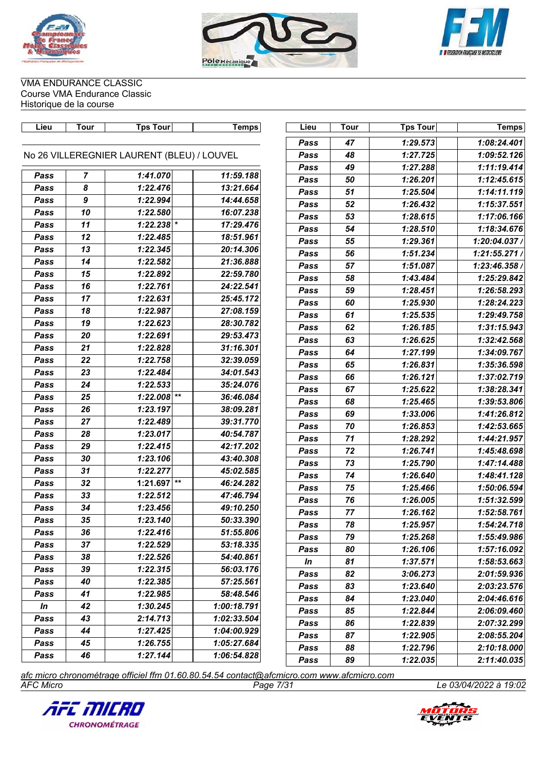





| Lieu | Tour | Tps Tour                                   | Temps       | Lieu | Tour | <b>Tps Tour</b> | <b>Temps</b>  |
|------|------|--------------------------------------------|-------------|------|------|-----------------|---------------|
|      |      |                                            |             | Pass | 47   | 1:29.573        | 1:08:24.401   |
|      |      | No 26 VILLEREGNIER LAURENT (BLEU) / LOUVEL |             | Pass | 48   | 1:27.725        | 1:09:52.126   |
|      |      |                                            |             | Pass | 49   | 1:27.288        | 1:11:19.414   |
| Pass | 7    | 1:41.070                                   | 11:59.188   | Pass | 50   | 1:26.201        | 1:12:45.615   |
| Pass | 8    | 1:22.476                                   | 13:21.664   | Pass | 51   | 1:25.504        | 1:14:11.119   |
| Pass | 9    | 1:22.994                                   | 14:44.658   | Pass | 52   | 1:26.432        | 1:15:37.551   |
| Pass | 10   | 1:22.580                                   | 16:07.238   | Pass | 53   | 1:28.615        | 1:17:06.166   |
| Pass | 11   | $1:22.238$ *                               | 17:29.476   | Pass | 54   | 1:28.510        | 1:18:34.676   |
| Pass | 12   | 1:22.485                                   | 18:51.961   | Pass | 55   | 1:29.361        | 1:20:04.037 / |
| Pass | 13   | 1:22.345                                   | 20:14.306   | Pass | 56   | 1:51.234        | 1:21:55.271/  |
| Pass | 14   | 1:22.582                                   | 21:36.888   | Pass | 57   | 1:51.087        | 1:23:46.358   |
| Pass | 15   | 1:22.892                                   | 22:59.780   | Pass | 58   | 1:43.484        | 1:25:29.842   |
| Pass | 16   | 1:22.761                                   | 24:22.541   | Pass | 59   | 1:28.451        | 1:26:58.293   |
| Pass | 17   | 1:22.631                                   | 25:45.172   | Pass | 60   | 1:25.930        | 1:28:24.223   |
| Pass | 18   | 1:22.987                                   | 27:08.159   | Pass | 61   | 1:25.535        | 1:29:49.758   |
| Pass | 19   | 1:22.623                                   | 28:30.782   | Pass | 62   | 1:26.185        | 1:31:15.943   |
| Pass | 20   | 1:22.691                                   | 29:53.473   | Pass | 63   | 1:26.625        | 1:32:42.568   |
| Pass | 21   | 1:22.828                                   | 31:16.301   | Pass | 64   | 1:27.199        | 1:34:09.767   |
| Pass | 22   | 1:22.758                                   | 32:39.059   | Pass | 65   | 1:26.831        | 1:35:36.598   |
| Pass | 23   | 1:22.484                                   | 34:01.543   | Pass | 66   | 1:26.121        | 1:37:02.719   |
| Pass | 24   | 1:22.533                                   | 35:24.076   | Pass | 67   | 1:25.622        | 1:38:28.341   |
| Pass | 25   | $1:22.008$ **                              | 36:46.084   | Pass | 68   | 1:25.465        | 1:39:53.806   |
| Pass | 26   | 1:23.197                                   | 38:09.281   | Pass | 69   | 1:33.006        | 1:41:26.812   |
| Pass | 27   | 1:22.489                                   | 39:31.770   | Pass | 70   | 1:26.853        | 1:42:53.665   |
| Pass | 28   | 1:23.017                                   | 40:54.787   | Pass | 71   | 1:28.292        | 1:44:21.957   |
| Pass | 29   | 1:22.415                                   | 42:17.202   | Pass | 72   | 1:26.741        | 1:45:48.698   |
| Pass | 30   | 1:23.106                                   | 43:40.308   | Pass | 73   | 1:25.790        | 1:47:14.488   |
| Pass | 31   | 1:22.277                                   | 45:02.585   | Pass | 74   | 1:26.640        | 1:48:41.128   |
| Pass | 32   | $***$<br>1:21.697                          | 46:24.282   | Pass | 75   | 1:25.466        | 1:50:06.594   |
| Pass | 33   | 1:22.512                                   | 47:46.794   | Pass | 76   | 1:26.005        | 1:51:32.599   |
| Pass | 34   | 1:23.456                                   | 49:10.250   | Pass | 77   | 1:26.162        | 1:52:58.761   |
| Pass | 35   | 1:23.140                                   | 50:33.390   | Pass | 78   | 1:25.957        | 1:54:24.718   |
| Pass | 36   | 1:22.416                                   | 51:55.806   | Pass | 79   | 1:25.268        | 1:55:49.986   |
| Pass | 37   | 1:22.529                                   | 53:18.335   | Pass | 80   | 1:26.106        | 1:57:16.092   |
| Pass | 38   | 1:22.526                                   | 54:40.861   | In   | 81   | 1:37.571        | 1:58:53.663   |
| Pass | 39   | 1:22.315                                   | 56:03.176   | Pass | 82   | 3:06.273        | 2:01:59.936   |
| Pass | 40   | 1:22.385                                   | 57:25.561   | Pass | 83   | 1:23.640        | 2:03:23.576   |
| Pass | 41   | 1:22.985                                   | 58:48.546   | Pass | 84   | 1:23.040        | 2:04:46.616   |
| In   | 42   | 1:30.245                                   | 1:00:18.791 | Pass | 85   | 1:22.844        | 2:06:09.460   |
| Pass | 43   | 2:14.713                                   | 1:02:33.504 | Pass | 86   | 1:22.839        | 2:07:32.299   |
| Pass | 44   | 1:27.425                                   | 1:04:00.929 | Pass | 87   | 1:22.905        | 2:08:55.204   |
| Pass | 45   | 1:26.755                                   | 1:05:27.684 | Pass | 88   | 1:22.796        | 2:10:18.000   |
| Pass | 46   | 1:27.144                                   | 1:06:54.828 | Pass | 89   | 1:22.035        | 2:11:40.035   |
|      |      |                                            |             |      |      |                 |               |

*AFC Micro Page 7/31 Le 03/04/2022 à 19:02 afc micro chronométrage officiel ffm 01.60.80.54.54 contact@afcmicro.com www.afcmicro.com*



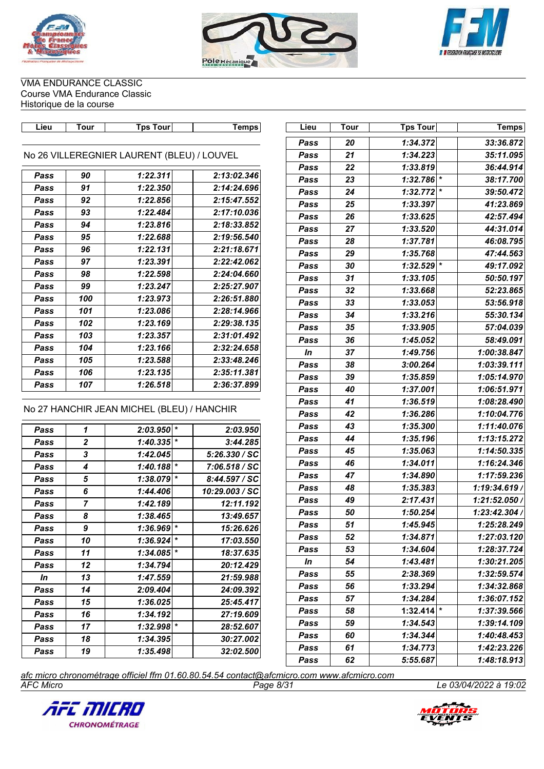





| Lieu | Tour                                       | <b>Tps Tour</b> | <b>Temps</b> |  |  |  |  |  |
|------|--------------------------------------------|-----------------|--------------|--|--|--|--|--|
|      |                                            |                 |              |  |  |  |  |  |
|      | No 26 VILLEREGNIER LAURENT (BLEU) / LOUVEL |                 |              |  |  |  |  |  |
| Pass | 90                                         | 1:22.311        | 2:13:02.346  |  |  |  |  |  |
| Pass | 91                                         | 1:22.350        | 2:14:24.696  |  |  |  |  |  |
| Pass | 92                                         | 1:22.856        | 2:15:47.552  |  |  |  |  |  |
| Pass | 93                                         | 1:22.484        | 2:17:10.036  |  |  |  |  |  |
| Pass | 94                                         | 1:23.816        | 2:18:33.852  |  |  |  |  |  |
| Pass | 95                                         | 1:22.688        | 2:19:56.540  |  |  |  |  |  |
| Pass | 96                                         | 1:22.131        | 2:21:18.671  |  |  |  |  |  |
| Pass | 97                                         | 1:23.391        | 2:22:42.062  |  |  |  |  |  |
| Pass | 98                                         | 1:22.598        | 2:24:04.660  |  |  |  |  |  |
| Pass | 99                                         | 1:23.247        | 2:25:27.907  |  |  |  |  |  |
| Pass | 100                                        | 1:23.973        | 2:26:51.880  |  |  |  |  |  |
| Pass | 101                                        | 1:23.086        | 2:28:14.966  |  |  |  |  |  |
| Pass | 102                                        | 1:23.169        | 2:29:38.135  |  |  |  |  |  |
| Pass | 103                                        | 1:23.357        | 2:31:01.492  |  |  |  |  |  |
| Pass | 104                                        | 1:23.166        | 2:32:24.658  |  |  |  |  |  |
| Pass | 105                                        | 1:23.588        | 2:33:48.246  |  |  |  |  |  |
| Pass | 106                                        | 1:23.135        | 2:35:11.381  |  |  |  |  |  |
| Pass | 107                                        | 1:26.518        | 2:36:37.899  |  |  |  |  |  |

No 27 HANCHIR JEAN MICHEL (BLEU) / HANCHIR

| Pass | 1  | 2:03.950 | $\star$ | 2:03.950       |
|------|----|----------|---------|----------------|
| Pass | 2  | 1:40.335 | $\star$ | 3:44.285       |
| Pass | 3  | 1:42.045 |         | 5:26.330 / SC  |
| Pass | 4  | 1:40.188 | $\star$ | 7:06.518 / SC  |
| Pass | 5  | 1:38.079 | $\ast$  | 8:44.597 / SC  |
| Pass | 6  | 1:44.406 |         | 10:29.003 / SC |
| Pass | 7  | 1:42.189 |         | 12:11.192      |
| Pass | 8  | 1:38.465 |         | 13:49.657      |
| Pass | 9  | 1:36.969 | $\star$ | 15:26.626      |
| Pass | 10 | 1:36.924 | $\star$ | 17:03.550      |
| Pass | 11 | 1:34.085 | $\star$ | 18:37.635      |
| Pass | 12 | 1:34.794 |         | 20:12.429      |
| In   | 13 | 1:47.559 |         | 21:59.988      |
| Pass | 14 | 2:09.404 |         | 24:09.392      |
| Pass | 15 | 1:36.025 |         | 25:45.417      |
| Pass | 16 | 1:34.192 |         | 27:19.609      |
| Pass | 17 | 1:32.998 | $\star$ | 28:52.607      |
| Pass | 18 | 1:34.395 |         | 30:27.002      |
| Pass | 19 | 1:35.498 |         | 32:02.500      |
|      |    |          |         |                |

| Lieu | <b>Tour</b> | <b>Tps Tour</b> | <b>Temps</b>  |
|------|-------------|-----------------|---------------|
| Pass | 20          | 1:34.372        | 33:36.872     |
| Pass | 21          | 1:34.223        | 35:11.095     |
| Pass | 22          | 1:33.819        | 36:44.914     |
| Pass | 23          | $1:32.786$ *    | 38:17.700     |
| Pass | 24          | $1:32.772$ *    | 39:50.472     |
| Pass | 25          | 1:33.397        | 41:23.869     |
| Pass | 26          | 1:33.625        | 42:57.494     |
| Pass | 27          | 1:33.520        | 44:31.014     |
| Pass | 28          | 1:37.781        | 46:08.795     |
| Pass | 29          | 1:35.768        | 47:44.563     |
| Pass | 30          | 1:32.529        | 49:17.092     |
| Pass | 31          | 1:33.105        | 50:50.197     |
| Pass | 32          | 1:33.668        | 52:23.865     |
| Pass | 33          | 1:33.053        | 53:56.918     |
| Pass | 34          | 1:33.216        | 55:30.134     |
| Pass | 35          | 1:33.905        | 57:04.039     |
| Pass | 36          | 1:45.052        | 58:49.091     |
| In   | 37          | 1:49.756        | 1:00:38.847   |
| Pass | 38          | 3:00.264        | 1:03:39.111   |
| Pass | 39          | 1:35.859        | 1:05:14.970   |
| Pass | 40          | 1:37.001        | 1:06:51.971   |
| Pass | 41          | 1:36.519        | 1:08:28.490   |
| Pass | 42          | 1:36.286        | 1:10:04.776   |
| Pass | 43          | 1:35.300        | 1:11:40.076   |
| Pass | 44          | 1:35.196        | 1:13:15.272   |
| Pass | 45          | 1:35.063        | 1:14:50.335   |
| Pass | 46          | 1:34.011        | 1:16:24.346   |
| Pass | 47          | 1:34.890        | 1:17:59.236   |
| Pass | 48          | 1:35.383        | 1:19:34.619 / |
| Pass | 49          | 2:17.431        | 1:21:52.050/  |
| Pass | 50          | 1:50.254        | 1:23:42.304 / |
| Pass | 51          | 1:45.945        | 1:25:28.249   |
| Pass | 52          | 1:34.871        | 1:27:03.120   |
| Pass | 53          | 1:34.604        | 1:28:37.724   |
| In   | 54          | 1:43.481        | 1:30:21.205   |
| Pass | 55          | 2:38.369        | 1:32:59.574   |
| Pass | 56          | 1:33.294        | 1:34:32.868   |
| Pass | 57          | 1:34.284        | 1:36:07.152   |
| Pass | 58          | 1:32.414        | 1:37:39.566   |
| Pass | 59          | 1:34.543        | 1:39:14.109   |
| Pass | 60          | 1:34.344        | 1:40:48.453   |
| Pass | 61          | 1:34.773        | 1:42:23.226   |
| Pass | 62          | 5:55.687        | 1:48:18.913   |

*AFC Micro Page 8/31 Le 03/04/2022 à 19:02 afc micro chronométrage officiel ffm 01.60.80.54.54 contact@afcmicro.com www.afcmicro.com*



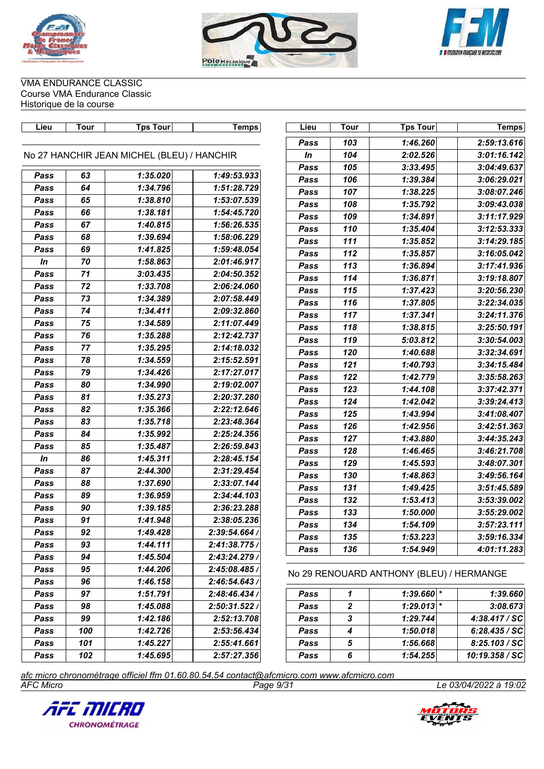





| Lieu | <b>Tour</b> | <b>Tps Tour</b>                            | <b>Temps</b>  | Lieu | <b>Tour</b> | <b>Tps Tour</b>                          | <b>Temps</b>   |
|------|-------------|--------------------------------------------|---------------|------|-------------|------------------------------------------|----------------|
|      |             |                                            |               | Pass | 103         | 1:46.260                                 | 2:59:13.616    |
|      |             | No 27 HANCHIR JEAN MICHEL (BLEU) / HANCHIR |               | In   | 104         | 2:02.526                                 | 3:01:16.142    |
|      |             |                                            |               | Pass | 105         | 3:33.495                                 | 3:04:49.637    |
| Pass | 63          | 1:35.020                                   | 1:49:53.933   | Pass | 106         | 1:39.384                                 | 3:06:29.021    |
| Pass | 64          | 1:34.796                                   | 1:51:28.729   | Pass | 107         | 1:38.225                                 | 3:08:07.246    |
| Pass | 65          | 1:38.810                                   | 1:53:07.539   | Pass | 108         | 1:35.792                                 | 3:09:43.038    |
| Pass | 66          | 1:38.181                                   | 1:54:45.720   | Pass | 109         | 1:34.891                                 | 3:11:17.929    |
| Pass | 67          | 1:40.815                                   | 1:56:26.535   | Pass | 110         | 1:35.404                                 | 3:12:53.333    |
| Pass | 68          | 1:39.694                                   | 1:58:06.229   | Pass | 111         | 1:35.852                                 | 3:14:29.185    |
| Pass | 69          | 1:41.825                                   | 1:59:48.054   | Pass | 112         | 1:35.857                                 | 3:16:05.042    |
| In   | 70          | 1:58.863                                   | 2:01:46.917   | Pass | 113         | 1:36.894                                 | 3:17:41.936    |
| Pass | 71          | 3:03.435                                   | 2:04:50.352   | Pass | 114         | 1:36.871                                 | 3:19:18.807    |
| Pass | 72          | 1:33.708                                   | 2:06:24.060   | Pass | 115         | 1:37.423                                 | 3:20:56.230    |
| Pass | 73          | 1:34.389                                   | 2:07:58.449   | Pass | 116         | 1:37.805                                 | 3:22:34.035    |
| Pass | 74          | 1:34.411                                   | 2:09:32.860   | Pass | 117         | 1:37.341                                 | 3:24:11.376    |
| Pass | 75          | 1:34.589                                   | 2:11:07.449   | Pass | 118         | 1:38.815                                 | 3:25:50.191    |
| Pass | 76          | 1:35.288                                   | 2:12:42.737   | Pass | 119         | 5:03.812                                 | 3:30:54.003    |
| Pass | $77$        | 1:35.295                                   | 2:14:18.032   | Pass | 120         | 1:40.688                                 | 3:32:34.691    |
| Pass | 78          | 1:34.559                                   | 2:15:52.591   | Pass | 121         | 1:40.793                                 | 3:34:15.484    |
| Pass | 79          | 1:34.426                                   | 2:17:27.017   | Pass | 122         | 1:42.779                                 | 3:35:58.263    |
| Pass | 80          | 1:34.990                                   | 2:19:02.007   | Pass | 123         | 1:44.108                                 | 3:37:42.371    |
| Pass | 81          | 1:35.273                                   | 2:20:37.280   | Pass | 124         | 1:42.042                                 | 3:39:24.413    |
| Pass | 82          | 1:35.366                                   | 2:22:12.646   | Pass | 125         | 1:43.994                                 | 3:41:08.407    |
| Pass | 83          | 1:35.718                                   | 2:23:48.364   | Pass | 126         | 1:42.956                                 | 3:42:51.363    |
| Pass | 84          | 1:35.992                                   | 2:25:24.356   | Pass | 127         | 1:43.880                                 | 3:44:35.243    |
| Pass | 85          | 1:35.487                                   | 2:26:59.843   | Pass | 128         | 1:46.465                                 | 3:46:21.708    |
| In   | 86          | 1:45.311                                   | 2:28:45.154   | Pass | 129         | 1:45.593                                 | 3:48:07.301    |
| Pass | 87          | 2:44.300                                   | 2:31:29.454   | Pass | 130         | 1:48.863                                 | 3:49:56.164    |
| Pass | 88          | 1:37.690                                   | 2:33:07.144   | Pass | 131         | 1:49.425                                 | 3:51:45.589    |
| Pass | 89          | 1:36.959                                   | 2:34:44.103   | Pass | 132         | 1:53.413                                 | 3:53:39.002    |
| Pass | 90          | 1:39.185                                   | 2:36:23.288   | Pass | 133         | 1:50.000                                 | 3:55:29.002    |
| Pass | 91          | 1:41.948                                   | 2:38:05.236   | Pass | 134         | 1:54.109                                 | 3:57:23.111    |
| Pass | 92          | 1:49.428                                   | 2:39:54.664 / | Pass | 135         | 1:53.223                                 | 3:59:16.334    |
| Pass | 93          | 1:44.111                                   | 2:41:38.775 / | Pass | 136         | 1:54.949                                 | 4:01:11.283    |
| Pass | 94          | 1:45.504                                   | 2:43:24.279   |      |             |                                          |                |
| Pass | 95          | 1:44.206                                   | 2:45:08.485 / |      |             | No 29 RENOUARD ANTHONY (BLEU) / HERMANGE |                |
| Pass | 96          | 1:46.158                                   | 2:46:54.643   |      |             |                                          |                |
| Pass | 97          | 1:51.791                                   | 2:48:46.434 / | Pass | 1           | $1:39.660$ *                             | 1:39.660       |
| Pass | 98          | 1:45.088                                   | 2:50:31.522 / | Pass | $\mathbf 2$ | $1:29.013$ <sup>*</sup>                  | 3:08.673       |
| Pass | 99          | 1:42.186                                   | 2:52:13.708   | Pass | 3           | 1:29.744                                 | 4:38.417 / SC  |
| Pass | 100         | 1:42.726                                   | 2:53:56.434   | Pass | 4           | 1:50.018                                 | 6:28.435 / SC  |
| Pass | 101         | 1:45.227                                   | 2:55:41.661   | Pass | 5           | 1:56.668                                 | 8:25.103 / SC  |
| Pass | 102         | 1:45.695                                   | 2:57:27.356   | Pass | 6           | 1:54.255                                 | 10:19.358 / SC |

*AFC Micro Page 9/31 Le 03/04/2022 à 19:02 afc micro chronométrage officiel ffm 01.60.80.54.54 contact@afcmicro.com www.afcmicro.com*



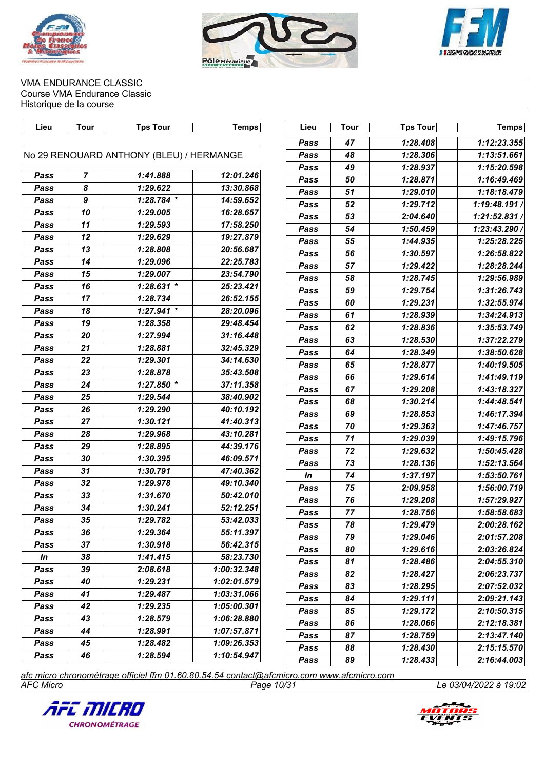

 $\mathbf{r}$ 





VMA ENDURANCE CLASSIC Course VMA Endurance Classic Historique de la course

| Lieu | Tour           | <b>Tps Tour</b>                          | Temps       | Lieu          | <b>Tour</b> | <b>Tps Tour</b> | <b>Temps</b>  |
|------|----------------|------------------------------------------|-------------|---------------|-------------|-----------------|---------------|
|      |                |                                          |             | Pass          | 47          | 1:28.408        | 1:12:23.355   |
|      |                | No 29 RENOUARD ANTHONY (BLEU) / HERMANGE |             | Pass          | 48          | 1:28.306        | 1:13:51.661   |
|      |                |                                          |             | Pass          | 49          | 1:28.937        | 1:15:20.598   |
| Pass | $\overline{7}$ | 1:41.888                                 | 12:01.246   | Pass          | 50          | 1:28.871        | 1:16:49.469   |
| Pass | 8              | 1:29.622                                 | 13:30.868   | Pass          | 51          | 1:29.010        | 1:18:18.479   |
| Pass | 9              | $1:28.784$ *                             | 14:59.652   | Pass          | 52          | 1:29.712        | 1:19:48.191 / |
| Pass | 10             | 1:29.005                                 | 16:28.657   | Pass          | 53          | 2:04.640        | 1:21:52.831   |
| Pass | 11             | 1:29.593                                 | 17:58.250   | Pass          | 54          | 1:50.459        | 1:23:43.290   |
| Pass | 12             | 1:29.629                                 | 19:27.879   | Pass          | 55          | 1:44.935        | 1:25:28.225   |
| Pass | 13             | 1:28.808                                 | 20:56.687   | Pass          | 56          | 1:30.597        | 1:26:58.822   |
| Pass | 14             | 1:29.096                                 | 22:25.783   | Pass          | 57          | 1:29.422        | 1:28:28.244   |
| Pass | 15             | 1:29.007                                 | 23:54.790   | Pass          | 58          | 1:28.745        | 1:29:56.989   |
| Pass | 16             | $\star$<br>1:28.631                      | 25:23.421   | Pass          | 59          | 1:29.754        | 1:31:26.743   |
| Pass | 17             | 1:28.734                                 | 26:52.155   | Pass          | 60          | 1:29.231        | 1:32:55.974   |
| Pass | 18             | ∗<br>1:27.941                            | 28:20.096   | Pass          | 61          | 1:28.939        | 1:34:24.913   |
| Pass | 19             | 1:28.358                                 | 29:48.454   | Pass          | 62          | 1:28.836        | 1:35:53.749   |
| Pass | 20             | 1:27.994                                 | 31:16.448   | Pass          | 63          | 1:28.530        | 1:37:22.279   |
| Pass | 21             | 1:28.881                                 | 32:45.329   | Pass          | 64          | 1:28.349        | 1:38:50.628   |
| Pass | 22             | 1:29.301                                 | 34:14.630   | Pass          | 65          | 1:28.877        | 1:40:19.505   |
| Pass | 23             | 1:28.878                                 | 35:43.508   | Pass          | 66          | 1:29.614        | 1:41:49.119   |
| Pass | 24             | $1:27.850$ <sup>*</sup>                  | 37:11.358   | Pass          | 67          | 1:29.208        | 1:43:18.327   |
| Pass | 25             | 1:29.544                                 | 38:40.902   | Pass          | 68          | 1:30.214        | 1:44:48.541   |
| Pass | 26             | 1:29.290                                 | 40:10.192   | Pass          | 69          | 1:28.853        | 1:46:17.394   |
| Pass | 27             | 1:30.121                                 | 41:40.313   | Pass          | 70          | 1:29.363        | 1:47:46.757   |
| Pass | 28             | 1:29.968                                 | 43:10.281   | Pass          | 71          | 1:29.039        | 1:49:15.796   |
| Pass | 29             | 1:28.895                                 | 44:39.176   | Pass          | 72          | 1:29.632        | 1:50:45.428   |
| Pass | 30             | 1:30.395                                 | 46:09.571   | Pass          | 73          | 1:28.136        | 1:52:13.564   |
| Pass | 31             | 1:30.791                                 | 47:40.362   | $\mathbf{ln}$ | 74          | 1:37.197        | 1:53:50.761   |
| Pass | 32             | 1:29.978                                 | 49:10.340   | Pass          | 75          | 2:09.958        | 1:56:00.719   |
| Pass | 33             | 1:31.670                                 | 50:42.010   | Pass          | 76          | 1:29.208        | 1:57:29.927   |
| Pass | 34             | 1:30.241                                 | 52:12.251   | Pass          | 77          | 1:28.756        | 1:58:58.683   |
| Pass | 35             | 1:29.782                                 | 53:42.033   | Pass          | 78          | 1:29.479        | 2:00:28.162   |
| Pass | 36             | 1:29.364                                 | 55:11.397   | Pass          | 79          | 1:29.046        | 2:01:57.208   |
| Pass | 37             | 1:30.918                                 | 56:42.315   | Pass          | 80          | 1:29.616        | 2:03:26.824   |
| In   | 38             | 1:41.415                                 | 58:23.730   | Pass          | 81          | 1:28.486        | 2:04:55.310   |
| Pass | 39             | 2:08.618                                 | 1:00:32.348 | Pass          | 82          | 1:28.427        | 2:06:23.737   |
| Pass | 40             | 1:29.231                                 | 1:02:01.579 | Pass          | 83          | 1:28.295        | 2:07:52.032   |
| Pass | 41             | 1:29.487                                 | 1:03:31.066 | Pass          | 84          | 1:29.111        | 2:09:21.143   |
| Pass | 42             | 1:29.235                                 | 1:05:00.301 | Pass          | 85          | 1:29.172        | 2:10:50.315   |
| Pass | 43             | 1:28.579                                 | 1:06:28.880 | Pass          | 86          | 1:28.066        | 2:12:18.381   |
| Pass | 44             | 1:28.991                                 | 1:07:57.871 | Pass          | 87          | 1:28.759        | 2:13:47.140   |
| Pass | 45             | 1:28.482                                 | 1:09:26.353 | Pass          | 88          | 1:28.430        | 2:15:15.570   |
| Pass | 46             | 1:28.594                                 | 1:10:54.947 | Pass          | 89          | 1:28.433        | 2:16:44.003   |
|      |                |                                          |             |               |             |                 |               |

*AFC Micro Page 10/31 Le 03/04/2022 à 19:02 afc micro chronométrage officiel ffm 01.60.80.54.54 contact@afcmicro.com www.afcmicro.com*



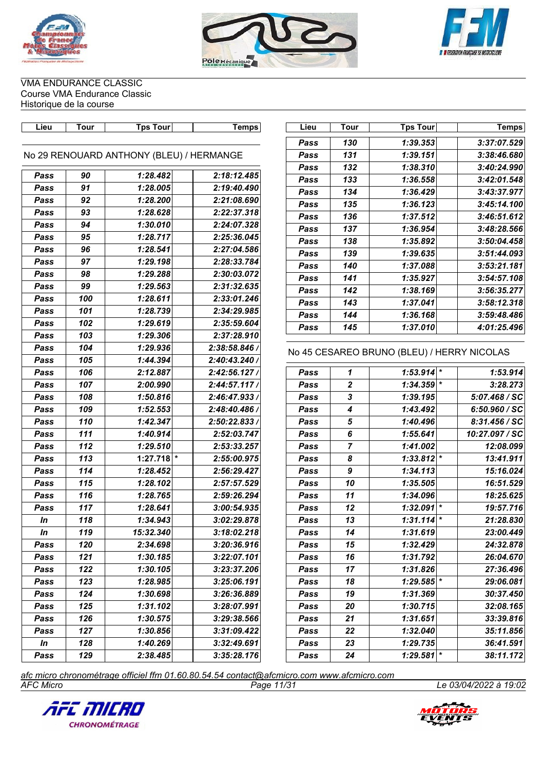





| Lieu | <b>Tour</b> | <b>Tps Tour</b>                          | <b>Temps</b> | Lieu | Tour                      | <b>Tps Tour</b>                            | <b>Temps</b>   |
|------|-------------|------------------------------------------|--------------|------|---------------------------|--------------------------------------------|----------------|
|      |             |                                          |              | Pass | 130                       | 1:39.353                                   | 3:37:07.529    |
|      |             | No 29 RENOUARD ANTHONY (BLEU) / HERMANGE |              | Pass | 131                       | 1:39.151                                   | 3:38:46.680    |
|      |             |                                          |              | Pass | 132                       | 1:38.310                                   | 3:40:24.990    |
| Pass | 90          | 1:28.482                                 | 2:18:12.485  | Pass | 133                       | 1:36.558                                   | 3:42:01.548    |
| Pass | 91          | 1:28.005                                 | 2:19:40.490  | Pass | 134                       | 1:36.429                                   | 3:43:37.977    |
| Pass | 92          | 1:28.200                                 | 2:21:08.690  | Pass | 135                       | 1:36.123                                   | 3:45:14.100    |
| Pass | 93          | 1:28.628                                 | 2:22:37.318  | Pass | 136                       | 1:37.512                                   | 3:46:51.612    |
| Pass | 94          | 1:30.010                                 | 2:24:07.328  | Pass | 137                       | 1:36.954                                   | 3:48:28.566    |
| Pass | 95          | 1:28.717                                 | 2:25:36.045  | Pass | 138                       | 1:35.892                                   | 3:50:04.458    |
| Pass | 96          | 1:28.541                                 | 2:27:04.586  | Pass | 139                       | 1:39.635                                   | 3:51:44.093    |
| Pass | 97          | 1:29.198                                 | 2:28:33.784  | Pass | 140                       | 1:37.088                                   | 3:53:21.181    |
| Pass | 98          | 1:29.288                                 | 2:30:03.072  | Pass | 141                       | 1:35.927                                   | 3:54:57.108    |
| Pass | 99          | 1:29.563                                 | 2:31:32.635  | Pass | 142                       | 1:38.169                                   | 3:56:35.277    |
| Pass | 100         | 1:28.611                                 | 2:33:01.246  | Pass | 143                       | 1:37.041                                   | 3:58:12.318    |
| Pass | 101         | 1:28.739                                 | 2:34:29.985  | Pass | 144                       | 1:36.168                                   | 3:59:48.486    |
| Pass | 102         | 1:29.619                                 | 2:35:59.604  | Pass | 145                       | 1:37.010                                   | 4:01:25.496    |
| Pass | 103         | 1:29.306                                 | 2:37:28.910  |      |                           |                                            |                |
| Pass | 104         | 1:29.936                                 | 2:38:58.846  |      |                           | No 45 CESAREO BRUNO (BLEU) / HERRY NICOLAS |                |
| Pass | 105         | 1:44.394                                 | 2:40:43.240  |      |                           |                                            |                |
| Pass | 106         | 2:12.887                                 | 2:42:56.127  | Pass | 1                         | $1:53.914$ *                               | 1:53.914       |
| Pass | 107         | 2:00.990                                 | 2:44:57.117  | Pass | $\boldsymbol{2}$          | $1:34.359$ *                               | 3:28.273       |
| Pass | 108         | 1:50.816                                 | 2:46:47.933  | Pass | $\boldsymbol{\mathsf{3}}$ | 1:39.195                                   | 5:07.468 / SC  |
| Pass | 109         | 1:52.553                                 | 2:48:40.486  | Pass | 4                         | 1:43.492                                   | 6:50.960 / SC  |
| Pass | 110         | 1:42.347                                 | 2:50:22.833  | Pass | ${\bf 5}$                 | 1:40.496                                   | 8:31.456 / SC  |
| Pass | 111         | 1:40.914                                 | 2:52:03.747  | Pass | 6                         | 1:55.641                                   | 10:27.097 / SC |
| Pass | 112         | 1:29.510                                 | 2:53:33.257  | Pass | $\overline{7}$            | 1:41.002                                   | 12:08.099      |
| Pass | 113         | $\ast$<br>1:27.718                       | 2:55:00.975  | Pass | 8                         | $1:33.812$ *                               | 13:41.911      |
| Pass | 114         | 1:28.452                                 | 2:56:29.427  | Pass | 9                         | 1:34.113                                   | 15:16.024      |
| Pass | 115         | 1:28.102                                 | 2:57:57.529  | Pass | 10                        | 1:35.505                                   | 16:51.529      |
| Pass | 116         | 1:28.765                                 | 2:59:26.294  | Pass | 11                        | 1:34.096                                   | 18:25.625      |
| Pass | 117         | 1:28.641                                 | 3:00:54.935  | Pass | 12                        | $1:32.091$ *                               | 19:57.716      |
| In   | 118         | 1:34.943                                 | 3:02:29.878  | Pass | 13                        | $1:31.114$ *                               | 21:28.830      |
| In   | 119         | 15:32.340                                | 3:18:02.218  | Pass | 14                        | 1:31.619                                   | 23:00.449      |
| Pass | 120         | 2:34.698                                 | 3:20:36.916  | Pass | 15                        | 1:32.429                                   | 24:32.878      |
| Pass | 121         | 1:30.185                                 | 3:22:07.101  | Pass | 16                        | 1:31.792                                   | 26:04.670      |
| Pass | 122         | 1:30.105                                 | 3:23:37.206  | Pass | 17                        | 1:31.826                                   | 27:36.496      |
| Pass | 123         | 1:28.985                                 | 3:25:06.191  | Pass | 18                        | $1:29.585$ <sup>*</sup>                    | 29:06.081      |
| Pass | 124         | 1:30.698                                 | 3:26:36.889  | Pass | 19                        | 1:31.369                                   | 30:37.450      |
| Pass | 125         | 1:31.102                                 | 3:28:07.991  | Pass | 20                        | 1:30.715                                   | 32:08.165      |
| Pass | 126         | 1:30.575                                 | 3:29:38.566  | Pass | 21                        | 1:31.651                                   | 33:39.816      |
| Pass | 127         | 1:30.856                                 | 3:31:09.422  | Pass | 22                        | 1:32.040                                   | 35:11.856      |
| In   | 128         | 1:40.269                                 | 3:32:49.691  | Pass | 23                        | 1:29.735                                   | 36:41.591      |
| Pass | 129         | 2:38.485                                 | 3:35:28.176  | Pass | 24                        | $1:29.581$ <sup>*</sup>                    | 38:11.172      |

*AFC Micro Page 11/31 Le 03/04/2022 à 19:02 afc micro chronométrage officiel ffm 01.60.80.54.54 contact@afcmicro.com www.afcmicro.com*



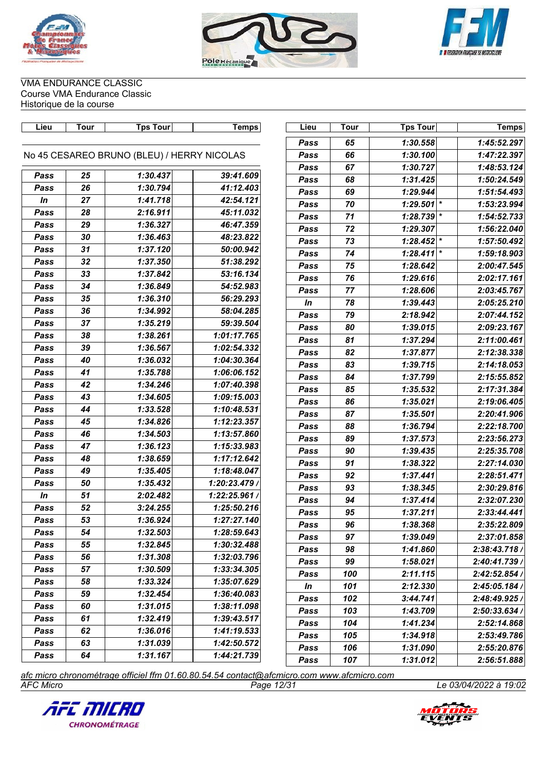





| Lieu | <b>Tour</b> | <b>Tps Tour</b>                            | <b>Temps</b> | Lieu          | <b>Tour</b> | <b>Tps Tour</b> | <b>Temps</b>  |
|------|-------------|--------------------------------------------|--------------|---------------|-------------|-----------------|---------------|
|      |             |                                            |              | Pass          | 65          | 1:30.558        | 1:45:52.297   |
|      |             | No 45 CESAREO BRUNO (BLEU) / HERRY NICOLAS |              | Pass          | 66          | 1:30.100        | 1:47:22.397   |
|      |             |                                            |              | Pass          | 67          | 1:30.727        | 1:48:53.124   |
| Pass | 25          | 1:30.437                                   | 39:41.609    | Pass          | 68          | 1:31.425        | 1:50:24.549   |
| Pass | 26          | 1:30.794                                   | 41:12.403    | Pass          | 69          | 1:29.944        | 1:51:54.493   |
| In   | 27          | 1:41.718                                   | 42:54.121    | Pass          | 70          | 1:29.501        | 1:53:23.994   |
| Pass | 28          | 2:16.911                                   | 45:11.032    | Pass          | 71          | 1:28.739        | 1:54:52.733   |
| Pass | 29          | 1:36.327                                   | 46:47.359    | Pass          | 72          | 1:29.307        | 1:56:22.040   |
| Pass | 30          | 1:36.463                                   | 48:23.822    | Pass          | 73          | $1:28.452$ *    | 1:57:50.492   |
| Pass | 31          | 1:37.120                                   | 50:00.942    | Pass          | 74          | 1:28.411        | 1:59:18.903   |
| Pass | 32          | 1:37.350                                   | 51:38.292    | Pass          | 75          | 1:28.642        | 2:00:47.545   |
| Pass | 33          | 1:37.842                                   | 53:16.134    | Pass          | 76          | 1:29.616        | 2:02:17.161   |
| Pass | 34          | 1:36.849                                   | 54:52.983    | Pass          | 77          | 1:28.606        | 2:03:45.767   |
| Pass | 35          | 1:36.310                                   | 56:29.293    | $\mathbf{ln}$ | 78          | 1:39.443        | 2:05:25.210   |
| Pass | 36          | 1:34.992                                   | 58:04.285    | Pass          | 79          | 2:18.942        | 2:07:44.152   |
| Pass | 37          | 1:35.219                                   | 59:39.504    | Pass          | 80          | 1:39.015        | 2:09:23.167   |
| Pass | 38          | 1:38.261                                   | 1:01:17.765  | Pass          | 81          | 1:37.294        | 2:11:00.461   |
| Pass | 39          | 1:36.567                                   | 1:02:54.332  | Pass          | 82          | 1:37.877        | 2:12:38.338   |
| Pass | 40          | 1:36.032                                   | 1:04:30.364  | Pass          | 83          | 1:39.715        | 2:14:18.053   |
| Pass | 41          | 1:35.788                                   | 1:06:06.152  | Pass          | 84          | 1:37.799        | 2:15:55.852   |
| Pass | 42          | 1:34.246                                   | 1:07:40.398  | Pass          | 85          | 1:35.532        | 2:17:31.384   |
| Pass | 43          | 1:34.605                                   | 1:09:15.003  | Pass          | 86          | 1:35.021        | 2:19:06.405   |
| Pass | 44          | 1:33.528                                   | 1:10:48.531  | Pass          | 87          | 1:35.501        | 2:20:41.906   |
| Pass | 45          | 1:34.826                                   | 1:12:23.357  | Pass          | 88          | 1:36.794        | 2:22:18.700   |
| Pass | 46          | 1:34.503                                   | 1:13:57.860  | Pass          | 89          | 1:37.573        | 2:23:56.273   |
| Pass | 47          | 1:36.123                                   | 1:15:33.983  | Pass          | 90          | 1:39.435        | 2:25:35.708   |
| Pass | 48          | 1:38.659                                   | 1:17:12.642  | Pass          | 91          | 1:38.322        | 2:27:14.030   |
| Pass | 49          | 1:35.405                                   | 1:18:48.047  | Pass          | 92          | 1:37.441        | 2:28:51.471   |
| Pass | 50          | 1:35.432                                   | 1:20:23.479  | Pass          | 93          | 1:38.345        | 2:30:29.816   |
| In   | 51          | 2:02.482                                   | 1:22:25.961/ | Pass          | 94          | 1:37.414        | 2:32:07.230   |
| Pass | 52          | 3:24.255                                   | 1:25:50.216  | Pass          | 95          | 1:37.211        | 2:33:44.441   |
| Pass | 53          | 1:36.924                                   | 1:27:27.140  | Pass          | 96          | 1:38.368        | 2:35:22.809   |
| Pass | 54          | 1:32.503                                   | 1:28:59.643  | Pass          | 97          | 1:39.049        | 2:37:01.858   |
| Pass | 55          | 1:32.845                                   | 1:30:32.488  | Pass          | 98          | 1:41.860        | 2:38:43.718 / |
| Pass | 56          | 1:31.308                                   | 1:32:03.796  | Pass          | 99          | 1:58.021        | 2:40:41.739 / |
| Pass | 57          | 1:30.509                                   | 1:33:34.305  | Pass          | 100         | 2:11.115        | 2:42:52.854   |
| Pass | 58          | 1:33.324                                   | 1:35:07.629  | In            | 101         | 2:12.330        | 2:45:05.184   |
| Pass | 59          | 1:32.454                                   | 1:36:40.083  | Pass          | 102         | 3:44.741        | 2:48:49.925   |
| Pass | 60          | 1:31.015                                   | 1:38:11.098  | Pass          | 103         | 1:43.709        | 2:50:33.634   |
| Pass | 61          | 1:32.419                                   | 1:39:43.517  | Pass          | 104         | 1:41.234        | 2:52:14.868   |
| Pass | 62          | 1:36.016                                   | 1:41:19.533  | Pass          | 105         | 1:34.918        | 2:53:49.786   |
| Pass | 63          | 1:31.039                                   | 1:42:50.572  | Pass          | 106         | 1:31.090        | 2:55:20.876   |
| Pass | 64          | 1:31.167                                   | 1:44:21.739  | Pass          | 107         | 1:31.012        | 2:56:51.888   |

*AFC Micro Page 12/31 Le 03/04/2022 à 19:02 afc micro chronométrage officiel ffm 01.60.80.54.54 contact@afcmicro.com www.afcmicro.com*



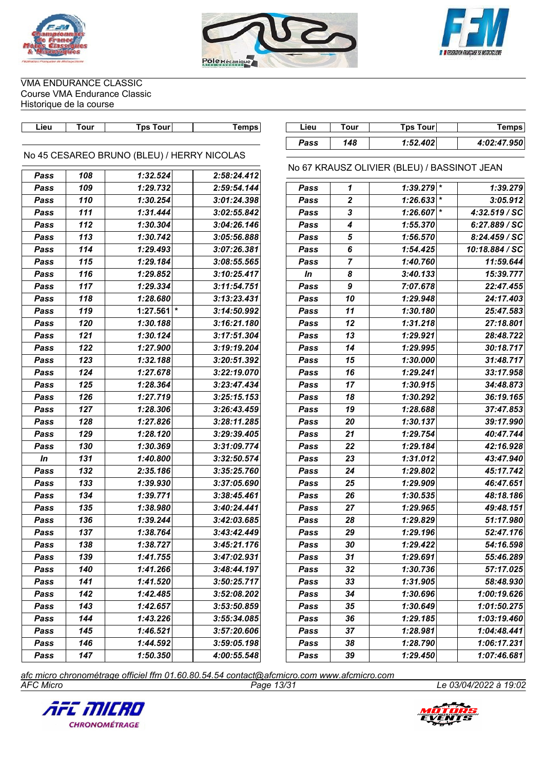





| Lieu | <b>Tour</b> | <b>Tps Tour</b>                            | <b>Temps</b> | Lieu | <b>Tour</b>      | <b>Tps Tour</b>                             | <b>Temps</b>   |
|------|-------------|--------------------------------------------|--------------|------|------------------|---------------------------------------------|----------------|
|      |             |                                            |              | Pass | 148              | 1:52.402                                    | 4:02:47.950    |
|      |             | No 45 CESAREO BRUNO (BLEU) / HERRY NICOLAS |              |      |                  |                                             |                |
|      |             |                                            |              |      |                  | No 67 KRAUSZ OLIVIER (BLEU) / BASSINOT JEAN |                |
| Pass | 108         | 1:32.524                                   | 2:58:24.412  |      |                  |                                             |                |
| Pass | 109         | 1:29.732                                   | 2:59:54.144  | Pass | 1                | $1:39.279$ *                                | 1:39.279       |
| Pass | 110         | 1:30.254                                   | 3:01:24.398  | Pass | $\boldsymbol{2}$ | 1:26.633                                    | 3:05.912       |
| Pass | 111         | 1:31.444                                   | 3:02:55.842  | Pass | 3                | $1:26.607$ *                                | 4:32.519 / SC  |
| Pass | 112         | 1:30.304                                   | 3:04:26.146  | Pass | 4                | 1:55.370                                    | 6:27.889 / SC  |
| Pass | 113         | 1:30.742                                   | 3:05:56.888  | Pass | 5                | 1:56.570                                    | 8:24.459 / SC  |
| Pass | 114         | 1:29.493                                   | 3:07:26.381  | Pass | 6                | 1:54.425                                    | 10:18.884 / SC |
| Pass | 115         | 1:29.184                                   | 3:08:55.565  | Pass | $\overline{7}$   | 1:40.760                                    | 11:59.644      |
| Pass | 116         | 1:29.852                                   | 3:10:25.417  | In   | 8                | 3:40.133                                    | 15:39.777      |
| Pass | 117         | 1:29.334                                   | 3:11:54.751  | Pass | 9                | 7:07.678                                    | 22:47.455      |
| Pass | 118         | 1:28.680                                   | 3:13:23.431  | Pass | 10               | 1:29.948                                    | 24:17.403      |
| Pass | 119         | $\ast$<br>1:27.561                         | 3:14:50.992  | Pass | 11               | 1:30.180                                    | 25:47.583      |
| Pass | 120         | 1:30.188                                   | 3:16:21.180  | Pass | 12               | 1:31.218                                    | 27:18.801      |
| Pass | 121         | 1:30.124                                   | 3:17:51.304  | Pass | 13               | 1:29.921                                    | 28:48.722      |
| Pass | 122         | 1:27.900                                   | 3:19:19.204  | Pass | 14               | 1:29.995                                    | 30:18.717      |
| Pass | 123         | 1:32.188                                   | 3:20:51.392  | Pass | 15               | 1:30.000                                    | 31:48.717      |
| Pass | 124         | 1:27.678                                   | 3:22:19.070  | Pass | 16               | 1:29.241                                    | 33:17.958      |
| Pass | 125         | 1:28.364                                   | 3:23:47.434  | Pass | 17               | 1:30.915                                    | 34:48.873      |
| Pass | 126         | 1:27.719                                   | 3:25:15.153  | Pass | 18               | 1:30.292                                    | 36:19.165      |
| Pass | 127         | 1:28.306                                   | 3:26:43.459  | Pass | 19               | 1:28.688                                    | 37:47.853      |
| Pass | 128         | 1:27.826                                   | 3:28:11.285  | Pass | 20               | 1:30.137                                    | 39:17.990      |
| Pass | 129         | 1:28.120                                   | 3:29:39.405  | Pass | 21               | 1:29.754                                    | 40:47.744      |
| Pass | 130         | 1:30.369                                   | 3:31:09.774  | Pass | 22               | 1:29.184                                    | 42:16.928      |
| In   | 131         | 1:40.800                                   | 3:32:50.574  | Pass | 23               | 1:31.012                                    | 43:47.940      |
| Pass | 132         | 2:35.186                                   | 3:35:25.760  | Pass | 24               | 1:29.802                                    | 45:17.742      |
| Pass | 133         | 1:39.930                                   | 3:37:05.690  | Pass | 25               | 1:29.909                                    | 46:47.651      |
| Pass | 134         | 1:39.771                                   | 3:38:45.461  | Pass | 26               | 1:30.535                                    | 48:18.186      |
| Pass | 135         | 1:38.980                                   | 3:40:24.441  | Pass | 27               | 1:29.965                                    | 49:48.151      |
| Pass | 136         | 1:39.244                                   | 3:42:03.685  | Pass | 28               | 1:29.829                                    | 51:17.980      |
| Pass | 137         | 1:38.764                                   | 3:43:42.449  | Pass | 29               | 1:29.196                                    | 52:47.176      |
| Pass | 138         | 1:38.727                                   | 3:45:21.176  | Pass | 30               | 1:29.422                                    | 54:16.598      |
| Pass | 139         | 1:41.755                                   | 3:47:02.931  | Pass | 31               | 1:29.691                                    | 55:46.289      |
| Pass | 140         | 1:41.266                                   | 3:48:44.197  | Pass | 32               | 1:30.736                                    | 57:17.025      |
| Pass | 141         | 1:41.520                                   | 3:50:25.717  | Pass | 33               | 1:31.905                                    | 58:48.930      |
| Pass | 142         | 1:42.485                                   | 3:52:08.202  | Pass | 34               | 1:30.696                                    | 1:00:19.626    |
| Pass | 143         | 1:42.657                                   | 3:53:50.859  | Pass | 35               | 1:30.649                                    | 1:01:50.275    |
| Pass | 144         | 1:43.226                                   | 3:55:34.085  | Pass | 36               | 1:29.185                                    | 1:03:19.460    |
| Pass | 145         | 1:46.521                                   | 3:57:20.606  | Pass | 37               | 1:28.981                                    | 1:04:48.441    |
| Pass | 146         | 1:44.592                                   | 3:59:05.198  | Pass | 38               | 1:28.790                                    | 1:06:17.231    |
| Pass | 147         | 1:50.350                                   | 4:00:55.548  | Pass | 39               | 1:29.450                                    | 1:07:46.681    |

*AFC Micro Page 13/31 Le 03/04/2022 à 19:02 afc micro chronométrage officiel ffm 01.60.80.54.54 contact@afcmicro.com www.afcmicro.com*



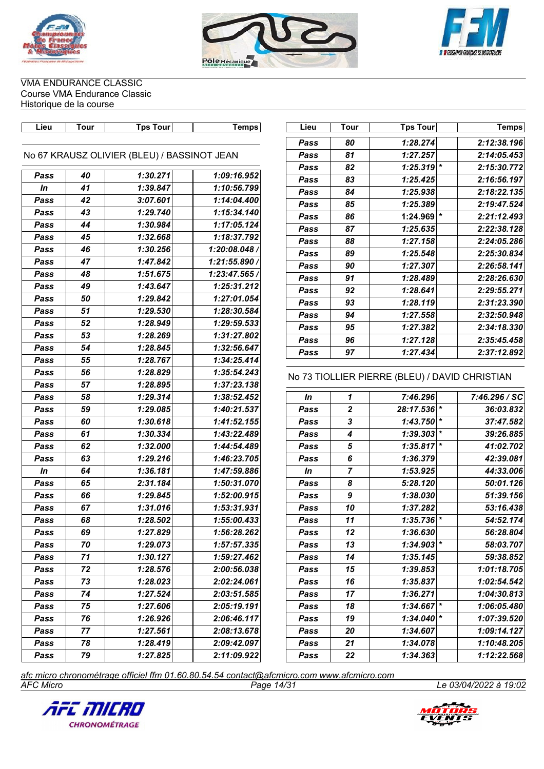





| Lieu          |             |                                             |              |      |                  |                                                |               |
|---------------|-------------|---------------------------------------------|--------------|------|------------------|------------------------------------------------|---------------|
|               | <b>Tour</b> | <b>Tps Tour</b>                             | <b>Temps</b> | Lieu | <b>Tour</b>      | <b>Tps Tour</b>                                | <b>Temps</b>  |
|               |             |                                             |              | Pass | 80               | 1:28.274                                       | 2:12:38.196   |
|               |             | No 67 KRAUSZ OLIVIER (BLEU) / BASSINOT JEAN |              | Pass | 81               | 1:27.257                                       | 2:14:05.453   |
|               |             |                                             |              | Pass | 82               | $1:25.319$ *                                   | 2:15:30.772   |
| Pass          | 40          | 1:30.271                                    | 1:09:16.952  | Pass | 83               | 1:25.425                                       | 2:16:56.197   |
| $\mathsf{In}$ | 41          | 1:39.847                                    | 1:10:56.799  | Pass | 84               | 1:25.938                                       | 2:18:22.135   |
| Pass          | 42          | 3:07.601                                    | 1:14:04.400  | Pass | 85               | 1:25.389                                       | 2:19:47.524   |
| Pass          | 43          | 1:29.740                                    | 1:15:34.140  | Pass | 86               | 1:24.969                                       | 2:21:12.493   |
| Pass          | 44          | 1:30.984                                    | 1:17:05.124  | Pass | 87               | 1:25.635                                       | 2:22:38.128   |
| Pass          | 45          | 1:32.668                                    | 1:18:37.792  | Pass | 88               | 1:27.158                                       | 2:24:05.286   |
| Pass          | 46          | 1:30.256                                    | 1:20:08.048  | Pass | 89               | 1:25.548                                       | 2:25:30.834   |
| Pass          | 47          | 1:47.842                                    | 1:21:55.890  | Pass | 90               | 1:27.307                                       | 2:26:58.141   |
| Pass          | 48          | 1:51.675                                    | 1:23:47.565  | Pass | 91               | 1:28.489                                       | 2:28:26.630   |
| Pass          | 49          | 1:43.647                                    | 1:25:31.212  | Pass | 92               | 1:28.641                                       | 2:29:55.271   |
| Pass          | 50          | 1:29.842                                    | 1:27:01.054  | Pass | 93               | 1:28.119                                       | 2:31:23.390   |
| Pass          | 51          | 1:29.530                                    | 1:28:30.584  | Pass | 94               | 1:27.558                                       | 2:32:50.948   |
| Pass          | 52          | 1:28.949                                    | 1:29:59.533  | Pass | 95               | 1:27.382                                       | 2:34:18.330   |
| Pass          | 53          | 1:28.269                                    | 1:31:27.802  | Pass | 96               | 1:27.128                                       | 2:35:45.458   |
| Pass          | 54          | 1:28.845                                    | 1:32:56.647  | Pass | 97               | 1:27.434                                       | 2:37:12.892   |
| Pass          | 55          | 1:28.767                                    | 1:34:25.414  |      |                  |                                                |               |
| Pass          | 56          | 1:28.829                                    | 1:35:54.243  |      |                  | No 73 TIOLLIER PIERRE (BLEU) / DAVID CHRISTIAN |               |
| Pass          | 57          |                                             |              |      |                  |                                                |               |
|               |             | 1:28.895                                    | 1:37:23.138  |      |                  |                                                |               |
| Pass          | 58          | 1:29.314                                    | 1:38:52.452  | In   | 1                | 7:46.296                                       | 7:46.296 / SC |
| Pass          | 59          | 1:29.085                                    | 1:40:21.537  | Pass | $\boldsymbol{2}$ | 28:17.536 *                                    | 36:03.832     |
| Pass          | 60          | 1:30.618                                    | 1:41:52.155  | Pass | 3                | 1:43.750                                       | 37:47.582     |
| Pass          | 61          | 1:30.334                                    | 1:43:22.489  | Pass | 4                | $1:39.303$ *                                   | 39:26.885     |
| Pass          | 62          | 1:32.000                                    | 1:44:54.489  | Pass | 5                | $1:35.817$ *                                   | 41:02.702     |
| Pass          | 63          | 1:29.216                                    | 1:46:23.705  | Pass | 6                | 1:36.379                                       | 42:39.081     |
| In            | 64          | 1:36.181                                    | 1:47:59.886  | In   | 7                | 1:53.925                                       | 44:33.006     |
| Pass          | 65          | 2:31.184                                    | 1:50:31.070  | Pass | 8                | 5:28.120                                       | 50:01.126     |
| Pass          | 66          | 1:29.845                                    | 1:52:00.915  | Pass | 9                | 1:38.030                                       | 51:39.156     |
| Pass          | 67          | 1:31.016                                    | 1:53:31.931  | Pass | 10               | 1:37.282                                       | 53:16.438     |
| Pass          | 68          | 1:28.502                                    | 1:55:00.433  | Pass | 11               | $1:35.736$ *                                   | 54:52.174     |
| Pass          | 69          | 1:27.829                                    | 1:56:28.262  | Pass | 12               | 1:36.630                                       | 56:28.804     |
| Pass          | 70          | 1:29.073                                    | 1:57:57.335  | Pass | 13               | $1:34.903$ <sup>*</sup>                        | 58:03.707     |
| Pass          | 71          | 1:30.127                                    | 1:59:27.462  | Pass | 14               | 1:35.145                                       | 59:38.852     |
| Pass          | 72          | 1:28.576                                    | 2:00:56.038  | Pass | 15               | 1:39.853                                       | 1:01:18.705   |
| Pass          | 73          | 1:28.023                                    | 2:02:24.061  | Pass | 16               | 1:35.837                                       | 1:02:54.542   |
| Pass          | 74          | 1:27.524                                    | 2:03:51.585  | Pass | 17               | 1:36.271                                       | 1:04:30.813   |
| Pass          | 75          | 1:27.606                                    | 2:05:19.191  | Pass | 18               | $1:34.667$ *                                   | 1:06:05.480   |
| Pass          | 76          | 1:26.926                                    | 2:06:46.117  | Pass | 19               | $1:34.040$ *                                   | 1:07:39.520   |
| Pass          | 77          | 1:27.561                                    | 2:08:13.678  | Pass | 20               | 1:34.607                                       | 1:09:14.127   |
| Pass          | 78          | 1:28.419                                    | 2:09:42.097  | Pass | 21               | 1:34.078                                       | 1:10:48.205   |

*AFC Micro Page 14/31 Le 03/04/2022 à 19:02 afc micro chronométrage officiel ffm 01.60.80.54.54 contact@afcmicro.com www.afcmicro.com*



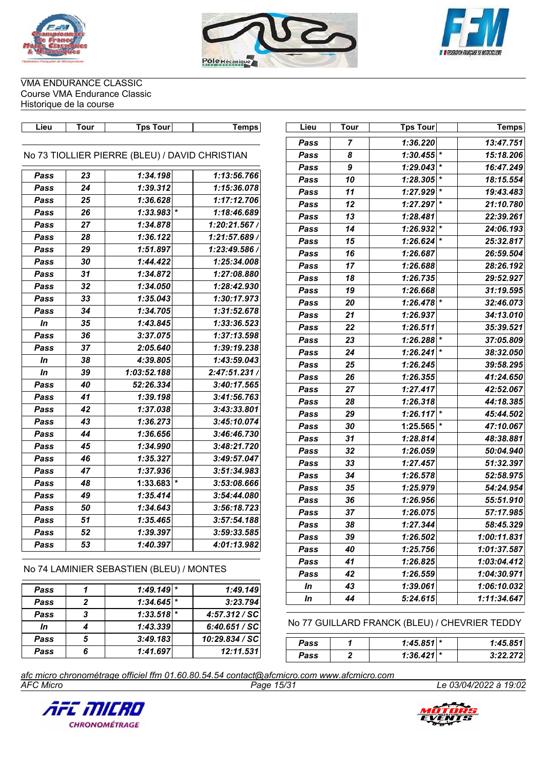





**Lieu Tour Tps Tour Temps Lieu Tour Tps Tour Temps**

| Pass<br>No 73 TIOLLIER PIERRE (BLEU) / DAVID CHRISTIAN<br>Pass<br>Pass<br>23<br>1:34.198<br>1:13:56.766<br>Pass<br>Pass<br>24<br>1:39.312<br>1:15:36.078<br>Pass<br>Pass<br>25<br>1:36.628<br>1:17:12.706<br>Pass<br>Pass<br>$1:33.983$ *<br>Pass<br>26<br>1:18:46.689<br>Pass<br>27<br>1:20:21.567/<br>Pass<br>1:34.878<br>Pass<br>28<br>1:36.122<br>1:21:57.689<br>Pass<br>Pass<br>29<br>1:51.897<br>1:23:49.586<br>Pass<br>Pass<br>30<br>Pass<br>1:44.422<br>1:25:34.008<br>Pass<br>31<br>Pass<br>1:34.872<br>1:27:08.880<br>Pass<br>Pass<br>32<br>1:34.050<br>1:28:42.930<br>Pass<br>33<br>Pass<br>1:35.043<br>1:30:17.973<br>Pass<br>1:31:52.678<br>34<br>1:34.705<br>Pass<br>Pass<br>35<br>1:43.845<br>1:33:36.523<br>In<br>Pass<br>Pass<br>36<br>3:37.075<br>1:37:13.598<br>Pass<br>1:39:19.238<br>37<br>2:05.640<br>Pass<br>Pass<br>38<br>4:39.805<br>1:43:59.043<br>In<br>Pass<br>39<br>1:03:52.188<br>2:47:51.231<br>In<br>Pass<br>40<br>52:26.334<br>3:40:17.565<br>Pass<br>Pass<br>41<br>Pass<br>1:39.198<br>3:41:56.763<br>Pass<br>1:37.038<br>Pass<br>42<br>3:43:33.801<br>Pass<br>43<br>Pass<br>1:36.273<br>3:45:10.074<br>Pass<br>44<br>Pass<br>1:36.656<br>3:46:46.730<br>Pass<br>45<br>1:34.990<br>3:48:21.720<br>Pass<br>Pass<br>46<br>1:35.327<br>3:49:57.047<br>Pass<br>Pass<br>1:37.936<br>47<br>3:51:34.983<br>Pass<br>Pass<br>Pass<br>48<br>1:33.683<br>3:53:08.666<br>Pass<br>49<br>Pass<br>1:35.414<br>3:54:44.080<br>Pass<br>50<br>1:34.643<br>3:56:18.723<br>Pass<br>Pass<br>51<br>1:35.465<br>3:57:54.188<br>Pass<br>Pass<br>52<br>1:39.397<br>3:59:33.585<br>Pass<br>Pass |      |    |          |             |      |
|---------------------------------------------------------------------------------------------------------------------------------------------------------------------------------------------------------------------------------------------------------------------------------------------------------------------------------------------------------------------------------------------------------------------------------------------------------------------------------------------------------------------------------------------------------------------------------------------------------------------------------------------------------------------------------------------------------------------------------------------------------------------------------------------------------------------------------------------------------------------------------------------------------------------------------------------------------------------------------------------------------------------------------------------------------------------------------------------------------------------------------------------------------------------------------------------------------------------------------------------------------------------------------------------------------------------------------------------------------------------------------------------------------------------------------------------------------------------------------------------------------------------------------------------------------------------------------------------------------|------|----|----------|-------------|------|
|                                                                                                                                                                                                                                                                                                                                                                                                                                                                                                                                                                                                                                                                                                                                                                                                                                                                                                                                                                                                                                                                                                                                                                                                                                                                                                                                                                                                                                                                                                                                                                                                         |      |    |          |             |      |
|                                                                                                                                                                                                                                                                                                                                                                                                                                                                                                                                                                                                                                                                                                                                                                                                                                                                                                                                                                                                                                                                                                                                                                                                                                                                                                                                                                                                                                                                                                                                                                                                         |      |    |          |             |      |
|                                                                                                                                                                                                                                                                                                                                                                                                                                                                                                                                                                                                                                                                                                                                                                                                                                                                                                                                                                                                                                                                                                                                                                                                                                                                                                                                                                                                                                                                                                                                                                                                         |      |    |          |             |      |
|                                                                                                                                                                                                                                                                                                                                                                                                                                                                                                                                                                                                                                                                                                                                                                                                                                                                                                                                                                                                                                                                                                                                                                                                                                                                                                                                                                                                                                                                                                                                                                                                         |      |    |          |             |      |
|                                                                                                                                                                                                                                                                                                                                                                                                                                                                                                                                                                                                                                                                                                                                                                                                                                                                                                                                                                                                                                                                                                                                                                                                                                                                                                                                                                                                                                                                                                                                                                                                         |      |    |          |             |      |
|                                                                                                                                                                                                                                                                                                                                                                                                                                                                                                                                                                                                                                                                                                                                                                                                                                                                                                                                                                                                                                                                                                                                                                                                                                                                                                                                                                                                                                                                                                                                                                                                         |      |    |          |             |      |
|                                                                                                                                                                                                                                                                                                                                                                                                                                                                                                                                                                                                                                                                                                                                                                                                                                                                                                                                                                                                                                                                                                                                                                                                                                                                                                                                                                                                                                                                                                                                                                                                         |      |    |          |             |      |
|                                                                                                                                                                                                                                                                                                                                                                                                                                                                                                                                                                                                                                                                                                                                                                                                                                                                                                                                                                                                                                                                                                                                                                                                                                                                                                                                                                                                                                                                                                                                                                                                         |      |    |          |             |      |
|                                                                                                                                                                                                                                                                                                                                                                                                                                                                                                                                                                                                                                                                                                                                                                                                                                                                                                                                                                                                                                                                                                                                                                                                                                                                                                                                                                                                                                                                                                                                                                                                         |      |    |          |             |      |
|                                                                                                                                                                                                                                                                                                                                                                                                                                                                                                                                                                                                                                                                                                                                                                                                                                                                                                                                                                                                                                                                                                                                                                                                                                                                                                                                                                                                                                                                                                                                                                                                         |      |    |          |             |      |
|                                                                                                                                                                                                                                                                                                                                                                                                                                                                                                                                                                                                                                                                                                                                                                                                                                                                                                                                                                                                                                                                                                                                                                                                                                                                                                                                                                                                                                                                                                                                                                                                         |      |    |          |             |      |
|                                                                                                                                                                                                                                                                                                                                                                                                                                                                                                                                                                                                                                                                                                                                                                                                                                                                                                                                                                                                                                                                                                                                                                                                                                                                                                                                                                                                                                                                                                                                                                                                         |      |    |          |             |      |
|                                                                                                                                                                                                                                                                                                                                                                                                                                                                                                                                                                                                                                                                                                                                                                                                                                                                                                                                                                                                                                                                                                                                                                                                                                                                                                                                                                                                                                                                                                                                                                                                         |      |    |          |             |      |
|                                                                                                                                                                                                                                                                                                                                                                                                                                                                                                                                                                                                                                                                                                                                                                                                                                                                                                                                                                                                                                                                                                                                                                                                                                                                                                                                                                                                                                                                                                                                                                                                         |      |    |          |             |      |
|                                                                                                                                                                                                                                                                                                                                                                                                                                                                                                                                                                                                                                                                                                                                                                                                                                                                                                                                                                                                                                                                                                                                                                                                                                                                                                                                                                                                                                                                                                                                                                                                         |      |    |          |             |      |
|                                                                                                                                                                                                                                                                                                                                                                                                                                                                                                                                                                                                                                                                                                                                                                                                                                                                                                                                                                                                                                                                                                                                                                                                                                                                                                                                                                                                                                                                                                                                                                                                         |      |    |          |             |      |
|                                                                                                                                                                                                                                                                                                                                                                                                                                                                                                                                                                                                                                                                                                                                                                                                                                                                                                                                                                                                                                                                                                                                                                                                                                                                                                                                                                                                                                                                                                                                                                                                         |      |    |          |             |      |
|                                                                                                                                                                                                                                                                                                                                                                                                                                                                                                                                                                                                                                                                                                                                                                                                                                                                                                                                                                                                                                                                                                                                                                                                                                                                                                                                                                                                                                                                                                                                                                                                         |      |    |          |             |      |
|                                                                                                                                                                                                                                                                                                                                                                                                                                                                                                                                                                                                                                                                                                                                                                                                                                                                                                                                                                                                                                                                                                                                                                                                                                                                                                                                                                                                                                                                                                                                                                                                         |      |    |          |             |      |
|                                                                                                                                                                                                                                                                                                                                                                                                                                                                                                                                                                                                                                                                                                                                                                                                                                                                                                                                                                                                                                                                                                                                                                                                                                                                                                                                                                                                                                                                                                                                                                                                         |      |    |          |             |      |
|                                                                                                                                                                                                                                                                                                                                                                                                                                                                                                                                                                                                                                                                                                                                                                                                                                                                                                                                                                                                                                                                                                                                                                                                                                                                                                                                                                                                                                                                                                                                                                                                         |      |    |          |             |      |
|                                                                                                                                                                                                                                                                                                                                                                                                                                                                                                                                                                                                                                                                                                                                                                                                                                                                                                                                                                                                                                                                                                                                                                                                                                                                                                                                                                                                                                                                                                                                                                                                         |      |    |          |             |      |
|                                                                                                                                                                                                                                                                                                                                                                                                                                                                                                                                                                                                                                                                                                                                                                                                                                                                                                                                                                                                                                                                                                                                                                                                                                                                                                                                                                                                                                                                                                                                                                                                         |      |    |          |             |      |
|                                                                                                                                                                                                                                                                                                                                                                                                                                                                                                                                                                                                                                                                                                                                                                                                                                                                                                                                                                                                                                                                                                                                                                                                                                                                                                                                                                                                                                                                                                                                                                                                         |      |    |          |             |      |
|                                                                                                                                                                                                                                                                                                                                                                                                                                                                                                                                                                                                                                                                                                                                                                                                                                                                                                                                                                                                                                                                                                                                                                                                                                                                                                                                                                                                                                                                                                                                                                                                         |      |    |          |             |      |
|                                                                                                                                                                                                                                                                                                                                                                                                                                                                                                                                                                                                                                                                                                                                                                                                                                                                                                                                                                                                                                                                                                                                                                                                                                                                                                                                                                                                                                                                                                                                                                                                         |      |    |          |             |      |
|                                                                                                                                                                                                                                                                                                                                                                                                                                                                                                                                                                                                                                                                                                                                                                                                                                                                                                                                                                                                                                                                                                                                                                                                                                                                                                                                                                                                                                                                                                                                                                                                         |      |    |          |             |      |
|                                                                                                                                                                                                                                                                                                                                                                                                                                                                                                                                                                                                                                                                                                                                                                                                                                                                                                                                                                                                                                                                                                                                                                                                                                                                                                                                                                                                                                                                                                                                                                                                         |      |    |          |             |      |
|                                                                                                                                                                                                                                                                                                                                                                                                                                                                                                                                                                                                                                                                                                                                                                                                                                                                                                                                                                                                                                                                                                                                                                                                                                                                                                                                                                                                                                                                                                                                                                                                         |      |    |          |             |      |
|                                                                                                                                                                                                                                                                                                                                                                                                                                                                                                                                                                                                                                                                                                                                                                                                                                                                                                                                                                                                                                                                                                                                                                                                                                                                                                                                                                                                                                                                                                                                                                                                         |      |    |          |             |      |
|                                                                                                                                                                                                                                                                                                                                                                                                                                                                                                                                                                                                                                                                                                                                                                                                                                                                                                                                                                                                                                                                                                                                                                                                                                                                                                                                                                                                                                                                                                                                                                                                         |      |    |          |             |      |
|                                                                                                                                                                                                                                                                                                                                                                                                                                                                                                                                                                                                                                                                                                                                                                                                                                                                                                                                                                                                                                                                                                                                                                                                                                                                                                                                                                                                                                                                                                                                                                                                         |      |    |          |             |      |
|                                                                                                                                                                                                                                                                                                                                                                                                                                                                                                                                                                                                                                                                                                                                                                                                                                                                                                                                                                                                                                                                                                                                                                                                                                                                                                                                                                                                                                                                                                                                                                                                         |      |    |          |             |      |
|                                                                                                                                                                                                                                                                                                                                                                                                                                                                                                                                                                                                                                                                                                                                                                                                                                                                                                                                                                                                                                                                                                                                                                                                                                                                                                                                                                                                                                                                                                                                                                                                         | Pass | 53 | 1:40.397 | 4:01:13.982 | Pass |

### No 74 LAMINIER SEBASTIEN (BLEU) / MONTES

| Pass |   | $1:49.149$ <sup>*</sup> | 1:49.149       |
|------|---|-------------------------|----------------|
| Pass | 2 | $1:34.645$ <sup>*</sup> | 3:23.794       |
| Pass | 3 | $1:33.518$ *            | 4:57.312 / SC  |
| In   |   | 1:43.339                | 6:40.651 / SC  |
| Pass | 5 | 3:49.183                | 10:29.834 / SC |
| Pass |   | 1:41.697                | 12:11.531      |

| Lieu | Tour | <b>Tps Tour</b>         | <b>Temps</b> |
|------|------|-------------------------|--------------|
| Pass | 7    | 1:36.220                | 13:47.751    |
| Pass | 8    | $1:30.455$ *            | 15:18.206    |
| Pass | 9    | $1:29.043$ *            | 16:47.249    |
| Pass | 10   | $1:28.305$ <sup>*</sup> | 18:15.554    |
| Pass | 11   | $1:27.929$ <sup>*</sup> | 19:43.483    |
| Pass | 12   | $1:27.297$ <sup>*</sup> | 21:10.780    |
| Pass | 13   | 1:28.481                | 22:39.261    |
| Pass | 14   | $1:26.932$ *            | 24:06.193    |
| Pass | 15   | $1:26.624$ *            | 25:32.817    |
| Pass | 16   | 1:26.687                | 26:59.504    |
| Pass | 17   | 1:26.688                | 28:26.192    |
| Pass | 18   | 1:26.735                | 29:52.927    |
| Pass | 19   | 1:26.668                | 31:19.595    |
| Pass | 20   | $1:26.478$ <sup>*</sup> | 32:46.073    |
| Pass | 21   | 1:26.937                | 34:13.010    |
| Pass | 22   | 1:26.511                | 35:39.521    |
| Pass | 23   | $1:26.288$ *            | 37:05.809    |
| Pass | 24   | 1:26.241                | 38:32.050    |
| Pass | 25   | 1:26.245                | 39:58.295    |
| Pass | 26   | 1:26.355                | 41:24.650    |
| Pass | 27   | 1:27.417                | 42:52.067    |
| Pass | 28   | 1:26.318                | 44:18.385    |
| Pass | 29   | $1:26.117$ *            | 45:44.502    |
| Pass | 30   | $1:25.565$ <sup>*</sup> | 47:10.067    |
| Pass | 31   | 1:28.814                | 48:38.881    |
| Pass | 32   | 1:26.059                | 50:04.940    |
| Pass | 33   | 1:27.457                | 51:32.397    |
| Pass | 34   | 1:26.578                | 52:58.975    |
| Pass | 35   | 1:25.979                | 54:24.954    |
| Pass | 36   | 1:26.956                | 55:51.910    |
| Pass | 37   | 1:26.075                | 57:17.985    |
| Pass | 38   | 1:27.344                | 58:45.329    |
| Pass | 39   | 1:26.502                | 1:00:11.831  |
| Pass | 40   | 1:25.756                | 1:01:37.587  |
| Pass | 41   | 1:26.825                | 1:03:04.412  |
| Pass | 42   | 1:26.559                | 1:04:30.971  |
| In   | 43   | 1:39.061                | 1:06:10.032  |
| In   | 44   | 5:24.615                | 1:11:34.647  |

No 77 GUILLARD FRANCK (BLEU) / CHEVRIER TEDDY

| Pass | $1:45.851$ <sup>*</sup> | 1:45.851 |
|------|-------------------------|----------|
| Pass | 1:36.421                | 3:22.272 |

*AFC Micro Page 15/31 Le 03/04/2022 à 19:02 afc micro chronométrage officiel ffm 01.60.80.54.54 contact@afcmicro.com www.afcmicro.com*



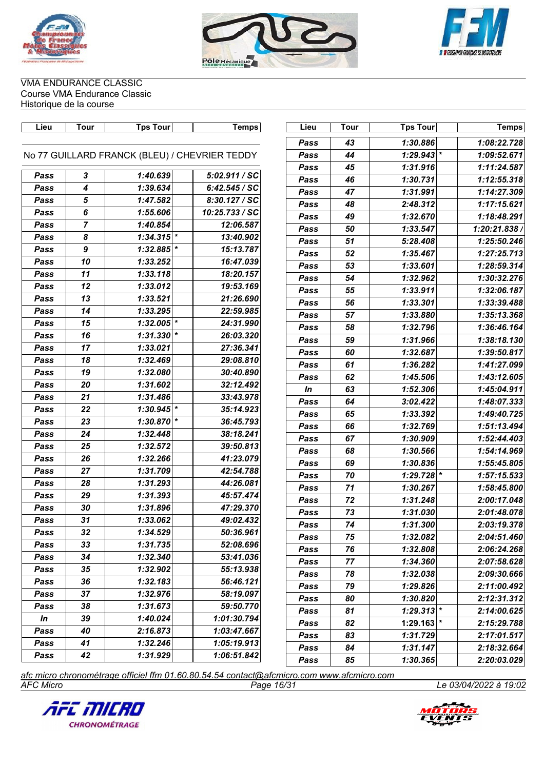





VMA ENDURANCE CLASSIC Course VMA Endurance Classic Historique de la course

| Lieu | <b>Tour</b>      | <b>Tps Tour</b>                               | <b>Temps</b>   | Lieu        | <b>Tour</b> | <b>Tps Tour</b>         | <b>Temps</b> |
|------|------------------|-----------------------------------------------|----------------|-------------|-------------|-------------------------|--------------|
|      |                  |                                               |                | Pass        | 43          | 1:30.886                | 1:08:22.728  |
|      |                  | No 77 GUILLARD FRANCK (BLEU) / CHEVRIER TEDDY |                | Pass        | 44          | $1:29.943$ <sup>*</sup> | 1:09:52.671  |
|      |                  |                                               |                | Pass        | 45          | 1:31.916                | 1:11:24.587  |
| Pass | $\mathbf{3}$     | 1:40.639                                      | 5:02.911 / SC  | Pass        | 46          | 1:30.731                | 1:12:55.318  |
| Pass | $\boldsymbol{4}$ | 1:39.634                                      | 6:42.545 / SC  | Pass        | 47          | 1:31.991                | 1:14:27.309  |
| Pass | 5                | 1:47.582                                      | 8:30.127 / SC  | Pass        | 48          | 2:48.312                | 1:17:15.621  |
| Pass | 6                | 1:55.606                                      | 10:25.733 / SC | Pass        | 49          | 1:32.670                | 1:18:48.291  |
| Pass | $\overline{7}$   | 1:40.854                                      | 12:06.587      | Pass        | 50          | 1:33.547                | 1:20:21.838  |
| Pass | 8                | $1:34.315$ *                                  | 13:40.902      | Pass        | 51          | 5:28.408                | 1:25:50.246  |
| Pass | 9                | $1:32.885$ <sup>*</sup>                       | 15:13.787      | Pass        | 52          | 1:35.467                | 1:27:25.713  |
| Pass | 10               | 1:33.252                                      | 16:47.039      | Pass        | 53          | 1:33.601                | 1:28:59.314  |
| Pass | 11               | 1:33.118                                      | 18:20.157      | Pass        | 54          | 1:32.962                | 1:30:32.276  |
| Pass | 12               | 1:33.012                                      | 19:53.169      | Pass        | 55          | 1:33.911                | 1:32:06.187  |
| Pass | 13               | 1:33.521                                      | 21:26.690      | Pass        | 56          | 1:33.301                | 1:33:39.488  |
| Pass | 14               | 1:33.295                                      | 22:59.985      | Pass        | 57          | 1:33.880                | 1:35:13.368  |
| Pass | 15               | $1:32.005$ <sup>*</sup>                       | 24:31.990      | Pass        | 58          | 1:32.796                | 1:36:46.164  |
| Pass | 16               | $1:31.330$ *                                  | 26:03.320      | Pass        | 59          | 1:31.966                | 1:38:18.130  |
| Pass | 17               | 1:33.021                                      | 27:36.341      | Pass        | 60          | 1:32.687                | 1:39:50.817  |
| Pass | 18               | 1:32.469                                      | 29:08.810      | Pass        | 61          | 1:36.282                | 1:41:27.099  |
| Pass | 19               | 1:32.080                                      | 30:40.890      | Pass        | 62          | 1:45.506                | 1:43:12.605  |
| Pass | 20               | 1:31.602                                      | 32:12.492      | In          | 63          | 1:52.306                | 1:45:04.911  |
| Pass | 21               | 1:31.486                                      | 33:43.978      | Pass        | 64          | 3:02.422                | 1:48:07.333  |
| Pass | 22               | $1:30.945$ <sup>*</sup>                       | 35:14.923      | Pass        | 65          | 1:33.392                | 1:49:40.725  |
| Pass | 23               | $1:30.870$ *                                  | 36:45.793      | Pass        | 66          | 1:32.769                | 1:51:13.494  |
| Pass | 24               | 1:32.448                                      | 38:18.241      | Pass        | 67          | 1:30.909                | 1:52:44.403  |
| Pass | 25               | 1:32.572                                      | 39:50.813      | Pass        | 68          | 1:30.566                | 1:54:14.969  |
| Pass | 26               | 1:32.266                                      | 41:23.079      | Pass        | 69          | 1:30.836                | 1:55:45.805  |
| Pass | 27               | 1:31.709                                      | 42:54.788      | Pass        | 70          | $1:29.728$ <sup>*</sup> | 1:57:15.533  |
| Pass | 28               | 1:31.293                                      | 44:26.081      | Pass        | 71          | 1:30.267                | 1:58:45.800  |
| Pass | 29               | 1:31.393                                      | 45:57.474      | Pass        | 72          | 1:31.248                | 2:00:17.048  |
| Pass | 30               | 1:31.896                                      | 47:29.370      | Pass        | 73          | 1:31.030                | 2:01:48.078  |
| Pass | 31               | 1:33.062                                      | 49:02.432      | Pass        | 74          | 1:31.300                | 2:03:19.378  |
| Pass | 32               | 1:34.529                                      | 50:36.961      | Pass        | 75          | 1:32.082                | 2:04:51.460  |
| Pass | 33               | 1:31.735                                      | 52:08.696      | Pass        | 76          | 1:32.808                | 2:06:24.268  |
| Pass | 34               | 1:32.340                                      | 53:41.036      | <b>Pass</b> | 77          | 1:34.360                | 2:07:58.628  |
| Pass | 35               | 1:32.902                                      | 55:13.938      | Pass        | 78          | 1:32.038                | 2:09:30.666  |
| Pass | 36               | 1:32.183                                      | 56:46.121      | Pass        | 79          | 1:29.826                | 2:11:00.492  |
| Pass | 37               | 1:32.976                                      | 58:19.097      | Pass        | 80          | 1:30.820                | 2:12:31.312  |
| Pass | 38               | 1:31.673                                      | 59:50.770      | Pass        | 81          | $1:29.313$ <sup>*</sup> | 2:14:00.625  |
| In   | 39               | 1:40.024                                      | 1:01:30.794    | Pass        | 82          | $1:29.163$ <sup>*</sup> | 2:15:29.788  |
| Pass | 40               | 2:16.873                                      | 1:03:47.667    | Pass        | 83          | 1:31.729                | 2:17:01.517  |
| Pass | 41               | 1:32.246                                      | 1:05:19.913    | Pass        | 84          | 1:31.147                | 2:18:32.664  |
| Pass | 42               | 1:31.929                                      | 1:06:51.842    | Pass        | 85          | 1:30.365                | 2:20:03.029  |

*AFC Micro Page 16/31 Le 03/04/2022 à 19:02 afc micro chronométrage officiel ffm 01.60.80.54.54 contact@afcmicro.com www.afcmicro.com*



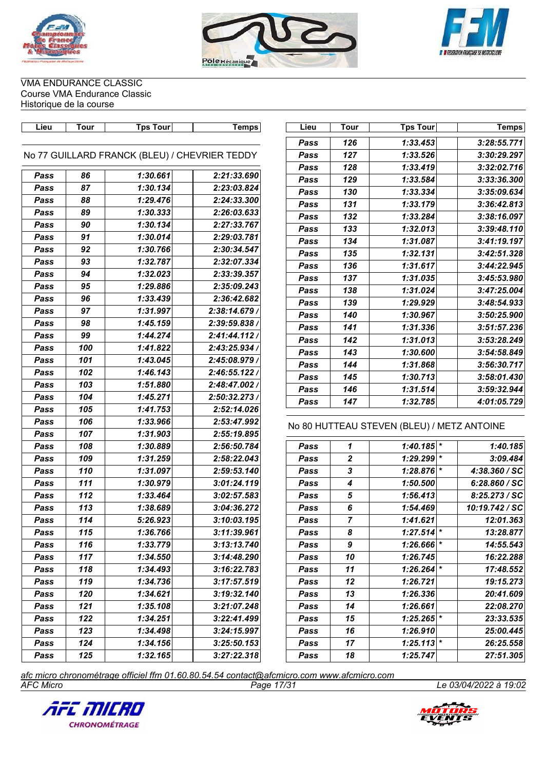





| Lieu | Tour | <b>Tps Tour</b>                               | <b>Temps</b>  | Lieu | Tour                      | <b>Tps Tour</b>                            | <b>Temps</b>   |
|------|------|-----------------------------------------------|---------------|------|---------------------------|--------------------------------------------|----------------|
|      |      |                                               |               | Pass | 126                       | 1:33.453                                   | 3:28:55.771    |
|      |      | No 77 GUILLARD FRANCK (BLEU) / CHEVRIER TEDDY |               | Pass | 127                       | 1:33.526                                   | 3:30:29.297    |
|      |      |                                               |               | Pass | 128                       | 1:33.419                                   | 3:32:02.716    |
| Pass | 86   | 1:30.661                                      | 2:21:33.690   | Pass | 129                       | 1:33.584                                   | 3:33:36.300    |
| Pass | 87   | 1:30.134                                      | 2:23:03.824   | Pass | 130                       | 1:33.334                                   | 3:35:09.634    |
| Pass | 88   | 1:29.476                                      | 2:24:33.300   | Pass | 131                       | 1:33.179                                   | 3:36:42.813    |
| Pass | 89   | 1:30.333                                      | 2:26:03.633   | Pass | 132                       | 1:33.284                                   | 3:38:16.097    |
| Pass | 90   | 1:30.134                                      | 2:27:33.767   | Pass | 133                       | 1:32.013                                   | 3:39:48.110    |
| Pass | 91   | 1:30.014                                      | 2:29:03.781   | Pass | 134                       | 1:31.087                                   | 3:41:19.197    |
| Pass | 92   | 1:30.766                                      | 2:30:34.547   | Pass | 135                       | 1:32.131                                   | 3:42:51.328    |
| Pass | 93   | 1:32.787                                      | 2:32:07.334   | Pass | 136                       | 1:31.617                                   | 3:44:22.945    |
| Pass | 94   | 1:32.023                                      | 2:33:39.357   | Pass | 137                       | 1:31.035                                   | 3:45:53.980    |
| Pass | 95   | 1:29.886                                      | 2:35:09.243   | Pass | 138                       | 1:31.024                                   | 3:47:25.004    |
| Pass | 96   | 1:33.439                                      | 2:36:42.682   | Pass | 139                       | 1:29.929                                   | 3:48:54.933    |
| Pass | 97   | 1:31.997                                      | 2:38:14.679 / | Pass | 140                       | 1:30.967                                   | 3:50:25.900    |
| Pass | 98   | 1:45.159                                      | 2:39:59.838 / | Pass | 141                       | 1:31.336                                   | 3:51:57.236    |
| Pass | 99   | 1:44.274                                      | 2:41:44.112/  | Pass | 142                       | 1:31.013                                   | 3:53:28.249    |
| Pass | 100  | 1:41.822                                      | 2:43:25.934 / | Pass | 143                       | 1:30.600                                   | 3:54:58.849    |
| Pass | 101  | 1:43.045                                      | 2:45:08.979 / | Pass | 144                       | 1:31.868                                   | 3:56:30.717    |
| Pass | 102  | 1:46.143                                      | 2:46:55.122 / | Pass | 145                       | 1:30.713                                   | 3:58:01.430    |
| Pass | 103  | 1:51.880                                      | 2:48:47.002 / | Pass | 146                       | 1:31.514                                   | 3:59:32.944    |
| Pass | 104  | 1:45.271                                      | 2:50:32.273/  | Pass | 147                       | 1:32.785                                   | 4:01:05.729    |
| Pass | 105  | 1:41.753                                      | 2:52:14.026   |      |                           |                                            |                |
| Pass | 106  | 1:33.966                                      | 2:53:47.992   |      |                           | No 80 HUTTEAU STEVEN (BLEU) / METZ ANTOINE |                |
| Pass | 107  | 1:31.903                                      | 2:55:19.895   |      |                           |                                            |                |
| Pass | 108  | 1:30.889                                      | 2:56:50.784   | Pass | $\mathbf{1}$              | $1:40.185$ <sup>*</sup>                    | 1:40.185       |
| Pass | 109  | 1:31.259                                      | 2:58:22.043   | Pass | $\overline{2}$            | $1:29.299$ <sup>*</sup>                    | 3:09.484       |
| Pass | 110  | 1:31.097                                      | 2:59:53.140   | Pass | $\boldsymbol{\mathsf{3}}$ | $1:28.876$ <sup>*</sup>                    | 4:38.360 / SC  |
| Pass | 111  | 1:30.979                                      | 3:01:24.119   | Pass | 4                         | 1:50.500                                   | 6:28.860 / SC  |
| Pass | 112  | 1:33.464                                      | 3:02:57.583   | Pass | $\sqrt{5}$                | 1:56.413                                   | 8:25.273 / SC  |
| Pass | 113  | 1:38.689                                      | 3:04:36.272   | Pass | 6                         | 1:54.469                                   | 10:19.742 / SC |
| Pass | 114  | 5:26.923                                      | 3:10:03.195   | Pass | $\overline{7}$            | 1:41.621                                   | 12:01.363      |
| Pass | 115  | 1:36.766                                      | 3:11:39.961   | Pass | 8                         | $1:27.514$ *                               | 13:28.877      |
| Pass | 116  | 1:33.779                                      | 3:13:13.740   | Pass | 9                         | $1:26.666$ <sup>*</sup>                    | 14:55.543      |
| Pass | 117  | 1:34.550                                      | 3:14:48.290   | Pass | 10                        | 1:26.745                                   | 16:22.288      |
| Pass | 118  | 1:34.493                                      | 3:16:22.783   | Pass | 11                        | 1:26.264                                   | 17:48.552      |
| Pass | 119  | 1:34.736                                      | 3:17:57.519   | Pass | 12                        | 1:26.721                                   | 19:15.273      |
| Pass | 120  | 1:34.621                                      | 3:19:32.140   | Pass | 13                        | 1:26.336                                   | 20:41.609      |
| Pass | 121  | 1:35.108                                      | 3:21:07.248   | Pass | 14                        | 1:26.661                                   | 22:08.270      |
| Pass | 122  | 1:34.251                                      | 3:22:41.499   | Pass | 15                        | $1:25.265$ <sup>*</sup>                    | 23:33.535      |
| Pass | 123  | 1:34.498                                      | 3:24:15.997   | Pass | 16                        | 1:26.910                                   | 25:00.445      |
| Pass | 124  | 1:34.156                                      | 3:25:50.153   | Pass | 17                        | $1:25.113$ <sup>*</sup>                    | 26:25.558      |
| Pass | 125  | 1:32.165                                      | 3:27:22.318   | Pass | 18                        | 1:25.747                                   | 27:51.305      |

| Lieu | <b>Tour</b> | <b>Tps Tour</b> | <b>Temps</b> |
|------|-------------|-----------------|--------------|
| Pass | 126         | 1:33.453        | 3:28:55.771  |
| Pass | 127         | 1:33.526        | 3:30:29.297  |
| Pass | 128         | 1:33.419        | 3:32:02.716  |
| Pass | 129         | 1:33.584        | 3:33:36.300  |
| Pass | 130         | 1:33.334        | 3:35:09.634  |
| Pass | 131         | 1:33.179        | 3:36:42.813  |
| Pass | 132         | 1:33.284        | 3:38:16.097  |
| Pass | 133         | 1:32.013        | 3:39:48.110  |
| Pass | 134         | 1:31.087        | 3:41:19.197  |
| Pass | 135         | 1:32.131        | 3:42:51.328  |
| Pass | 136         | 1:31.617        | 3:44:22.945  |
| Pass | 137         | 1:31.035        | 3:45:53.980  |
| Pass | 138         | 1:31.024        | 3:47:25.004  |
| Pass | 139         | 1:29.929        | 3:48:54.933  |
| Pass | 140         | 1:30.967        | 3:50:25.900  |
| Pass | 141         | 1:31.336        | 3:51:57.236  |
| Pass | 142         | 1:31.013        | 3:53:28.249  |
| Pass | 143         | 1:30.600        | 3:54:58.849  |
| Pass | 144         | 1:31.868        | 3:56:30.717  |
| Pass | 145         | 1:30.713        | 3:58:01.430  |
| Pass | 146         | 1:31.514        | 3:59:32.944  |
| Pass | 147         | 1:32.785        | 4:01:05.729  |

#### No 80 HUTTEAU STEVEN (BLEU) / METZ ANTOINE

*AFC Micro Page 17/31 Le 03/04/2022 à 19:02 afc micro chronométrage officiel ffm 01.60.80.54.54 contact@afcmicro.com www.afcmicro.com*



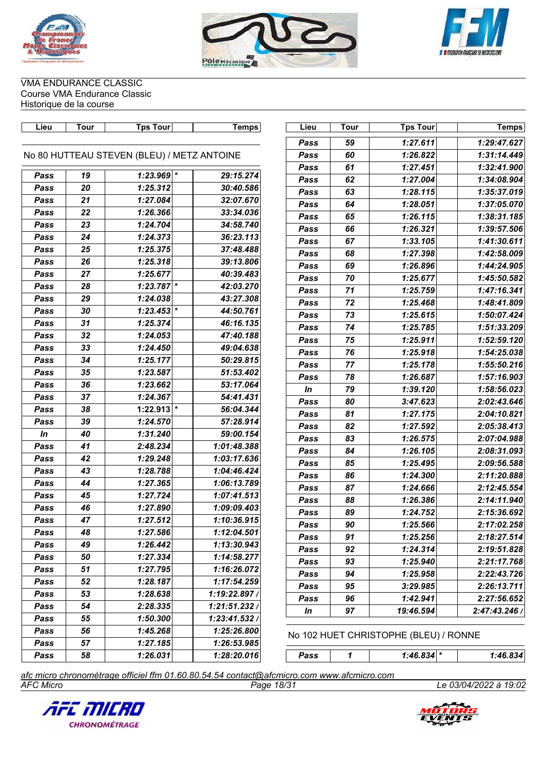





| Lieu | <b>Tour</b> | <b>Tps Tour</b>                            | <b>Temps</b>  | Lieu | Tour | <b>Tps Tour</b>                       | <b>Temps</b>  |
|------|-------------|--------------------------------------------|---------------|------|------|---------------------------------------|---------------|
|      |             |                                            |               | Pass | 59   | 1:27.611                              | 1:29:47.627   |
|      |             | No 80 HUTTEAU STEVEN (BLEU) / METZ ANTOINE |               | Pass | 60   | 1:26.822                              | 1:31:14.449   |
|      |             |                                            |               | Pass | 61   | 1:27.451                              | 1:32:41.900   |
| Pass | 19          | $1:23.969$ <sup>*</sup>                    | 29:15.274     | Pass | 62   | 1:27.004                              | 1:34:08.904   |
| Pass | 20          | 1:25.312                                   | 30:40.586     | Pass | 63   | 1:28.115                              | 1:35:37.019   |
| Pass | 21          | 1:27.084                                   | 32:07.670     | Pass | 64   | 1:28.051                              | 1:37:05.070   |
| Pass | 22          | 1:26.366                                   | 33:34.036     | Pass | 65   | 1:26.115                              | 1:38:31.185   |
| Pass | 23          | 1:24.704                                   | 34:58.740     | Pass | 66   | 1:26.321                              | 1:39:57.506   |
| Pass | 24          | 1:24.373                                   | 36:23.113     | Pass | 67   | 1:33.105                              | 1:41:30.611   |
| Pass | 25          | 1:25.375                                   | 37:48.488     | Pass | 68   | 1:27.398                              | 1:42:58.009   |
| Pass | 26          | 1:25.318                                   | 39:13.806     | Pass | 69   | 1:26.896                              | 1:44:24.905   |
| Pass | 27          | 1:25.677                                   | 40:39.483     | Pass | 70   | 1:25.677                              | 1:45:50.582   |
| Pass | 28          | $1:23.787$ *                               | 42:03.270     | Pass | 71   | 1:25.759                              | 1:47:16.341   |
| Pass | 29          | 1:24.038                                   | 43:27.308     | Pass | 72   | 1:25.468                              | 1:48:41.809   |
| Pass | 30          | $1:23.453$ *                               | 44:50.761     | Pass | 73   | 1:25.615                              | 1:50:07.424   |
| Pass | 31          | 1:25.374                                   | 46:16.135     | Pass | 74   | 1:25.785                              | 1:51:33.209   |
| Pass | 32          | 1:24.053                                   | 47:40.188     | Pass | 75   | 1:25.911                              | 1:52:59.120   |
| Pass | 33          | 1:24.450                                   | 49:04.638     | Pass | 76   | 1:25.918                              | 1:54:25.038   |
| Pass | 34          | 1:25.177                                   | 50:29.815     | Pass | 77   | 1:25.178                              | 1:55:50.216   |
| Pass | 35          | 1:23.587                                   | 51:53.402     | Pass | 78   | 1:26.687                              | 1:57:16.903   |
| Pass | 36          | 1:23.662                                   | 53:17.064     | In   | 79   | 1:39.120                              | 1:58:56.023   |
| Pass | 37          | 1:24.367                                   | 54:41.431     | Pass | 80   | 3:47.623                              | 2:02:43.646   |
| Pass | 38          | $1:22.913$ <sup>*</sup>                    | 56:04.344     | Pass | 81   | 1:27.175                              | 2:04:10.821   |
| Pass | 39          | 1:24.570                                   | 57:28.914     | Pass | 82   | 1:27.592                              | 2:05:38.413   |
| In   | 40          | 1:31.240                                   | 59:00.154     | Pass | 83   | 1:26.575                              | 2:07:04.988   |
| Pass | 41          | 2:48.234                                   | 1:01:48.388   | Pass | 84   | 1:26.105                              | 2:08:31.093   |
| Pass | 42          | 1:29.248                                   | 1:03:17.636   | Pass | 85   | 1:25.495                              | 2:09:56.588   |
| Pass | 43          | 1:28.788                                   | 1:04:46.424   | Pass | 86   | 1:24.300                              | 2:11:20.888   |
| Pass | 44          | 1:27.365                                   | 1:06:13.789   | Pass | 87   | 1:24.666                              | 2:12:45.554   |
| Pass | 45          | 1:27.724                                   | 1:07:41.513   | Pass | 88   | 1:26.386                              | 2:14:11.940   |
| Pass | 46          | 1:27.890                                   | 1:09:09.403   | Pass | 89   | 1:24.752                              | 2:15:36.692   |
| Pass | 47          | 1:27.512                                   | 1:10:36.915   | Pass | 90   | 1:25.566                              | 2:17:02.258   |
| Pass | 48          | 1:27.586                                   | 1:12:04.501   | Pass | 91   | 1:25.256                              | 2:18:27.514   |
| Pass | 49          | 1:26.442                                   | 1:13:30.943   | Pass | 92   | 1:24.314                              | 2:19:51.828   |
| Pass | 50          | 1:27.334                                   | 1:14:58.277   | Pass | 93   | 1:25.940                              | 2:21:17.768   |
| Pass | 51          | 1:27.795                                   | 1:16:26.072   | Pass | 94   | 1:25.958                              | 2:22:43.726   |
| Pass | 52          | 1:28.187                                   | 1:17:54.259   | Pass | 95   | 3:29.985                              | 2:26:13.711   |
| Pass | 53          | 1:28.638                                   | 1:19:22.897 / | Pass | 96   | 1:42.941                              | 2:27:56.652   |
| Pass | 54          | 2:28.335                                   | 1:21:51.232/  | In   | 97   | 19:46.594                             | 2:47:43.246 / |
| Pass | 55          | 1:50.300                                   | 1:23:41.532/  |      |      |                                       |               |
| Pass | 56          | 1:45.268                                   | 1:25:26.800   |      |      | No 102 HUET CHRISTOPHE (BLEU) / RONNE |               |
| Pass | 57          | 1:27.185                                   | 1:26:53.985   |      |      |                                       |               |
| Pass | 58          | 1:26.031                                   | 1:28:20.016   | Pass | 1    | $1:46.834$ *                          | 1:46.834      |

*AFC Micro Page 18/31 Le 03/04/2022 à 19:02 afc micro chronométrage officiel ffm 01.60.80.54.54 contact@afcmicro.com www.afcmicro.com*



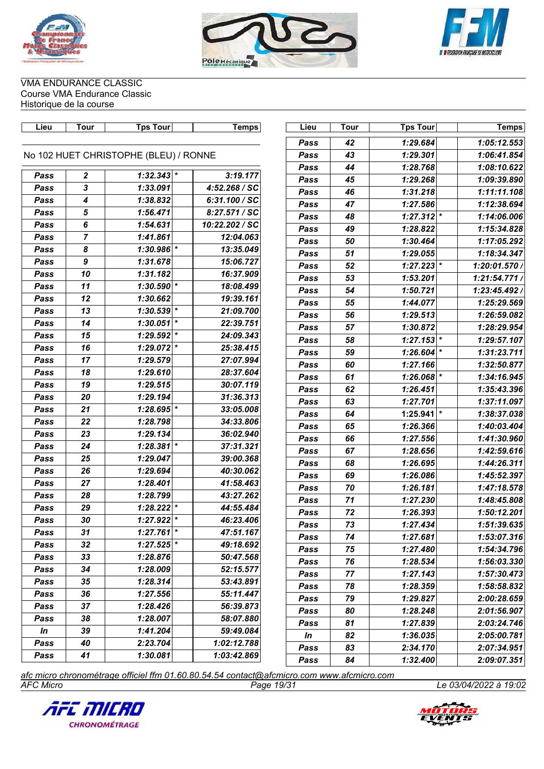

 $\mathbf{r}$ 





VMA ENDURANCE CLASSIC Course VMA Endurance Classic Historique de la course

| Lieu        | <b>Tour</b>      | Tps Tour                              | Temps          | Lieu | Tour     | <b>Tps Tour</b>         | <b>Temps</b> |
|-------------|------------------|---------------------------------------|----------------|------|----------|-------------------------|--------------|
|             |                  |                                       |                | Pass | 42       | 1:29.684                | 1:05:12.553  |
|             |                  | No 102 HUET CHRISTOPHE (BLEU) / RONNE | Pass           | 43   | 1:29.301 | 1:06:41.854             |              |
|             |                  |                                       |                | Pass | 44       | 1:28.768                | 1:08:10.622  |
| Pass        | $\boldsymbol{2}$ | $1:32.343$ *                          | 3:19.177       | Pass | 45       | 1:29.268                | 1:09:39.890  |
| Pass        | 3                | 1:33.091                              | 4:52.268 / SC  | Pass | 46       | 1:31.218                | 1:11:11.108  |
| Pass        | 4                | 1:38.832                              | 6:31.100 / SC  | Pass | 47       | 1:27.586                | 1:12:38.694  |
| Pass        | 5                | 1:56.471                              | 8:27.571 / SC  | Pass | 48       | $1:27.312$ *            | 1:14:06.006  |
| Pass        | 6                | 1:54.631                              | 10:22.202 / SC | Pass | 49       | 1:28.822                | 1:15:34.828  |
| Pass        | $\overline{7}$   | 1:41.861                              | 12:04.063      | Pass | 50       | 1:30.464                | 1:17:05.292  |
| Pass        | 8                | $1:30.986$ <sup>*</sup>               | 13:35.049      | Pass | 51       | 1:29.055                | 1:18:34.347  |
| Pass        | $\boldsymbol{9}$ | 1:31.678                              | 15:06.727      | Pass | 52       | $1:27.223$ *            | 1:20:01.570  |
| Pass        | 10               | 1:31.182                              | 16:37.909      | Pass | 53       | 1:53.201                | 1:21:54.771/ |
| Pass        | 11               | $1:30.590$ <sup>*</sup>               | 18:08.499      | Pass | 54       | 1:50.721                | 1:23:45.492  |
| Pass        | 12               | 1:30.662                              | 19:39.161      | Pass | 55       | 1:44.077                | 1:25:29.569  |
| Pass        | 13               | $1:30.539$ <sup>*</sup>               | 21:09.700      | Pass | 56       | 1:29.513                | 1:26:59.082  |
| Pass        | 14               | $1:30.051$ *                          | 22:39.751      | Pass | 57       | 1:30.872                | 1:28:29.954  |
| Pass        | 15               | $1:29.592$ <sup>*</sup>               | 24:09.343      | Pass | 58       | $1:27.153$ <sup>*</sup> | 1:29:57.107  |
| Pass        | 16               | $1:29.072$ *                          | 25:38.415      | Pass | 59       | 1:26.604                | 1:31:23.711  |
| Pass        | 17               | 1:29.579                              | 27:07.994      | Pass | 60       | 1:27.166                | 1:32:50.877  |
| Pass        | 18               | 1:29.610                              | 28:37.604      | Pass | 61       | $1:26.068$ <sup>*</sup> | 1:34:16.945  |
| Pass        | 19               | 1:29.515                              | 30:07.119      | Pass | 62       | 1:26.451                | 1:35:43.396  |
| Pass        | 20               | 1:29.194                              | 31:36.313      | Pass | 63       | 1:27.701                | 1:37:11.097  |
| Pass        | 21               | $1:28.695$ <sup>*</sup>               | 33:05.008      | Pass | 64       | $1:25.941$ *            | 1:38:37.038  |
| Pass        | 22               | 1:28.798                              | 34:33.806      | Pass | 65       | 1:26.366                | 1:40:03.404  |
| Pass        | 23               | 1:29.134                              | 36:02.940      | Pass | 66       | 1:27.556                | 1:41:30.960  |
| Pass        | 24               | $1:28.381$ *                          | 37:31.321      | Pass | 67       | 1:28.656                | 1:42:59.616  |
| Pass        | 25               | 1:29.047                              | 39:00.368      | Pass | 68       | 1:26.695                | 1:44:26.311  |
| Pass        | 26               | 1:29.694                              | 40:30.062      | Pass | 69       | 1:26.086                | 1:45:52.397  |
| Pass        | 27               | 1:28.401                              | 41:58.463      | Pass | 70       | 1:26.181                | 1:47:18.578  |
| Pass        | 28               | 1:28.799                              | 43:27.262      | Pass | 71       | 1:27.230                | 1:48:45.808  |
| Pass        | 29               | $1:28.222$ <sup>*</sup>               | 44:55.484      | Pass | 72       | 1:26.393                | 1:50:12.201  |
| Pass        | 30               | $1:27.922$ <sup>*</sup>               | 46:23.406      | Pass | 73       | 1:27.434                | 1:51:39.635  |
| Pass        | 31               | $1:27.761$ <sup>*</sup>               | 47:51.167      | Pass | 74       | 1:27.681                | 1:53:07.316  |
| Pass        | 32               | $1:27.525$ <sup>*</sup>               | 49:18.692      | Pass | 75       | 1:27.480                | 1:54:34.796  |
| Pass        | 33               | 1:28.876                              | 50:47.568      | Pass | 76       | 1:28.534                | 1:56:03.330  |
| Pass        | 34               | 1:28.009                              | 52:15.577      | Pass | 77       | 1:27.143                | 1:57:30.473  |
| Pass        | 35               | 1:28.314                              | 53:43.891      | Pass | 78       | 1:28.359                | 1:58:58.832  |
| <b>Pass</b> | 36               | 1:27.556                              | 55:11.447      | Pass | 79       | 1:29.827                | 2:00:28.659  |
| Pass        | 37               | 1:28.426                              | 56:39.873      | Pass | 80       | 1:28.248                | 2:01:56.907  |
| Pass        | 38               | 1:28.007                              | 58:07.880      | Pass | 81       | 1:27.839                | 2:03:24.746  |
| In          | 39               | 1:41.204                              | 59:49.084      | In   | 82       | 1:36.035                | 2:05:00.781  |
| Pass        | 40               | 2:23.704                              | 1:02:12.788    | Pass | 83       | 2:34.170                | 2:07:34.951  |
| Pass        | 41               | 1:30.081                              | 1:03:42.869    | Pass | 84       | 1:32.400                | 2:09:07.351  |
|             |                  |                                       |                |      |          |                         |              |

*AFC Micro Page 19/31 Le 03/04/2022 à 19:02 afc micro chronométrage officiel ffm 01.60.80.54.54 contact@afcmicro.com www.afcmicro.com*



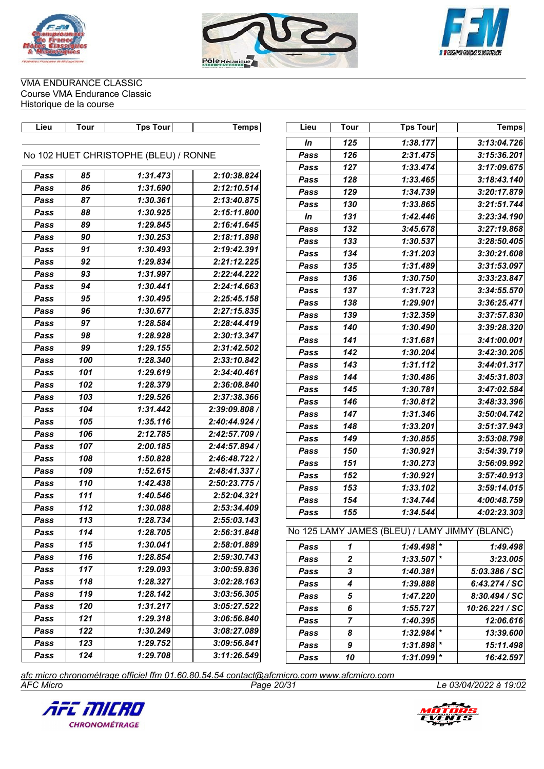





|      | <b>Tour</b>                           | <b>Tps Tour</b> | Temps         | Lieu | Tour             | <b>Tps Tour</b>                               | <b>Temps</b>   |
|------|---------------------------------------|-----------------|---------------|------|------------------|-----------------------------------------------|----------------|
|      |                                       |                 |               | In   | 125              | 1:38.177                                      | 3:13:04.726    |
|      | No 102 HUET CHRISTOPHE (BLEU) / RONNE |                 |               | Pass | 126              | 2:31.475                                      | 3:15:36.201    |
|      |                                       |                 |               | Pass | 127              | 1:33.474                                      | 3:17:09.675    |
| Pass | 85                                    | 1:31.473        | 2:10:38.824   | Pass | 128              | 1:33.465                                      | 3:18:43.140    |
| Pass | 86                                    | 1:31.690        | 2:12:10.514   | Pass | 129              | 1:34.739                                      | 3:20:17.879    |
| Pass | 87                                    | 1:30.361        | 2:13:40.875   | Pass | 130              | 1:33.865                                      | 3:21:51.744    |
| Pass | 88                                    | 1:30.925        | 2:15:11.800   | In   | 131              | 1:42.446                                      | 3:23:34.190    |
| Pass | 89                                    | 1:29.845        | 2:16:41.645   | Pass | 132              | 3:45.678                                      | 3:27:19.868    |
| Pass | 90                                    | 1:30.253        | 2:18:11.898   | Pass | 133              | 1:30.537                                      | 3:28:50.405    |
| Pass | 91                                    | 1:30.493        | 2:19:42.391   | Pass | 134              | 1:31.203                                      | 3:30:21.608    |
| Pass | 92                                    | 1:29.834        | 2:21:12.225   | Pass | 135              | 1:31.489                                      | 3:31:53.097    |
| Pass | 93                                    | 1:31.997        | 2:22:44.222   | Pass | 136              | 1:30.750                                      | 3:33:23.847    |
| Pass | 94                                    | 1:30.441        | 2:24:14.663   | Pass | 137              | 1:31.723                                      | 3:34:55.570    |
| Pass | 95                                    | 1:30.495        | 2:25:45.158   | Pass | 138              | 1:29.901                                      | 3:36:25.471    |
| Pass | 96                                    | 1:30.677        | 2:27:15.835   | Pass | 139              | 1:32.359                                      | 3:37:57.830    |
| Pass | 97                                    | 1:28.584        | 2:28:44.419   | Pass | 140              | 1:30.490                                      | 3:39:28.320    |
| Pass | 98                                    | 1:28.928        | 2:30:13.347   | Pass | 141              | 1:31.681                                      | 3:41:00.001    |
| Pass | 99                                    | 1:29.155        | 2:31:42.502   | Pass | 142              | 1:30.204                                      | 3:42:30.205    |
| Pass | 100                                   | 1:28.340        | 2:33:10.842   | Pass | 143              | 1:31.112                                      | 3:44:01.317    |
| Pass | 101                                   | 1:29.619        | 2:34:40.461   | Pass | 144              | 1:30.486                                      | 3:45:31.803    |
| Pass | 102                                   | 1:28.379        | 2:36:08.840   | Pass | 145              | 1:30.781                                      | 3:47:02.584    |
| Pass | 103                                   | 1:29.526        | 2:37:38.366   | Pass | 146              | 1:30.812                                      | 3:48:33.396    |
| Pass | 104                                   | 1:31.442        | 2:39:09.808   | Pass | 147              | 1:31.346                                      | 3:50:04.742    |
| Pass | 105                                   | 1:35.116        | 2:40:44.924 / | Pass | 148              | 1:33.201                                      | 3:51:37.943    |
| Pass | 106                                   | 2:12.785        | 2:42:57.709   | Pass | 149              | 1:30.855                                      | 3:53:08.798    |
| Pass | 107                                   | 2:00.185        | 2:44:57.894 / | Pass | 150              | 1:30.921                                      | 3:54:39.719    |
| Pass | 108                                   | 1:50.828        | 2:46:48.722 / | Pass | 151              | 1:30.273                                      | 3:56:09.992    |
| Pass | 109                                   | 1:52.615        | 2:48:41.337/  | Pass | 152              | 1:30.921                                      | 3:57:40.913    |
| Pass | 110                                   | 1:42.438        | 2:50:23.775 / | Pass | 153              | 1:33.102                                      | 3:59:14.015    |
| Pass | 111                                   | 1:40.546        | 2:52:04.321   | Pass | 154              | 1:34.744                                      | 4:00:48.759    |
| Pass | 112                                   | 1:30.088        | 2:53:34.409   | Pass | 155              | 1:34.544                                      | 4:02:23.303    |
| Pass | 113                                   | 1:28.734        | 2:55:03.143   |      |                  |                                               |                |
| Pass | 114                                   | 1:28.705        | 2:56:31.848   |      |                  | No 125 LAMY JAMES (BLEU) / LAMY JIMMY (BLANC) |                |
| Pass | 115                                   | 1:30.041        | 2:58:01.889   | Pass | 1                | $1:49.498$ <sup>*</sup>                       | 1:49.498       |
| Pass | 116                                   | 1:28.854        | 2:59:30.743   | Pass | $\boldsymbol{2}$ | $1:33.507$ *                                  | 3:23.005       |
| Pass | 117                                   | 1:29.093        | 3:00:59.836   | Pass | 3                | 1:40.381                                      | 5:03.386 / SC  |
| Pass | 118                                   | 1:28.327        | 3:02:28.163   | Pass | 4                | 1:39.888                                      | 6:43.274 / SC  |
| Pass | 119                                   | 1:28.142        | 3:03:56.305   | Pass | 5                | 1:47.220                                      | 8:30.494 / SC  |
| Pass | 120                                   | 1:31.217        | 3:05:27.522   | Pass | 6                | 1:55.727                                      | 10:26.221 / SC |
| Pass | 121                                   | 1:29.318        | 3:06:56.840   | Pass | $\overline{7}$   | 1:40.395                                      | 12:06.616      |
| Pass | 122                                   | 1:30.249        | 3:08:27.089   | Pass | 8                | $1:32.984$ *                                  | 13:39.600      |
| Pass | 123                                   | 1:29.752        | 3:09:56.841   | Pass | 9                | $1:31.898$ <sup>*</sup>                       | 15:11.498      |
| Pass | 124                                   | 1:29.708        | 3:11:26.549   | Pass | 10               | $1:31.099$ <sup>*</sup>                       | 16:42.597      |

*AFC Micro Page 20/31 Le 03/04/2022 à 19:02 afc micro chronométrage officiel ffm 01.60.80.54.54 contact@afcmicro.com www.afcmicro.com*



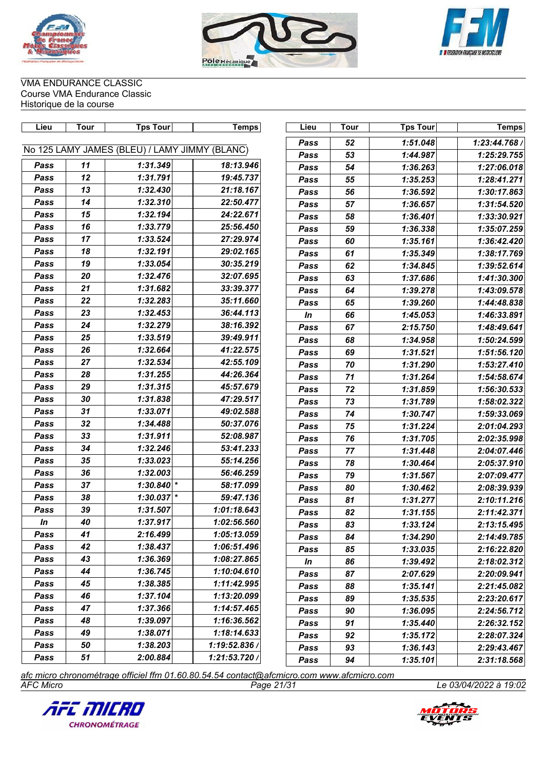





| 52<br>1:51.048<br>1:23:44.768 /<br>Pass<br>No 125 LAMY JAMES (BLEU) / LAMY JIMMY (BLANC)<br>53<br>1:44.987<br>1:25:29.755<br>Pass<br>11<br>1:31.349<br>18:13.946<br>Pass<br>54<br>1:36.263<br>1:27:06.018<br>Pass<br>12<br>1:31.791<br>19:45.737<br>Pass<br>55<br>1:35.253<br>1:28:41.271<br>Pass<br>13<br>1:32.430<br>21:18.167<br>Pass<br>56<br>1:36.592<br>1:30:17.863<br>Pass<br>14<br>1:32.310<br>22:50.477<br>Pass<br>57<br>1:36.657<br>1:31:54.520<br>Pass<br>15<br>1:32.194<br>24:22.671<br>Pass<br>58<br>1:36.401<br>1:33:30.921<br>Pass<br>16<br>1:33.779<br>25:56.450<br>Pass<br>59<br>1:36.338<br>1:35:07.259<br>Pass<br>17<br>1:33.524<br>27:29.974<br>Pass<br>1:35.161<br>1:36:42.420<br>Pass<br>60<br>18<br>1:32.191<br>Pass<br>29:02.165<br>1:35.349<br>61<br>1:38:17.769<br>Pass<br>19<br>30:35.219<br>1:33.054<br>Pass<br>62<br>1:34.845<br>1:39:52.614<br>Pass<br>1:32.476<br>20<br>32:07.695<br>Pass<br>63<br>1:37.686<br>1:41:30.300<br>Pass<br>21<br>1:31.682<br>33:39.377<br>Pass<br>64<br>1:39.278<br>1:43:09.578<br>Pass<br>22<br>1:32.283<br>Pass<br>35:11.660<br>65<br>1:39.260<br>1:44:48.838<br>Pass<br>23<br>1:32.453<br>36:44.113<br>Pass<br>66<br>1:45.053<br>1:46:33.891<br>$\mathbf{ln}$<br>24<br>1:32.279<br>38:16.392<br>Pass<br>67<br>2:15.750<br>1:48:49.641<br>Pass<br>25<br>1:33.519<br>39:49.911<br>Pass<br>68<br>1:34.958<br>1:50:24.599<br>Pass<br>26<br>1:32.664<br>Pass<br>41:22.575<br>69<br>1:31.521<br>1:51:56.120<br>Pass<br>27<br>1:32.534<br>42:55.109<br>Pass<br>70<br>1:31.290<br>1:53:27.410<br>Pass<br>1:31.255<br>28<br>44:26.364<br>Pass<br>1:31.264<br>1:54:58.674<br>71<br>Pass<br>29<br>1:31.315<br>45:57.679<br>Pass<br>72<br>1:31.859<br>1:56:30.533<br>Pass<br>30<br>1:31.838<br>47:29.517<br>Pass<br>73<br>1:31.789<br>1:58:02.322<br>Pass<br>31<br>1:33.071<br>49:02.588<br>Pass<br>74<br>1:30.747<br>1:59:33.069<br>Pass<br>32<br>50:37.076<br>1:34.488<br>Pass<br>75<br>1:31.224<br>2:01:04.293<br>Pass<br>33<br>1:31.911<br>52:08.987<br>Pass<br>76<br>1:31.705<br>2:02:35.998<br>Pass<br>34<br>1:32.246<br>53:41.233<br>Pass<br>77<br>1:31.448<br>2:04:07.446<br>Pass<br>35<br>1:33.023<br>55:14.256<br>Pass<br>78<br>1:30.464<br>2:05:37.910<br>Pass<br>1:32.003<br>36<br>56:46.259<br>Pass<br>79<br>1:31.567<br>2:07:09.477<br>Pass<br>$1:30.840$ *<br>37<br>58:17.099<br>Pass<br>80<br>1:30.462<br>Pass<br>2:08:39.939<br>$1:30.037$ *<br>38<br>59:47.136<br>Pass<br>81<br>1:31.277<br>2:10:11.216<br>Pass<br>39<br>1:31.507<br>1:01:18.643<br>Pass<br>82<br>1:31.155<br>2:11:42.371<br>Pass<br>40<br>1:37.917<br>1:02:56.560<br>$\mathbf{ln}$<br>83<br>1:33.124<br>2:13:15.495<br>Pass<br>2:16.499<br>Pass<br>41<br>1:05:13.059<br>Pass<br>84<br>1:34.290<br>2:14:49.785<br>1:38.437<br>42<br>1:06:51.496<br>Pass<br>1:33.035<br>2:16:22.820<br>85<br>Pass<br>43<br>1:36.369<br>1:08:27.865<br>Pass<br>86<br>1:39.492<br>2:18:02.312<br>In<br>44<br>1:36.745<br>1:10:04.610<br>Pass<br>2:07.629<br>Pass<br>87<br>2:20:09.941<br>45<br>1:38.385<br>1:11:42.995<br>Pass<br>1:35.141<br>88<br>2:21:45.082<br>Pass<br>1:37.104<br>1:13:20.099<br>Pass<br>46<br>89<br>1:35.535<br>2:23:20.617<br>Pass<br>47<br>1:37.366<br>1:14:57.465<br>Pass<br>1:36.095<br>90<br>2:24:56.712<br>Pass<br>48<br>1:39.097<br>1:16:36.562<br>Pass<br>1:35.440<br>2:26:32.152<br>Pass<br>91<br>49<br>1:18:14.633<br>Pass<br>1:38.071<br>92<br>1:35.172<br>2:28:07.324<br>Pass<br>50<br>1:38.203<br>1:19:52.836 /<br>Pass<br>93<br>1:36.143<br>2:29:43.467<br>Pass<br>51<br>2:00.884<br>1:21:53.720/<br>Pass<br>94<br>1:35.101<br>2:31:18.568<br>Pass | Lieu | <b>Tour</b> | <b>Tps Tour</b> | <b>Temps</b> | Lieu | <b>Tour</b> | <b>Tps Tour</b> | Temps |
|--------------------------------------------------------------------------------------------------------------------------------------------------------------------------------------------------------------------------------------------------------------------------------------------------------------------------------------------------------------------------------------------------------------------------------------------------------------------------------------------------------------------------------------------------------------------------------------------------------------------------------------------------------------------------------------------------------------------------------------------------------------------------------------------------------------------------------------------------------------------------------------------------------------------------------------------------------------------------------------------------------------------------------------------------------------------------------------------------------------------------------------------------------------------------------------------------------------------------------------------------------------------------------------------------------------------------------------------------------------------------------------------------------------------------------------------------------------------------------------------------------------------------------------------------------------------------------------------------------------------------------------------------------------------------------------------------------------------------------------------------------------------------------------------------------------------------------------------------------------------------------------------------------------------------------------------------------------------------------------------------------------------------------------------------------------------------------------------------------------------------------------------------------------------------------------------------------------------------------------------------------------------------------------------------------------------------------------------------------------------------------------------------------------------------------------------------------------------------------------------------------------------------------------------------------------------------------------------------------------------------------------------------------------------------------------------------------------------------------------------------------------------------------------------------------------------------------------------------------------------------------------------------------------------------------------------------------------------------------------------------------------------------------------------------------------------------------------------------------------------------------------------------------------------------------------------------------------------------------------------------------------------------------------------------------------------------------------------------------------------------------------------------------------------------------------------------------------------------------------------------------------------------------------------------------------------------------------------------------|------|-------------|-----------------|--------------|------|-------------|-----------------|-------|
|                                                                                                                                                                                                                                                                                                                                                                                                                                                                                                                                                                                                                                                                                                                                                                                                                                                                                                                                                                                                                                                                                                                                                                                                                                                                                                                                                                                                                                                                                                                                                                                                                                                                                                                                                                                                                                                                                                                                                                                                                                                                                                                                                                                                                                                                                                                                                                                                                                                                                                                                                                                                                                                                                                                                                                                                                                                                                                                                                                                                                                                                                                                                                                                                                                                                                                                                                                                                                                                                                                                                                                                                        |      |             |                 |              |      |             |                 |       |
|                                                                                                                                                                                                                                                                                                                                                                                                                                                                                                                                                                                                                                                                                                                                                                                                                                                                                                                                                                                                                                                                                                                                                                                                                                                                                                                                                                                                                                                                                                                                                                                                                                                                                                                                                                                                                                                                                                                                                                                                                                                                                                                                                                                                                                                                                                                                                                                                                                                                                                                                                                                                                                                                                                                                                                                                                                                                                                                                                                                                                                                                                                                                                                                                                                                                                                                                                                                                                                                                                                                                                                                                        |      |             |                 |              |      |             |                 |       |
|                                                                                                                                                                                                                                                                                                                                                                                                                                                                                                                                                                                                                                                                                                                                                                                                                                                                                                                                                                                                                                                                                                                                                                                                                                                                                                                                                                                                                                                                                                                                                                                                                                                                                                                                                                                                                                                                                                                                                                                                                                                                                                                                                                                                                                                                                                                                                                                                                                                                                                                                                                                                                                                                                                                                                                                                                                                                                                                                                                                                                                                                                                                                                                                                                                                                                                                                                                                                                                                                                                                                                                                                        |      |             |                 |              |      |             |                 |       |
|                                                                                                                                                                                                                                                                                                                                                                                                                                                                                                                                                                                                                                                                                                                                                                                                                                                                                                                                                                                                                                                                                                                                                                                                                                                                                                                                                                                                                                                                                                                                                                                                                                                                                                                                                                                                                                                                                                                                                                                                                                                                                                                                                                                                                                                                                                                                                                                                                                                                                                                                                                                                                                                                                                                                                                                                                                                                                                                                                                                                                                                                                                                                                                                                                                                                                                                                                                                                                                                                                                                                                                                                        |      |             |                 |              |      |             |                 |       |
|                                                                                                                                                                                                                                                                                                                                                                                                                                                                                                                                                                                                                                                                                                                                                                                                                                                                                                                                                                                                                                                                                                                                                                                                                                                                                                                                                                                                                                                                                                                                                                                                                                                                                                                                                                                                                                                                                                                                                                                                                                                                                                                                                                                                                                                                                                                                                                                                                                                                                                                                                                                                                                                                                                                                                                                                                                                                                                                                                                                                                                                                                                                                                                                                                                                                                                                                                                                                                                                                                                                                                                                                        |      |             |                 |              |      |             |                 |       |
|                                                                                                                                                                                                                                                                                                                                                                                                                                                                                                                                                                                                                                                                                                                                                                                                                                                                                                                                                                                                                                                                                                                                                                                                                                                                                                                                                                                                                                                                                                                                                                                                                                                                                                                                                                                                                                                                                                                                                                                                                                                                                                                                                                                                                                                                                                                                                                                                                                                                                                                                                                                                                                                                                                                                                                                                                                                                                                                                                                                                                                                                                                                                                                                                                                                                                                                                                                                                                                                                                                                                                                                                        |      |             |                 |              |      |             |                 |       |
|                                                                                                                                                                                                                                                                                                                                                                                                                                                                                                                                                                                                                                                                                                                                                                                                                                                                                                                                                                                                                                                                                                                                                                                                                                                                                                                                                                                                                                                                                                                                                                                                                                                                                                                                                                                                                                                                                                                                                                                                                                                                                                                                                                                                                                                                                                                                                                                                                                                                                                                                                                                                                                                                                                                                                                                                                                                                                                                                                                                                                                                                                                                                                                                                                                                                                                                                                                                                                                                                                                                                                                                                        |      |             |                 |              |      |             |                 |       |
|                                                                                                                                                                                                                                                                                                                                                                                                                                                                                                                                                                                                                                                                                                                                                                                                                                                                                                                                                                                                                                                                                                                                                                                                                                                                                                                                                                                                                                                                                                                                                                                                                                                                                                                                                                                                                                                                                                                                                                                                                                                                                                                                                                                                                                                                                                                                                                                                                                                                                                                                                                                                                                                                                                                                                                                                                                                                                                                                                                                                                                                                                                                                                                                                                                                                                                                                                                                                                                                                                                                                                                                                        |      |             |                 |              |      |             |                 |       |
|                                                                                                                                                                                                                                                                                                                                                                                                                                                                                                                                                                                                                                                                                                                                                                                                                                                                                                                                                                                                                                                                                                                                                                                                                                                                                                                                                                                                                                                                                                                                                                                                                                                                                                                                                                                                                                                                                                                                                                                                                                                                                                                                                                                                                                                                                                                                                                                                                                                                                                                                                                                                                                                                                                                                                                                                                                                                                                                                                                                                                                                                                                                                                                                                                                                                                                                                                                                                                                                                                                                                                                                                        |      |             |                 |              |      |             |                 |       |
|                                                                                                                                                                                                                                                                                                                                                                                                                                                                                                                                                                                                                                                                                                                                                                                                                                                                                                                                                                                                                                                                                                                                                                                                                                                                                                                                                                                                                                                                                                                                                                                                                                                                                                                                                                                                                                                                                                                                                                                                                                                                                                                                                                                                                                                                                                                                                                                                                                                                                                                                                                                                                                                                                                                                                                                                                                                                                                                                                                                                                                                                                                                                                                                                                                                                                                                                                                                                                                                                                                                                                                                                        |      |             |                 |              |      |             |                 |       |
|                                                                                                                                                                                                                                                                                                                                                                                                                                                                                                                                                                                                                                                                                                                                                                                                                                                                                                                                                                                                                                                                                                                                                                                                                                                                                                                                                                                                                                                                                                                                                                                                                                                                                                                                                                                                                                                                                                                                                                                                                                                                                                                                                                                                                                                                                                                                                                                                                                                                                                                                                                                                                                                                                                                                                                                                                                                                                                                                                                                                                                                                                                                                                                                                                                                                                                                                                                                                                                                                                                                                                                                                        |      |             |                 |              |      |             |                 |       |
|                                                                                                                                                                                                                                                                                                                                                                                                                                                                                                                                                                                                                                                                                                                                                                                                                                                                                                                                                                                                                                                                                                                                                                                                                                                                                                                                                                                                                                                                                                                                                                                                                                                                                                                                                                                                                                                                                                                                                                                                                                                                                                                                                                                                                                                                                                                                                                                                                                                                                                                                                                                                                                                                                                                                                                                                                                                                                                                                                                                                                                                                                                                                                                                                                                                                                                                                                                                                                                                                                                                                                                                                        |      |             |                 |              |      |             |                 |       |
|                                                                                                                                                                                                                                                                                                                                                                                                                                                                                                                                                                                                                                                                                                                                                                                                                                                                                                                                                                                                                                                                                                                                                                                                                                                                                                                                                                                                                                                                                                                                                                                                                                                                                                                                                                                                                                                                                                                                                                                                                                                                                                                                                                                                                                                                                                                                                                                                                                                                                                                                                                                                                                                                                                                                                                                                                                                                                                                                                                                                                                                                                                                                                                                                                                                                                                                                                                                                                                                                                                                                                                                                        |      |             |                 |              |      |             |                 |       |
|                                                                                                                                                                                                                                                                                                                                                                                                                                                                                                                                                                                                                                                                                                                                                                                                                                                                                                                                                                                                                                                                                                                                                                                                                                                                                                                                                                                                                                                                                                                                                                                                                                                                                                                                                                                                                                                                                                                                                                                                                                                                                                                                                                                                                                                                                                                                                                                                                                                                                                                                                                                                                                                                                                                                                                                                                                                                                                                                                                                                                                                                                                                                                                                                                                                                                                                                                                                                                                                                                                                                                                                                        |      |             |                 |              |      |             |                 |       |
|                                                                                                                                                                                                                                                                                                                                                                                                                                                                                                                                                                                                                                                                                                                                                                                                                                                                                                                                                                                                                                                                                                                                                                                                                                                                                                                                                                                                                                                                                                                                                                                                                                                                                                                                                                                                                                                                                                                                                                                                                                                                                                                                                                                                                                                                                                                                                                                                                                                                                                                                                                                                                                                                                                                                                                                                                                                                                                                                                                                                                                                                                                                                                                                                                                                                                                                                                                                                                                                                                                                                                                                                        |      |             |                 |              |      |             |                 |       |
|                                                                                                                                                                                                                                                                                                                                                                                                                                                                                                                                                                                                                                                                                                                                                                                                                                                                                                                                                                                                                                                                                                                                                                                                                                                                                                                                                                                                                                                                                                                                                                                                                                                                                                                                                                                                                                                                                                                                                                                                                                                                                                                                                                                                                                                                                                                                                                                                                                                                                                                                                                                                                                                                                                                                                                                                                                                                                                                                                                                                                                                                                                                                                                                                                                                                                                                                                                                                                                                                                                                                                                                                        |      |             |                 |              |      |             |                 |       |
|                                                                                                                                                                                                                                                                                                                                                                                                                                                                                                                                                                                                                                                                                                                                                                                                                                                                                                                                                                                                                                                                                                                                                                                                                                                                                                                                                                                                                                                                                                                                                                                                                                                                                                                                                                                                                                                                                                                                                                                                                                                                                                                                                                                                                                                                                                                                                                                                                                                                                                                                                                                                                                                                                                                                                                                                                                                                                                                                                                                                                                                                                                                                                                                                                                                                                                                                                                                                                                                                                                                                                                                                        |      |             |                 |              |      |             |                 |       |
|                                                                                                                                                                                                                                                                                                                                                                                                                                                                                                                                                                                                                                                                                                                                                                                                                                                                                                                                                                                                                                                                                                                                                                                                                                                                                                                                                                                                                                                                                                                                                                                                                                                                                                                                                                                                                                                                                                                                                                                                                                                                                                                                                                                                                                                                                                                                                                                                                                                                                                                                                                                                                                                                                                                                                                                                                                                                                                                                                                                                                                                                                                                                                                                                                                                                                                                                                                                                                                                                                                                                                                                                        |      |             |                 |              |      |             |                 |       |
|                                                                                                                                                                                                                                                                                                                                                                                                                                                                                                                                                                                                                                                                                                                                                                                                                                                                                                                                                                                                                                                                                                                                                                                                                                                                                                                                                                                                                                                                                                                                                                                                                                                                                                                                                                                                                                                                                                                                                                                                                                                                                                                                                                                                                                                                                                                                                                                                                                                                                                                                                                                                                                                                                                                                                                                                                                                                                                                                                                                                                                                                                                                                                                                                                                                                                                                                                                                                                                                                                                                                                                                                        |      |             |                 |              |      |             |                 |       |
|                                                                                                                                                                                                                                                                                                                                                                                                                                                                                                                                                                                                                                                                                                                                                                                                                                                                                                                                                                                                                                                                                                                                                                                                                                                                                                                                                                                                                                                                                                                                                                                                                                                                                                                                                                                                                                                                                                                                                                                                                                                                                                                                                                                                                                                                                                                                                                                                                                                                                                                                                                                                                                                                                                                                                                                                                                                                                                                                                                                                                                                                                                                                                                                                                                                                                                                                                                                                                                                                                                                                                                                                        |      |             |                 |              |      |             |                 |       |
|                                                                                                                                                                                                                                                                                                                                                                                                                                                                                                                                                                                                                                                                                                                                                                                                                                                                                                                                                                                                                                                                                                                                                                                                                                                                                                                                                                                                                                                                                                                                                                                                                                                                                                                                                                                                                                                                                                                                                                                                                                                                                                                                                                                                                                                                                                                                                                                                                                                                                                                                                                                                                                                                                                                                                                                                                                                                                                                                                                                                                                                                                                                                                                                                                                                                                                                                                                                                                                                                                                                                                                                                        |      |             |                 |              |      |             |                 |       |
|                                                                                                                                                                                                                                                                                                                                                                                                                                                                                                                                                                                                                                                                                                                                                                                                                                                                                                                                                                                                                                                                                                                                                                                                                                                                                                                                                                                                                                                                                                                                                                                                                                                                                                                                                                                                                                                                                                                                                                                                                                                                                                                                                                                                                                                                                                                                                                                                                                                                                                                                                                                                                                                                                                                                                                                                                                                                                                                                                                                                                                                                                                                                                                                                                                                                                                                                                                                                                                                                                                                                                                                                        |      |             |                 |              |      |             |                 |       |
|                                                                                                                                                                                                                                                                                                                                                                                                                                                                                                                                                                                                                                                                                                                                                                                                                                                                                                                                                                                                                                                                                                                                                                                                                                                                                                                                                                                                                                                                                                                                                                                                                                                                                                                                                                                                                                                                                                                                                                                                                                                                                                                                                                                                                                                                                                                                                                                                                                                                                                                                                                                                                                                                                                                                                                                                                                                                                                                                                                                                                                                                                                                                                                                                                                                                                                                                                                                                                                                                                                                                                                                                        |      |             |                 |              |      |             |                 |       |
|                                                                                                                                                                                                                                                                                                                                                                                                                                                                                                                                                                                                                                                                                                                                                                                                                                                                                                                                                                                                                                                                                                                                                                                                                                                                                                                                                                                                                                                                                                                                                                                                                                                                                                                                                                                                                                                                                                                                                                                                                                                                                                                                                                                                                                                                                                                                                                                                                                                                                                                                                                                                                                                                                                                                                                                                                                                                                                                                                                                                                                                                                                                                                                                                                                                                                                                                                                                                                                                                                                                                                                                                        |      |             |                 |              |      |             |                 |       |
|                                                                                                                                                                                                                                                                                                                                                                                                                                                                                                                                                                                                                                                                                                                                                                                                                                                                                                                                                                                                                                                                                                                                                                                                                                                                                                                                                                                                                                                                                                                                                                                                                                                                                                                                                                                                                                                                                                                                                                                                                                                                                                                                                                                                                                                                                                                                                                                                                                                                                                                                                                                                                                                                                                                                                                                                                                                                                                                                                                                                                                                                                                                                                                                                                                                                                                                                                                                                                                                                                                                                                                                                        |      |             |                 |              |      |             |                 |       |
|                                                                                                                                                                                                                                                                                                                                                                                                                                                                                                                                                                                                                                                                                                                                                                                                                                                                                                                                                                                                                                                                                                                                                                                                                                                                                                                                                                                                                                                                                                                                                                                                                                                                                                                                                                                                                                                                                                                                                                                                                                                                                                                                                                                                                                                                                                                                                                                                                                                                                                                                                                                                                                                                                                                                                                                                                                                                                                                                                                                                                                                                                                                                                                                                                                                                                                                                                                                                                                                                                                                                                                                                        |      |             |                 |              |      |             |                 |       |
|                                                                                                                                                                                                                                                                                                                                                                                                                                                                                                                                                                                                                                                                                                                                                                                                                                                                                                                                                                                                                                                                                                                                                                                                                                                                                                                                                                                                                                                                                                                                                                                                                                                                                                                                                                                                                                                                                                                                                                                                                                                                                                                                                                                                                                                                                                                                                                                                                                                                                                                                                                                                                                                                                                                                                                                                                                                                                                                                                                                                                                                                                                                                                                                                                                                                                                                                                                                                                                                                                                                                                                                                        |      |             |                 |              |      |             |                 |       |
|                                                                                                                                                                                                                                                                                                                                                                                                                                                                                                                                                                                                                                                                                                                                                                                                                                                                                                                                                                                                                                                                                                                                                                                                                                                                                                                                                                                                                                                                                                                                                                                                                                                                                                                                                                                                                                                                                                                                                                                                                                                                                                                                                                                                                                                                                                                                                                                                                                                                                                                                                                                                                                                                                                                                                                                                                                                                                                                                                                                                                                                                                                                                                                                                                                                                                                                                                                                                                                                                                                                                                                                                        |      |             |                 |              |      |             |                 |       |
|                                                                                                                                                                                                                                                                                                                                                                                                                                                                                                                                                                                                                                                                                                                                                                                                                                                                                                                                                                                                                                                                                                                                                                                                                                                                                                                                                                                                                                                                                                                                                                                                                                                                                                                                                                                                                                                                                                                                                                                                                                                                                                                                                                                                                                                                                                                                                                                                                                                                                                                                                                                                                                                                                                                                                                                                                                                                                                                                                                                                                                                                                                                                                                                                                                                                                                                                                                                                                                                                                                                                                                                                        |      |             |                 |              |      |             |                 |       |
|                                                                                                                                                                                                                                                                                                                                                                                                                                                                                                                                                                                                                                                                                                                                                                                                                                                                                                                                                                                                                                                                                                                                                                                                                                                                                                                                                                                                                                                                                                                                                                                                                                                                                                                                                                                                                                                                                                                                                                                                                                                                                                                                                                                                                                                                                                                                                                                                                                                                                                                                                                                                                                                                                                                                                                                                                                                                                                                                                                                                                                                                                                                                                                                                                                                                                                                                                                                                                                                                                                                                                                                                        |      |             |                 |              |      |             |                 |       |
|                                                                                                                                                                                                                                                                                                                                                                                                                                                                                                                                                                                                                                                                                                                                                                                                                                                                                                                                                                                                                                                                                                                                                                                                                                                                                                                                                                                                                                                                                                                                                                                                                                                                                                                                                                                                                                                                                                                                                                                                                                                                                                                                                                                                                                                                                                                                                                                                                                                                                                                                                                                                                                                                                                                                                                                                                                                                                                                                                                                                                                                                                                                                                                                                                                                                                                                                                                                                                                                                                                                                                                                                        |      |             |                 |              |      |             |                 |       |
|                                                                                                                                                                                                                                                                                                                                                                                                                                                                                                                                                                                                                                                                                                                                                                                                                                                                                                                                                                                                                                                                                                                                                                                                                                                                                                                                                                                                                                                                                                                                                                                                                                                                                                                                                                                                                                                                                                                                                                                                                                                                                                                                                                                                                                                                                                                                                                                                                                                                                                                                                                                                                                                                                                                                                                                                                                                                                                                                                                                                                                                                                                                                                                                                                                                                                                                                                                                                                                                                                                                                                                                                        |      |             |                 |              |      |             |                 |       |
|                                                                                                                                                                                                                                                                                                                                                                                                                                                                                                                                                                                                                                                                                                                                                                                                                                                                                                                                                                                                                                                                                                                                                                                                                                                                                                                                                                                                                                                                                                                                                                                                                                                                                                                                                                                                                                                                                                                                                                                                                                                                                                                                                                                                                                                                                                                                                                                                                                                                                                                                                                                                                                                                                                                                                                                                                                                                                                                                                                                                                                                                                                                                                                                                                                                                                                                                                                                                                                                                                                                                                                                                        |      |             |                 |              |      |             |                 |       |
|                                                                                                                                                                                                                                                                                                                                                                                                                                                                                                                                                                                                                                                                                                                                                                                                                                                                                                                                                                                                                                                                                                                                                                                                                                                                                                                                                                                                                                                                                                                                                                                                                                                                                                                                                                                                                                                                                                                                                                                                                                                                                                                                                                                                                                                                                                                                                                                                                                                                                                                                                                                                                                                                                                                                                                                                                                                                                                                                                                                                                                                                                                                                                                                                                                                                                                                                                                                                                                                                                                                                                                                                        |      |             |                 |              |      |             |                 |       |
|                                                                                                                                                                                                                                                                                                                                                                                                                                                                                                                                                                                                                                                                                                                                                                                                                                                                                                                                                                                                                                                                                                                                                                                                                                                                                                                                                                                                                                                                                                                                                                                                                                                                                                                                                                                                                                                                                                                                                                                                                                                                                                                                                                                                                                                                                                                                                                                                                                                                                                                                                                                                                                                                                                                                                                                                                                                                                                                                                                                                                                                                                                                                                                                                                                                                                                                                                                                                                                                                                                                                                                                                        |      |             |                 |              |      |             |                 |       |
|                                                                                                                                                                                                                                                                                                                                                                                                                                                                                                                                                                                                                                                                                                                                                                                                                                                                                                                                                                                                                                                                                                                                                                                                                                                                                                                                                                                                                                                                                                                                                                                                                                                                                                                                                                                                                                                                                                                                                                                                                                                                                                                                                                                                                                                                                                                                                                                                                                                                                                                                                                                                                                                                                                                                                                                                                                                                                                                                                                                                                                                                                                                                                                                                                                                                                                                                                                                                                                                                                                                                                                                                        |      |             |                 |              |      |             |                 |       |
|                                                                                                                                                                                                                                                                                                                                                                                                                                                                                                                                                                                                                                                                                                                                                                                                                                                                                                                                                                                                                                                                                                                                                                                                                                                                                                                                                                                                                                                                                                                                                                                                                                                                                                                                                                                                                                                                                                                                                                                                                                                                                                                                                                                                                                                                                                                                                                                                                                                                                                                                                                                                                                                                                                                                                                                                                                                                                                                                                                                                                                                                                                                                                                                                                                                                                                                                                                                                                                                                                                                                                                                                        |      |             |                 |              |      |             |                 |       |
|                                                                                                                                                                                                                                                                                                                                                                                                                                                                                                                                                                                                                                                                                                                                                                                                                                                                                                                                                                                                                                                                                                                                                                                                                                                                                                                                                                                                                                                                                                                                                                                                                                                                                                                                                                                                                                                                                                                                                                                                                                                                                                                                                                                                                                                                                                                                                                                                                                                                                                                                                                                                                                                                                                                                                                                                                                                                                                                                                                                                                                                                                                                                                                                                                                                                                                                                                                                                                                                                                                                                                                                                        |      |             |                 |              |      |             |                 |       |
|                                                                                                                                                                                                                                                                                                                                                                                                                                                                                                                                                                                                                                                                                                                                                                                                                                                                                                                                                                                                                                                                                                                                                                                                                                                                                                                                                                                                                                                                                                                                                                                                                                                                                                                                                                                                                                                                                                                                                                                                                                                                                                                                                                                                                                                                                                                                                                                                                                                                                                                                                                                                                                                                                                                                                                                                                                                                                                                                                                                                                                                                                                                                                                                                                                                                                                                                                                                                                                                                                                                                                                                                        |      |             |                 |              |      |             |                 |       |
|                                                                                                                                                                                                                                                                                                                                                                                                                                                                                                                                                                                                                                                                                                                                                                                                                                                                                                                                                                                                                                                                                                                                                                                                                                                                                                                                                                                                                                                                                                                                                                                                                                                                                                                                                                                                                                                                                                                                                                                                                                                                                                                                                                                                                                                                                                                                                                                                                                                                                                                                                                                                                                                                                                                                                                                                                                                                                                                                                                                                                                                                                                                                                                                                                                                                                                                                                                                                                                                                                                                                                                                                        |      |             |                 |              |      |             |                 |       |
|                                                                                                                                                                                                                                                                                                                                                                                                                                                                                                                                                                                                                                                                                                                                                                                                                                                                                                                                                                                                                                                                                                                                                                                                                                                                                                                                                                                                                                                                                                                                                                                                                                                                                                                                                                                                                                                                                                                                                                                                                                                                                                                                                                                                                                                                                                                                                                                                                                                                                                                                                                                                                                                                                                                                                                                                                                                                                                                                                                                                                                                                                                                                                                                                                                                                                                                                                                                                                                                                                                                                                                                                        |      |             |                 |              |      |             |                 |       |
|                                                                                                                                                                                                                                                                                                                                                                                                                                                                                                                                                                                                                                                                                                                                                                                                                                                                                                                                                                                                                                                                                                                                                                                                                                                                                                                                                                                                                                                                                                                                                                                                                                                                                                                                                                                                                                                                                                                                                                                                                                                                                                                                                                                                                                                                                                                                                                                                                                                                                                                                                                                                                                                                                                                                                                                                                                                                                                                                                                                                                                                                                                                                                                                                                                                                                                                                                                                                                                                                                                                                                                                                        |      |             |                 |              |      |             |                 |       |
|                                                                                                                                                                                                                                                                                                                                                                                                                                                                                                                                                                                                                                                                                                                                                                                                                                                                                                                                                                                                                                                                                                                                                                                                                                                                                                                                                                                                                                                                                                                                                                                                                                                                                                                                                                                                                                                                                                                                                                                                                                                                                                                                                                                                                                                                                                                                                                                                                                                                                                                                                                                                                                                                                                                                                                                                                                                                                                                                                                                                                                                                                                                                                                                                                                                                                                                                                                                                                                                                                                                                                                                                        |      |             |                 |              |      |             |                 |       |

*AFC Micro Page 21/31 Le 03/04/2022 à 19:02 afc micro chronométrage officiel ffm 01.60.80.54.54 contact@afcmicro.com www.afcmicro.com*



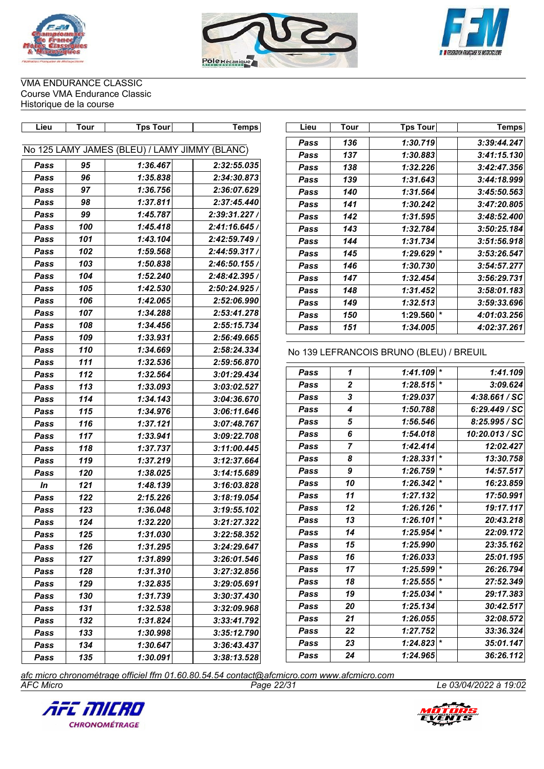





| Lieu  | <b>Tour</b> | <b>Tps Tour</b>                               | Temps        | Lieu | <b>Tour</b>      | <b>Tps Tour</b>                         |         | <b>Temps</b>   |
|-------|-------------|-----------------------------------------------|--------------|------|------------------|-----------------------------------------|---------|----------------|
|       |             |                                               |              | Pass | 136              | 1:30.719                                |         | 3:39:44.247    |
|       |             | No 125 LAMY JAMES (BLEU) / LAMY JIMMY (BLANC) |              | Pass | 137              | 1:30.883                                |         | 3:41:15.130    |
| Pass  | 95          | 1:36.467                                      | 2:32:55.035  | Pass | 138              | 1:32.226                                |         | 3:42:47.356    |
| Pass  | 96          | 1:35.838                                      | 2:34:30.873  | Pass | 139              | 1:31.643                                |         | 3:44:18.999    |
| Pass  | 97          | 1:36.756                                      | 2:36:07.629  | Pass | 140              | 1:31.564                                |         | 3:45:50.563    |
| Pass  | 98          | 1:37.811                                      | 2:37:45.440  | Pass | 141              | 1:30.242                                |         | 3:47:20.805    |
| Pass  | 99          | 1:45.787                                      | 2:39:31.227  | Pass | 142              | 1:31.595                                |         | 3:48:52.400    |
| Pass  | 100         | 1:45.418                                      | 2:41:16.645  | Pass | 143              | 1:32.784                                |         | 3:50:25.184    |
| Pass  | 101         | 1:43.104                                      | 2:42:59.749  | Pass | 144              | 1:31.734                                |         | 3:51:56.918    |
| Pass  | 102         | 1:59.568                                      | 2:44:59.317/ | Pass | 145              | $1:29.629$ <sup>*</sup>                 |         | 3:53:26.547    |
| Pass  | 103         | 1:50.838                                      | 2:46:50.155  | Pass | 146              | 1:30.730                                |         | 3:54:57.277    |
| Pass  | 104         | 1:52.240                                      | 2:48:42.395  | Pass | 147              | 1:32.454                                |         | 3:56:29.731    |
| Pass  | 105         | 1:42.530                                      | 2:50:24.925  | Pass | 148              | 1:31.452                                |         | 3:58:01.183    |
| Pass  | 106         | 1:42.065                                      | 2:52:06.990  | Pass | 149              | 1:32.513                                |         | 3:59:33.696    |
| Pass  | 107         | 1:34.288                                      | 2:53:41.278  | Pass | 150              | $1:29.560$ <sup>*</sup>                 |         | 4:01:03.256    |
| Pass  | 108         | 1:34.456                                      | 2:55:15.734  | Pass | 151              | 1:34.005                                |         | 4:02:37.261    |
| Pass  | 109         | 1:33.931                                      | 2:56:49.665  |      |                  |                                         |         |                |
| Pass  | 110         | 1:34.669                                      | 2:58:24.334  |      |                  | No 139 LEFRANCOIS BRUNO (BLEU) / BREUIL |         |                |
| Pass  | 111         | 1:32.536                                      | 2:59:56.870  |      |                  |                                         |         |                |
| Pass  | 112         | 1:32.564                                      | 3:01:29.434  | Pass | 1                | $1:41.109$ *                            |         | 1:41.109       |
| Pass  | 113         | 1:33.093                                      | 3:03:02.527  | Pass | $\boldsymbol{2}$ | $1:28.515$ <sup>*</sup>                 |         | 3:09.624       |
| Pass  | 114         | 1:34.143                                      | 3:04:36.670  | Pass | 3                | 1:29.037                                |         | 4:38.661 / SC  |
| Pass  | 115         | 1:34.976                                      | 3:06:11.646  | Pass | 4                | 1:50.788                                |         | 6:29.449 / SC  |
| Pass  | 116         | 1:37.121                                      | 3:07:48.767  | Pass | 5                | 1:56.546                                |         | 8:25.995 / SC  |
| Pass  | 117         | 1:33.941                                      | 3:09:22.708  | Pass | 6                | 1:54.018                                |         | 10:20.013 / SC |
| Pass  | 118         | 1:37.737                                      | 3:11:00.445  | Pass | $\overline{7}$   | 1:42.414                                |         | 12:02.427      |
| Pass  | 119         | 1:37.219                                      | 3:12:37.664  | Pass | 8                | 1:28.331                                | $\star$ | 13:30.758      |
| Pass  | 120         | 1:38.025                                      | 3:14:15.689  | Pass | 9                | $1:26.759$ <sup>*</sup>                 |         | 14:57.517      |
| $\ln$ | 121         | 1:48.139                                      | 3:16:03.828  | Pass | 10               | 1:26.342                                | $\ast$  | 16:23.859      |
| Pass  | 122         | 2:15.226                                      | 3:18:19.054  | Pass | 11               | 1:27.132                                |         | 17:50.991      |
| Pass  | 123         | 1:36.048                                      | 3:19:55.102  | Pass | 12               | $1:26.126$ <sup>*</sup>                 |         | 19:17.117      |
| Pass  | 124         | 1:32.220                                      | 3:21:27.322  | Pass | 13               | $1:26.101$ *                            |         | 20:43.218      |
| Pass  | 125         | 1:31.030                                      | 3:22:58.352  | Pass | 14               | $1:25.954$ <sup>*</sup>                 |         | 22:09.172      |
| Pass  | 126         | 1:31.295                                      | 3:24:29.647  | Pass | 15               | 1:25.990                                |         | 23:35.162      |
| Pass  | 127         | 1:31.899                                      | 3:26:01.546  | Pass | 16               | 1:26.033                                |         | 25:01.195      |
| Pass  | 128         | 1:31.310                                      | 3:27:32.856  | Pass | 17               | $1:25.599$ <sup>*</sup>                 |         | 26:26.794      |
| Pass  | 129         | 1:32.835                                      | 3:29:05.691  | Pass | 18               | $1:25.555$ <sup>*</sup>                 |         | 27:52.349      |
| Pass  | 130         | 1:31.739                                      | 3:30:37.430  | Pass | 19               | $1:25.034$ $*$                          |         | 29:17.383      |
| Pass  | 131         | 1:32.538                                      | 3:32:09.968  | Pass | 20               | 1:25.134                                |         | 30:42.517      |
| Pass  | 132         | 1:31.824                                      | 3:33:41.792  | Pass | 21               | 1:26.055                                |         | 32:08.572      |
| Pass  | 133         | 1:30.998                                      | 3:35:12.790  | Pass | 22               | 1:27.752                                |         | 33:36.324      |
| Pass  | 134         | 1:30.647                                      | 3:36:43.437  | Pass | 23               | $1:24.823$ *                            |         | 35:01.147      |
| Pass  | 135         | 1:30.091                                      | 3:38:13.528  | Pass | 24               | 1:24.965                                |         | 36:26.112      |

*AFC Micro Page 22/31 Le 03/04/2022 à 19:02 afc micro chronométrage officiel ffm 01.60.80.54.54 contact@afcmicro.com www.afcmicro.com*



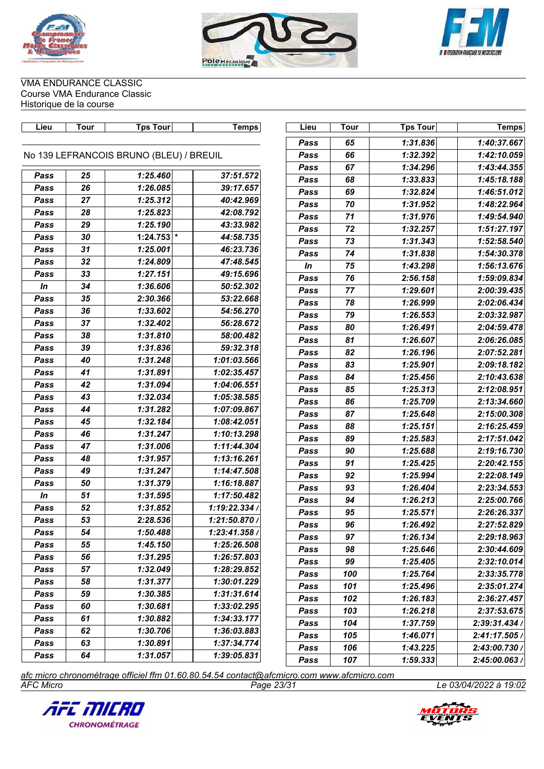





| Lieu          | <b>Tour</b>                             | <b>Tps Tour</b>    | <b>Temps</b> | Lieu | <b>Tour</b> | <b>Tps Tour</b> | <b>Temps</b>  |
|---------------|-----------------------------------------|--------------------|--------------|------|-------------|-----------------|---------------|
|               |                                         |                    |              | Pass | 65          | 1:31.836        | 1:40:37.667   |
|               | No 139 LEFRANCOIS BRUNO (BLEU) / BREUIL |                    |              | Pass | 66          | 1:32.392        | 1:42:10.059   |
|               |                                         |                    |              | Pass | 67          | 1:34.296        | 1:43:44.355   |
| Pass          | 25                                      | 1:25.460           | 37:51.572    | Pass | 68          | 1:33.833        | 1:45:18.188   |
| Pass          | 26                                      | 1:26.085           | 39:17.657    | Pass | 69          | 1:32.824        | 1:46:51.012   |
| Pass          | 27                                      | 1:25.312           | 40:42.969    | Pass | 70          | 1:31.952        | 1:48:22.964   |
| Pass          | 28                                      | 1:25.823           | 42:08.792    | Pass | 71          | 1:31.976        | 1:49:54.940   |
| Pass          | 29                                      | 1:25.190           | 43:33.982    | Pass | 72          | 1:32.257        | 1:51:27.197   |
| Pass          | 30                                      | $\ast$<br>1:24.753 | 44:58.735    | Pass | 73          | 1:31.343        | 1:52:58.540   |
| Pass          | 31                                      | 1:25.001           | 46:23.736    | Pass | 74          | 1:31.838        | 1:54:30.378   |
| Pass          | 32                                      | 1:24.809           | 47:48.545    | In   | 75          | 1:43.298        | 1:56:13.676   |
| Pass          | 33                                      | 1:27.151           | 49:15.696    | Pass | 76          | 2:56.158        | 1:59:09.834   |
| $\mathbf{ln}$ | 34                                      | 1:36.606           | 50:52.302    | Pass | 77          | 1:29.601        | 2:00:39.435   |
| Pass          | 35                                      | 2:30.366           | 53:22.668    | Pass | 78          | 1:26.999        | 2:02:06.434   |
| Pass          | 36                                      | 1:33.602           | 54:56.270    | Pass | 79          | 1:26.553        | 2:03:32.987   |
| Pass          | 37                                      | 1:32.402           | 56:28.672    | Pass | 80          | 1:26.491        | 2:04:59.478   |
| Pass          | 38                                      | 1:31.810           | 58:00.482    | Pass | 81          | 1:26.607        | 2:06:26.085   |
| Pass          | 39                                      | 1:31.836           | 59:32.318    | Pass | 82          | 1:26.196        | 2:07:52.281   |
| Pass          | 40                                      | 1:31.248           | 1:01:03.566  | Pass | 83          | 1:25.901        | 2:09:18.182   |
| Pass          | 41                                      | 1:31.891           | 1:02:35.457  | Pass | 84          | 1:25.456        | 2:10:43.638   |
| Pass          | 42                                      | 1:31.094           | 1:04:06.551  | Pass | 85          | 1:25.313        | 2:12:08.951   |
| Pass          | 43                                      | 1:32.034           | 1:05:38.585  | Pass | 86          | 1:25.709        | 2:13:34.660   |
| Pass          | 44                                      | 1:31.282           | 1:07:09.867  | Pass | 87          | 1:25.648        | 2:15:00.308   |
| Pass          | 45                                      | 1:32.184           | 1:08:42.051  | Pass | 88          | 1:25.151        | 2:16:25.459   |
| Pass          | 46                                      | 1:31.247           | 1:10:13.298  | Pass | 89          | 1:25.583        | 2:17:51.042   |
| Pass          | 47                                      | 1:31.006           | 1:11:44.304  | Pass | 90          | 1:25.688        | 2:19:16.730   |
| Pass          | 48                                      | 1:31.957           | 1:13:16.261  | Pass | 91          | 1:25.425        | 2:20:42.155   |
| Pass          | 49                                      | 1:31.247           | 1:14:47.508  | Pass | 92          | 1:25.994        | 2:22:08.149   |
| Pass          | ${\bf 50}$                              | 1:31.379           | 1:16:18.887  | Pass | 93          | 1:26.404        | 2:23:34.553   |
| In            | 51                                      | 1:31.595           | 1:17:50.482  | Pass | 94          | 1:26.213        | 2:25:00.766   |
| Pass          | 52                                      | 1:31.852           | 1:19:22.334  | Pass | 95          | 1:25.571        | 2:26:26.337   |
| Pass          | 53                                      | 2:28.536           | 1:21:50.870  | Pass | 96          | 1:26.492        | 2:27:52.829   |
| Pass          | 54                                      | 1:50.488           | 1:23:41.358/ | Pass | 97          | 1:26.134        | 2:29:18.963   |
| Pass          | 55                                      | 1:45.150           | 1:25:26.508  | Pass | 98          | 1:25.646        | 2:30:44.609   |
| Pass          | 56                                      | 1:31.295           | 1:26:57.803  | Pass | 99          | 1:25.405        | 2:32:10.014   |
| Pass          | 57                                      | 1:32.049           | 1:28:29.852  | Pass | 100         | 1:25.764        | 2:33:35.778   |
| Pass          | 58                                      | 1:31.377           | 1:30:01.229  | Pass | 101         | 1:25.496        | 2:35:01.274   |
| Pass          | 59                                      | 1:30.385           | 1:31:31.614  | Pass | 102         | 1:26.183        | 2:36:27.457   |
| Pass          | 60                                      | 1:30.681           | 1:33:02.295  | Pass | 103         | 1:26.218        | 2:37:53.675   |
| Pass          | 61                                      | 1:30.882           | 1:34:33.177  | Pass | 104         | 1:37.759        | 2:39:31.434   |
| Pass          | 62                                      | 1:30.706           | 1:36:03.883  | Pass | 105         | 1:46.071        | 2:41:17.505   |
| Pass          | 63                                      | 1:30.891           | 1:37:34.774  | Pass | 106         | 1:43.225        | 2:43:00.730 / |
| Pass          | 64                                      | 1:31.057           | 1:39:05.831  | Pass | 107         | 1:59.333        | 2:45:00.063 / |

*AFC Micro Page 23/31 Le 03/04/2022 à 19:02 afc micro chronométrage officiel ffm 01.60.80.54.54 contact@afcmicro.com www.afcmicro.com*



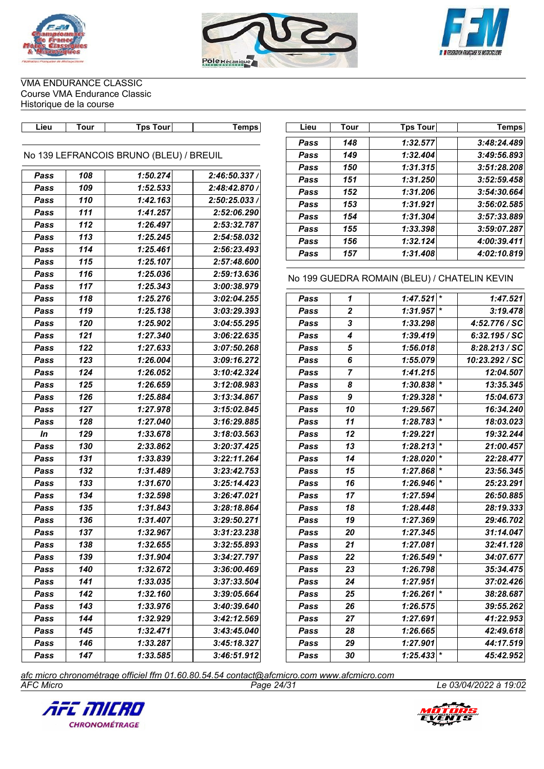





| Lieu  | Tour | <b>Tps Tour</b>                         | Temps        | Lieu | <b>Tour</b>      | <b>Tps Tour</b>                              | <b>Temps</b>   |
|-------|------|-----------------------------------------|--------------|------|------------------|----------------------------------------------|----------------|
|       |      |                                         |              | Pass | 148              | 1:32.577                                     | 3:48:24.489    |
|       |      | No 139 LEFRANCOIS BRUNO (BLEU) / BREUIL |              | Pass | 149              | 1:32.404                                     | 3:49:56.893    |
|       |      |                                         |              | Pass | 150              | 1:31.315                                     | 3:51:28.208    |
| Pass  | 108  | 1:50.274                                | 2:46:50.337/ | Pass | 151              | 1:31.250                                     | 3:52:59.458    |
| Pass  | 109  | 1:52.533                                | 2:48:42.870  | Pass | 152              | 1:31.206                                     | 3:54:30.664    |
| Pass  | 110  | 1:42.163                                | 2:50:25.033  | Pass | 153              | 1:31.921                                     | 3:56:02.585    |
| Pass  | 111  | 1:41.257                                | 2:52:06.290  | Pass | 154              | 1:31.304                                     | 3:57:33.889    |
| Pass  | 112  | 1:26.497                                | 2:53:32.787  | Pass | 155              | 1:33.398                                     | 3:59:07.287    |
| Pass  | 113  | 1:25.245                                | 2:54:58.032  | Pass | 156              | 1:32.124                                     | 4:00:39.411    |
| Pass  | 114  | 1:25.461                                | 2:56:23.493  | Pass | 157              | 1:31.408                                     | 4:02:10.819    |
| Pass  | 115  | 1:25.107                                | 2:57:48.600  |      |                  |                                              |                |
| Pass  | 116  | 1:25.036                                | 2:59:13.636  |      |                  | No 199 GUEDRA ROMAIN (BLEU) / CHATELIN KEVIN |                |
| Pass  | 117  | 1:25.343                                | 3:00:38.979  |      |                  |                                              |                |
| Pass  | 118  | 1:25.276                                | 3:02:04.255  | Pass | 1                | $1:47.521$ *                                 | 1:47.521       |
| Pass  | 119  | 1:25.138                                | 3:03:29.393  | Pass | $\boldsymbol{2}$ | $1:31.957$ *                                 | 3:19.478       |
| Pass  | 120  | 1:25.902                                | 3:04:55.295  | Pass | 3                | 1:33.298                                     | 4:52.776 / SC  |
| Pass  | 121  | 1:27.340                                | 3:06:22.635  | Pass | 4                | 1:39.419                                     | 6:32.195 / SC  |
| Pass  | 122  | 1:27.633                                | 3:07:50.268  | Pass | ${\bf 5}$        | 1:56.018                                     | 8:28.213 / SC  |
| Pass  | 123  | 1:26.004                                | 3:09:16.272  | Pass | 6                | 1:55.079                                     | 10:23.292 / SC |
| Pass  | 124  | 1:26.052                                | 3:10:42.324  | Pass | $\overline{7}$   | 1:41.215                                     | 12:04.507      |
| Pass  | 125  | 1:26.659                                | 3:12:08.983  | Pass | $\pmb{8}$        | $1:30.838$ <sup>*</sup>                      | 13:35.345      |
| Pass  | 126  | 1:25.884                                | 3:13:34.867  | Pass | 9                | $1:29.328$ *                                 | 15:04.673      |
| Pass  | 127  | 1:27.978                                | 3:15:02.845  | Pass | 10               | 1:29.567                                     | 16:34.240      |
| Pass  | 128  | 1:27.040                                | 3:16:29.885  | Pass | 11               | $1:28.783$ <sup>*</sup>                      | 18:03.023      |
| $\ln$ | 129  | 1:33.678                                | 3:18:03.563  | Pass | 12               | 1:29.221                                     | 19:32.244      |
| Pass  | 130  | 2:33.862                                | 3:20:37.425  | Pass | 13               | $1:28.213$ <sup>*</sup>                      | 21:00.457      |
| Pass  | 131  | 1:33.839                                | 3:22:11.264  | Pass | 14               | $1:28.020$ *                                 | 22:28.477      |
| Pass  | 132  | 1:31.489                                | 3:23:42.753  | Pass | 15               | $1:27.868$ <sup>*</sup>                      | 23:56.345      |
| Pass  | 133  | 1:31.670                                | 3:25:14.423  | Pass | 16               | $1:26.946$ <sup>*</sup>                      | 25:23.291      |
| Pass  | 134  | 1:32.598                                | 3:26:47.021  | Pass | 17               | 1:27.594                                     | 26:50.885      |
| Pass  | 135  | 1:31.843                                | 3:28:18.864  | Pass | 18               | 1:28.448                                     | 28:19.333      |
| Pass  | 136  | 1:31.407                                | 3:29:50.271  | Pass | 19               | 1:27.369                                     | 29:46.702      |
| Pass  | 137  | 1:32.967                                | 3:31:23.238  | Pass | 20               | 1:27.345                                     | 31:14.047      |
| Pass  | 138  | 1:32.655                                | 3:32:55.893  | Pass | 21               | 1:27.081                                     | 32:41.128      |
| Pass  | 139  | 1:31.904                                | 3:34:27.797  | Pass | 22               | $1:26.549$ <sup>*</sup>                      | 34:07.677      |
| Pass  | 140  | 1:32.672                                | 3:36:00.469  | Pass | 23               | 1:26.798                                     | 35:34.475      |
| Pass  | 141  | 1:33.035                                | 3:37:33.504  | Pass | 24               | 1:27.951                                     | 37:02.426      |
| Pass  | 142  | 1:32.160                                | 3:39:05.664  | Pass | 25               | 1:26.261                                     | 38:28.687      |
| Pass  | 143  | 1:33.976                                | 3:40:39.640  | Pass | 26               | 1:26.575                                     | 39:55.262      |
| Pass  | 144  | 1:32.929                                | 3:42:12.569  | Pass | 27               | 1:27.691                                     | 41:22.953      |
| Pass  | 145  | 1:32.471                                | 3:43:45.040  | Pass | 28               | 1:26.665                                     | 42:49.618      |
| Pass  | 146  | 1:33.287                                | 3:45:18.327  | Pass | 29               | 1:27.901                                     | 44:17.519      |
| Pass  | 147  | 1:33.585                                | 3:46:51.912  | Pass | 30               | $1:25.433$ *                                 | 45:42.952      |

*AFC Micro Page 24/31 Le 03/04/2022 à 19:02 afc micro chronométrage officiel ffm 01.60.80.54.54 contact@afcmicro.com www.afcmicro.com*



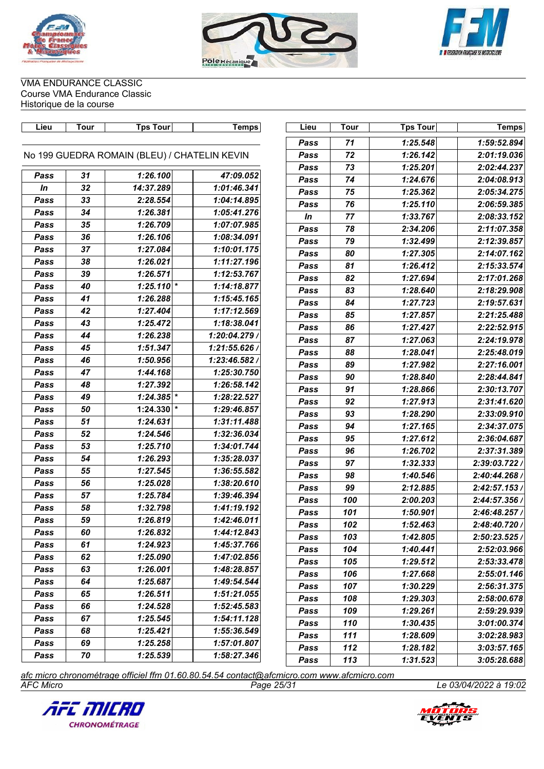





| Lieu        | Tour | <b>Tps Tour</b>                              | <b>Temps</b> | Lieu | <b>Tour</b> | <b>Tps Tour</b> | <b>Temps</b>  |
|-------------|------|----------------------------------------------|--------------|------|-------------|-----------------|---------------|
|             |      |                                              |              | Pass | 71          | 1:25.548        | 1:59:52.894   |
|             |      | No 199 GUEDRA ROMAIN (BLEU) / CHATELIN KEVIN |              | Pass | 72          | 1:26.142        | 2:01:19.036   |
|             |      |                                              |              | Pass | 73          | 1:25.201        | 2:02:44.237   |
| Pass        | 31   | 1:26.100                                     | 47:09.052    | Pass | 74          | 1:24.676        | 2:04:08.913   |
| $\ln$       | 32   | 14:37.289                                    | 1:01:46.341  | Pass | 75          | 1:25.362        | 2:05:34.275   |
| Pass        | 33   | 2:28.554                                     | 1:04:14.895  | Pass | 76          | 1:25.110        | 2:06:59.385   |
| Pass        | 34   | 1:26.381                                     | 1:05:41.276  | In   | 77          | 1:33.767        | 2:08:33.152   |
| Pass        | 35   | 1:26.709                                     | 1:07:07.985  | Pass | 78          | 2:34.206        | 2:11:07.358   |
| Pass        | 36   | 1:26.106                                     | 1:08:34.091  | Pass | 79          | 1:32.499        | 2:12:39.857   |
| Pass        | 37   | 1:27.084                                     | 1:10:01.175  | Pass | 80          | 1:27.305        | 2:14:07.162   |
| Pass        | 38   | 1:26.021                                     | 1:11:27.196  | Pass | 81          | 1:26.412        | 2:15:33.574   |
| Pass        | 39   | 1:26.571                                     | 1:12:53.767  | Pass | 82          | 1:27.694        | 2:17:01.268   |
| Pass        | 40   | $1:25.110$ *                                 | 1:14:18.877  | Pass | 83          | 1:28.640        | 2:18:29.908   |
| Pass        | 41   | 1:26.288                                     | 1:15:45.165  | Pass | 84          | 1:27.723        | 2:19:57.631   |
| Pass        | 42   | 1:27.404                                     | 1:17:12.569  | Pass | 85          | 1:27.857        | 2:21:25.488   |
| Pass        | 43   | 1:25.472                                     | 1:18:38.041  | Pass | 86          | 1:27.427        | 2:22:52.915   |
| Pass        | 44   | 1:26.238                                     | 1:20:04.279  | Pass | 87          | 1:27.063        | 2:24:19.978   |
| Pass        | 45   | 1:51.347                                     | 1:21:55.626  | Pass | 88          | 1:28.041        | 2:25:48.019   |
| Pass        | 46   | 1:50.956                                     | 1:23:46.582/ | Pass | 89          | 1:27.982        | 2:27:16.001   |
| Pass        | 47   | 1:44.168                                     | 1:25:30.750  | Pass | 90          | 1:28.840        | 2:28:44.841   |
| Pass        | 48   | 1:27.392                                     | 1:26:58.142  | Pass | 91          | 1:28.866        | 2:30:13.707   |
| Pass        | 49   | $1:24.385$ <sup>*</sup>                      | 1:28:22.527  | Pass | 92          | 1:27.913        | 2:31:41.620   |
| Pass        | 50   | ∗<br>1:24.330                                | 1:29:46.857  | Pass | 93          | 1:28.290        | 2:33:09.910   |
| Pass        | 51   | 1:24.631                                     | 1:31:11.488  | Pass | 94          | 1:27.165        | 2:34:37.075   |
| Pass        | 52   | 1:24.546                                     | 1:32:36.034  | Pass | 95          | 1:27.612        | 2:36:04.687   |
| Pass        | 53   | 1:25.710                                     | 1:34:01.744  | Pass | 96          | 1:26.702        | 2:37:31.389   |
| Pass        | 54   | 1:26.293                                     | 1:35:28.037  | Pass | 97          | 1:32.333        | 2:39:03.722   |
| Pass        | 55   | 1:27.545                                     | 1:36:55.582  | Pass | 98          | 1:40.546        | 2:40:44.268   |
| Pass        | 56   | 1:25.028                                     | 1:38:20.610  | Pass | 99          | 2:12.885        | 2:42:57.153   |
| Pass        | 57   | 1:25.784                                     | 1:39:46.394  | Pass | 100         | 2:00.203        | 2:44:57.356   |
| Pass        | 58   | 1:32.798                                     | 1:41:19.192  | Pass | 101         | 1:50.901        | 2:46:48.257 / |
| Pass        | 59   | 1:26.819                                     | 1:42:46.011  | Pass | 102         | 1:52.463        | 2:48:40.720   |
| Pass        | 60   | 1:26.832                                     | 1:44:12.843  | Pass | 103         | 1:42.805        | 2:50:23.525/  |
| Pass        | 61   | 1:24.923                                     | 1:45:37.766  | Pass | 104         | 1:40.441        | 2:52:03.966   |
| Pass        | 62   | 1:25.090                                     | 1:47:02.856  | Pass | 105         | 1:29.512        | 2:53:33.478   |
| Pass        | 63   | 1:26.001                                     | 1:48:28.857  | Pass | 106         | 1:27.668        | 2:55:01.146   |
| Pass        | 64   | 1:25.687                                     | 1:49:54.544  | Pass | 107         | 1:30.229        | 2:56:31.375   |
| <b>Pass</b> | 65   | 1:26.511                                     | 1:51:21.055  | Pass | 108         | 1:29.303        | 2:58:00.678   |
| Pass        | 66   | 1:24.528                                     | 1:52:45.583  | Pass | 109         | 1:29.261        | 2:59:29.939   |
| Pass        | 67   | 1:25.545                                     | 1:54:11.128  | Pass | 110         | 1:30.435        | 3:01:00.374   |
| Pass        | 68   | 1:25.421                                     | 1:55:36.549  | Pass | 111         | 1:28.609        | 3:02:28.983   |
| Pass        | 69   | 1:25.258                                     | 1:57:01.807  | Pass | 112         | 1:28.182        | 3:03:57.165   |
| Pass        | 70   | 1:25.539                                     | 1:58:27.346  | Pass | 113         | 1:31.523        | 3:05:28.688   |

*AFC Micro Page 25/31 Le 03/04/2022 à 19:02 afc micro chronométrage officiel ffm 01.60.80.54.54 contact@afcmicro.com www.afcmicro.com*



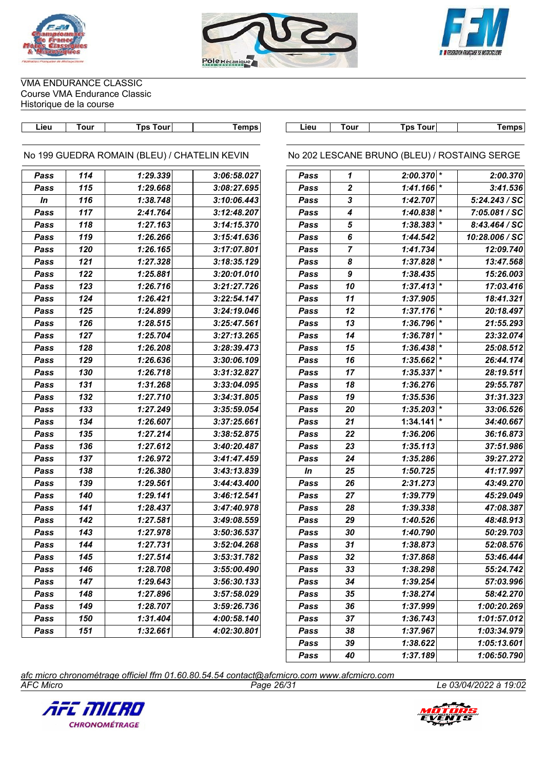





| Lieu | <b>Tour</b> | <b>Tps Tour</b>                              | <b>Temps</b> | Lieu | <b>Tour</b>      | <b>Tps Tour</b>                              | <b>Temps</b>   |
|------|-------------|----------------------------------------------|--------------|------|------------------|----------------------------------------------|----------------|
|      |             | No 199 GUEDRA ROMAIN (BLEU) / CHATELIN KEVIN |              |      |                  | No 202 LESCANE BRUNO (BLEU) / ROSTAING SERGE |                |
| Pass | 114         | 1:29.339                                     | 3:06:58.027  | Pass | 1                | $2:00.370$ *                                 | 2:00.370       |
| Pass | 115         | 1:29.668                                     | 3:08:27.695  | Pass | $\boldsymbol{2}$ | $1:41.166$ *                                 | 3:41.536       |
| In   | 116         | 1:38.748                                     | 3:10:06.443  | Pass | $\boldsymbol{3}$ | 1:42.707                                     | 5:24.243 / SC  |
| Pass | 117         | 2:41.764                                     | 3:12:48.207  | Pass | 4                | $1:40.838$ <sup>*</sup>                      | 7:05.081 / SC  |
| Pass | 118         | 1:27.163                                     | 3:14:15.370  | Pass | 5                | $1:38.383$ <sup>*</sup>                      | 8:43.464 / SC  |
| Pass | 119         | 1:26.266                                     | 3:15:41.636  | Pass | 6                | 1:44.542                                     | 10:28.006 / SC |
| Pass | 120         | 1:26.165                                     | 3:17:07.801  | Pass | $\overline{7}$   | 1:41.734                                     | 12:09.740      |
| Pass | 121         | 1:27.328                                     | 3:18:35.129  | Pass | 8                | $1:37.828$ <sup>*</sup>                      | 13:47.568      |
| Pass | 122         | 1:25.881                                     | 3:20:01.010  | Pass | $\boldsymbol{9}$ | 1:38.435                                     | 15:26.003      |
| Pass | 123         | 1:26.716                                     | 3:21:27.726  | Pass | 10               | $1:37.413$ *                                 | 17:03.416      |
| Pass | 124         | 1:26.421                                     | 3:22:54.147  | Pass | 11               | 1:37.905                                     | 18:41.321      |
| Pass | 125         | 1:24.899                                     | 3:24:19.046  | Pass | 12               | $1:37.176$ *                                 | 20:18.497      |
| Pass | 126         | 1:28.515                                     | 3:25:47.561  | Pass | 13               | $1:36.796$ <sup>*</sup>                      | 21:55.293      |
| Pass | 127         | 1:25.704                                     | 3:27:13.265  | Pass | 14               | $1:36.781$ *                                 | 23:32.074      |
| Pass | 128         | 1:26.208                                     | 3:28:39.473  | Pass | 15               | 1:36.438                                     | 25:08.512      |
| Pass | 129         | 1:26.636                                     | 3:30:06.109  | Pass | 16               | $1:35.662$ *                                 | 26:44.174      |
| Pass | 130         | 1:26.718                                     | 3:31:32.827  | Pass | 17               | $1:35.337$ *                                 | 28:19.511      |
| Pass | 131         | 1:31.268                                     | 3:33:04.095  | Pass | 18               | 1:36.276                                     | 29:55.787      |
| Pass | 132         | 1:27.710                                     | 3:34:31.805  | Pass | 19               | 1:35.536                                     | 31:31.323      |
| Pass | 133         | 1:27.249                                     | 3:35:59.054  | Pass | 20               | $1:35.203$ *                                 | 33:06.526      |
| Pass | 134         | 1:26.607                                     | 3:37:25.661  | Pass | 21               | $1:34.141$ *                                 | 34:40.667      |
| Pass | 135         | 1:27.214                                     | 3:38:52.875  | Pass | 22               | 1:36.206                                     | 36:16.873      |
| Pass | 136         | 1:27.612                                     | 3:40:20.487  | Pass | 23               | 1:35.113                                     | 37:51.986      |
| Pass | 137         | 1:26.972                                     | 3:41:47.459  | Pass | 24               | 1:35.286                                     | 39:27.272      |
| Pass | 138         | 1:26.380                                     | 3:43:13.839  | In   | 25               | 1:50.725                                     | 41:17.997      |
| Pass | 139         | 1:29.561                                     | 3:44:43.400  | Pass | 26               | 2:31.273                                     | 43:49.270      |
| Pass | 140         | 1:29.141                                     | 3:46:12.541  | Pass | 27               | 1:39.779                                     | 45:29.049      |
| Pass | 141         | 1:28.437                                     | 3:47:40.978  | Pass | 28               | 1:39.338                                     | 47:08.387      |
| Pass | 142         | 1:27.581                                     | 3:49:08.559  | Pass | 29               | 1:40.526                                     | 48:48.913      |
| Pass | 143         | 1:27.978                                     | 3:50:36.537  | Pass | 30               | 1:40.790                                     | 50:29.703      |
| Pass | 144         | 1:27.731                                     | 3:52:04.268  | Pass | 31               | 1:38.873                                     | 52:08.576      |
| Pass | 145         | 1:27.514                                     | 3:53:31.782  | Pass | 32               | 1:37.868                                     | 53:46.444      |
| Pass | 146         | 1:28.708                                     | 3:55:00.490  | Pass | 33               | 1:38.298                                     | 55:24.742      |
| Pass | 147         | 1:29.643                                     | 3:56:30.133  | Pass | 34               | 1:39.254                                     | 57:03.996      |
| Pass | 148         | 1:27.896                                     | 3:57:58.029  | Pass | 35               | 1:38.274                                     | 58:42.270      |
| Pass | 149         | 1:28.707                                     | 3:59:26.736  | Pass | 36               | 1:37.999                                     | 1:00:20.269    |
| Pass | 150         | 1:31.404                                     | 4:00:58.140  | Pass | 37               | 1:36.743                                     | 1:01:57.012    |
| Pass | 151         | 1:32.661                                     | 4:02:30.801  | Pass | 38               | 1:37.967                                     | 1:03:34.979    |
|      |             |                                              |              | Pass | 39               | 1:38.622                                     | 1:05:13.601    |
|      |             |                                              |              | Pass | 40               | 1:37.189                                     | 1:06:50.790    |

*AFC Micro Page 26/31 Le 03/04/2022 à 19:02 afc micro chronométrage officiel ffm 01.60.80.54.54 contact@afcmicro.com www.afcmicro.com*



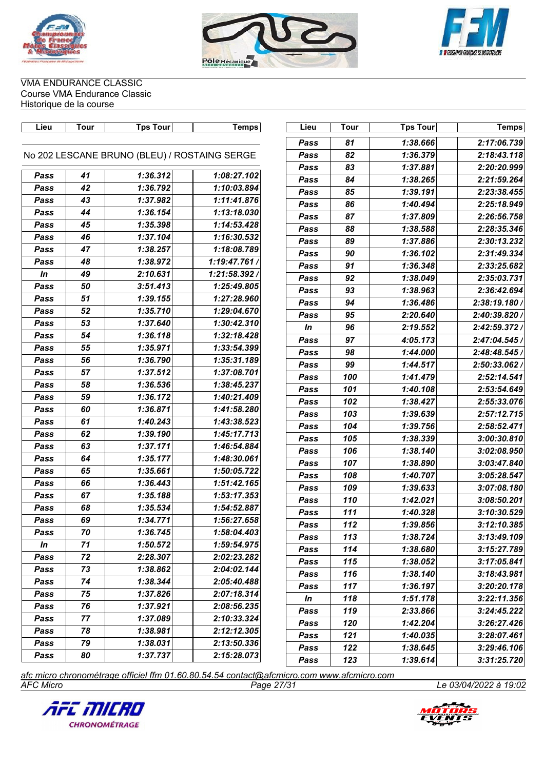





VMA ENDURANCE CLASSIC Course VMA Endurance Classic Historique de la course

| Lieu | <b>Tour</b> | <b>Tps Tour</b>                              | <b>Temps</b>  | Lieu | Tour | <b>Tps Tour</b> | <b>Temps</b> |
|------|-------------|----------------------------------------------|---------------|------|------|-----------------|--------------|
|      |             |                                              |               | Pass | 81   | 1:38.666        | 2:17:06.739  |
|      |             | No 202 LESCANE BRUNO (BLEU) / ROSTAING SERGE |               | Pass | 82   | 1:36.379        | 2:18:43.118  |
|      |             |                                              |               | Pass | 83   | 1:37.881        | 2:20:20.999  |
| Pass | 41          | 1:36.312                                     | 1:08:27.102   | Pass | 84   | 1:38.265        | 2:21:59.264  |
| Pass | 42          | 1:36.792                                     | 1:10:03.894   | Pass | 85   | 1:39.191        | 2:23:38.455  |
| Pass | 43          | 1:37.982                                     | 1:11:41.876   | Pass | 86   | 1:40.494        | 2:25:18.949  |
| Pass | 44          | 1:36.154                                     | 1:13:18.030   | Pass | 87   | 1:37.809        | 2:26:56.758  |
| Pass | 45          | 1:35.398                                     | 1:14:53.428   | Pass | 88   | 1:38.588        | 2:28:35.346  |
| Pass | 46          | 1:37.104                                     | 1:16:30.532   | Pass | 89   | 1:37.886        | 2:30:13.232  |
| Pass | 47          | 1:38.257                                     | 1:18:08.789   | Pass | 90   | 1:36.102        | 2:31:49.334  |
| Pass | 48          | 1:38.972                                     | 1:19:47.761/  | Pass | 91   | 1:36.348        | 2:33:25.682  |
| In   | 49          | 2:10.631                                     | 1:21:58.392 / | Pass | 92   | 1:38.049        | 2:35:03.731  |
| Pass | 50          | 3:51.413                                     | 1:25:49.805   | Pass | 93   | 1:38.963        | 2:36:42.694  |
| Pass | 51          | 1:39.155                                     | 1:27:28.960   | Pass | 94   | 1:36.486        | 2:38:19.180  |
| Pass | 52          | 1:35.710                                     | 1:29:04.670   | Pass | 95   | 2:20.640        | 2:40:39.820  |
| Pass | 53          | 1:37.640                                     | 1:30:42.310   | In   | 96   | 2:19.552        | 2:42:59.372  |
| Pass | 54          | 1:36.118                                     | 1:32:18.428   | Pass | 97   | 4:05.173        | 2:47:04.545  |
| Pass | 55          | 1:35.971                                     | 1:33:54.399   | Pass | 98   | 1:44.000        | 2:48:48.545  |
| Pass | 56          | 1:36.790                                     | 1:35:31.189   | Pass | 99   | 1:44.517        | 2:50:33.062  |
| Pass | 57          | 1:37.512                                     | 1:37:08.701   | Pass | 100  | 1:41.479        | 2:52:14.541  |
| Pass | 58          | 1:36.536                                     | 1:38:45.237   | Pass | 101  | 1:40.108        | 2:53:54.649  |
| Pass | 59          | 1:36.172                                     | 1:40:21.409   | Pass | 102  | 1:38.427        | 2:55:33.076  |
| Pass | 60          | 1:36.871                                     | 1:41:58.280   | Pass | 103  | 1:39.639        | 2:57:12.715  |
| Pass | 61          | 1:40.243                                     | 1:43:38.523   | Pass | 104  | 1:39.756        | 2:58:52.471  |
| Pass | 62          | 1:39.190                                     | 1:45:17.713   | Pass | 105  | 1:38.339        | 3:00:30.810  |
| Pass | 63          | 1:37.171                                     | 1:46:54.884   | Pass | 106  | 1:38.140        | 3:02:08.950  |
| Pass | 64          | 1:35.177                                     | 1:48:30.061   | Pass | 107  | 1:38.890        | 3:03:47.840  |
| Pass | 65          | 1:35.661                                     | 1:50:05.722   | Pass | 108  | 1:40.707        | 3:05:28.547  |
| Pass | 66          | 1:36.443                                     | 1:51:42.165   | Pass | 109  | 1:39.633        | 3:07:08.180  |
| Pass | 67          | 1:35.188                                     | 1:53:17.353   | Pass | 110  | 1:42.021        | 3:08:50.201  |
| Pass | 68          | 1:35.534                                     | 1:54:52.887   | Pass | 111  | 1:40.328        | 3:10:30.529  |
| Pass | 69          | 1:34.771                                     | 1:56:27.658   | Pass | 112  | 1:39.856        | 3:12:10.385  |
| Pass | 70          | 1:36.745                                     | 1:58:04.403   | Pass | 113  | 1:38.724        | 3:13:49.109  |
| In   | 71          | 1:50.572                                     | 1:59:54.975   | Pass | 114  | 1:38.680        | 3:15:27.789  |
| Pass | 72          | 2:28.307                                     | 2:02:23.282   | Pass | 115  | 1:38.052        | 3:17:05.841  |
| Pass | 73          | 1:38.862                                     | 2:04:02.144   | Pass | 116  | 1:38.140        | 3:18:43.981  |
| Pass | 74          | 1:38.344                                     | 2:05:40.488   | Pass | 117  | 1:36.197        | 3:20:20.178  |
| Pass | 75          | 1:37.826                                     | 2:07:18.314   | In   | 118  | 1:51.178        | 3:22:11.356  |
| Pass | 76          | 1:37.921                                     | 2:08:56.235   | Pass | 119  | 2:33.866        | 3:24:45.222  |
| Pass | 77          | 1:37.089                                     | 2:10:33.324   | Pass | 120  | 1:42.204        | 3:26:27.426  |
| Pass | 78          | 1:38.981                                     | 2:12:12.305   | Pass | 121  | 1:40.035        | 3:28:07.461  |
| Pass | 79          | 1:38.031                                     | 2:13:50.336   | Pass | 122  | 1:38.645        | 3:29:46.106  |
| Pass | 80          | 1:37.737                                     | 2:15:28.073   | Pass | 123  | 1:39.614        | 3:31:25.720  |

*AFC Micro Page 27/31 Le 03/04/2022 à 19:02 afc micro chronométrage officiel ffm 01.60.80.54.54 contact@afcmicro.com www.afcmicro.com*



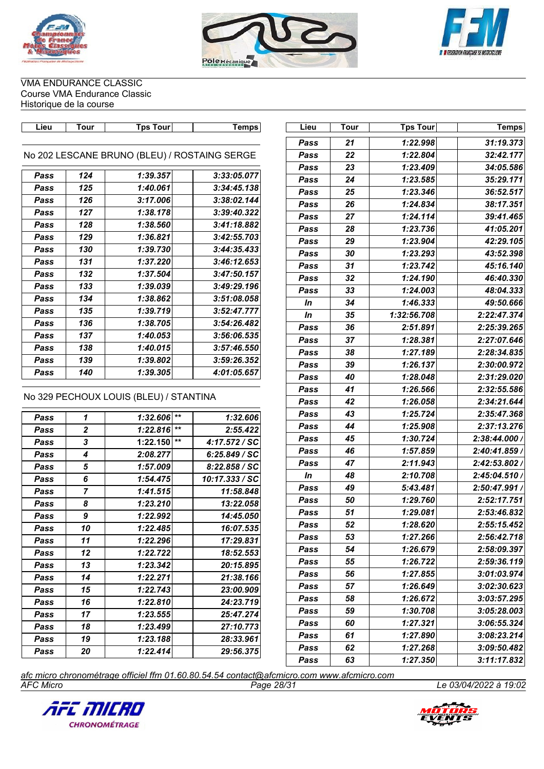





VMA ENDURANCE CLASSIC Course VMA Endurance Classic Historique de la course

| Lieu        | <b>Tour</b> | <b>Tps Tour</b>                              | Temps       | Lieu        | Tour | <b>Tps Tour</b> | <b>Temps</b> |
|-------------|-------------|----------------------------------------------|-------------|-------------|------|-----------------|--------------|
|             |             |                                              |             | Pass        | 21   | 1:22.998        | 31:19.373    |
|             |             | No 202 LESCANE BRUNO (BLEU) / ROSTAING SERGE |             | Pass        | 22   | 1:22.804        | 32:42.177    |
|             |             |                                              |             | Pass        | 23   | 1:23.409        | 34:05.586    |
| Pass        | 124         | 1:39.357                                     | 3:33:05.077 | Pass        | 24   | 1:23.585        | 35:29.171    |
| Pass        | 125         | 1:40.061                                     | 3:34:45.138 | Pass        | 25   | 1:23.346        | 36:52.517    |
| Pass        | 126         | 3:17.006                                     | 3:38:02.144 | Pass        | 26   | 1:24.834        | 38:17.351    |
| <b>Pass</b> | 127         | 1:38.178                                     | 3:39:40.322 | <b>Pass</b> | 27   | 1:24.114        | 39:41.465    |
| <b>Pass</b> | 128         | 1:38.560                                     | 3:41:18.882 | Pass        | 28   | 1:23.736        | 41:05.201    |
| Pass        | 129         | 1:36.821                                     | 3:42:55.703 | Pass        | 29   | 1:23.904        | 42:29.105    |
| Pass        | 130         | 1:39.730                                     | 3:44:35.433 | Pass        | 30   | 1:23.293        | 43:52.398    |
| Pass        | 131         | 1:37.220                                     | 3:46:12.653 | Pass        | 31   | 1:23.742        | 45:16.140    |
| Pass        | 132         | 1:37.504                                     | 3:47:50.157 | Pass        | 32   | 1:24.190        | 46:40.330    |
| <b>Pass</b> | 133         | 1:39.039                                     | 3:49:29.196 | <b>Pass</b> | 33   | 1:24.003        | 48:04.333    |
| Pass        | 134         | 1:38.862                                     | 3:51:08.058 | In          | 34   | 1:46.333        | 49:50.666    |
| Pass        | 135         | 1:39.719                                     | 3:52:47.777 | In          | 35   | 1:32:56.708     | 2:22:47.374  |
| <b>Pass</b> | 136         | 1:38.705                                     | 3:54:26.482 | Pass        | 36   | 2:51.891        | 2:25:39.265  |
| Pass        | 137         | 1:40.053                                     | 3:56:06.535 | Pass        | 37   | 1:28.381        | 2:27:07.646  |
| Pass        | 138         | 1:40.015                                     | 3:57:46.550 | Pass        | 38   | 1:27.189        | 2:28:34.835  |
| Pass        | 139         | 1:39.802                                     | 3:59:26.352 | Pass        | 39   | 1:26.137        | 2:30:00.972  |
| Pass        | 140         | 1:39.305                                     | 4:01:05.657 | Pass        | 40   | 1:28.048        | 2:31:29.020  |
|             |             |                                              |             | Pass        | 41   | 1:26.566        | 2:32:55.586  |
|             |             | No 329 PECHOUX LOUIS (BLEU) / STANTINA       |             |             |      |                 |              |

No 329 PECHOUX LOUIS (BLEU) / STANTINA

|             |                         | NO 329 PECHOUX LOUIS (BLEU) / STANTINA |                | <b>Pass</b> | 42 | 1:26.058 | 2:34:21.644   |
|-------------|-------------------------|----------------------------------------|----------------|-------------|----|----------|---------------|
| Pass        | 1                       | $1:32.606$ **                          | 1:32.606       | Pass        | 43 | 1:25.724 | 2:35:47.368   |
| <b>Pass</b> | $\overline{2}$          | $1:22.816$ **                          | 2:55.422       | Pass        | 44 | 1:25.908 | 2:37:13.276   |
| Pass        | $\overline{\mathbf{3}}$ | $1:22.150$ **                          | 4:17.572 / SC  | <b>Pass</b> | 45 | 1:30.724 | 2:38:44.000 / |
| Pass        | $\overline{4}$          | 2:08.277                               | 6:25.849 / SC  | Pass        | 46 | 1:57.859 | 2:40:41.859 / |
| <b>Pass</b> | 5                       | 1:57.009                               | 8:22.858 / SC  | Pass        | 47 | 2:11.943 | 2:42:53.802 / |
| Pass        | 6                       | 1:54.475                               | 10:17.333 / SC | In          | 48 | 2:10.708 | 2:45:04.510 / |
| Pass        | $\overline{7}$          | 1:41.515                               | 11:58.848      | Pass        | 49 | 5:43.481 | 2:50:47.991 / |
| Pass        | 8                       | 1:23.210                               | 13:22.058      | Pass        | 50 | 1:29.760 | 2:52:17.751   |
| Pass        | 9                       | 1:22.992                               | 14:45.050      | <b>Pass</b> | 51 | 1:29.081 | 2:53:46.832   |
| Pass        | 10                      | 1:22.485                               | 16:07.535      | <b>Pass</b> | 52 | 1:28.620 | 2:55:15.452   |
| Pass        | 11                      | 1:22.296                               | 17:29.831      | <b>Pass</b> | 53 | 1:27.266 | 2:56:42.718   |
| Pass        | 12                      | 1:22.722                               | 18:52.553      | Pass        | 54 | 1:26.679 | 2:58:09.397   |
| Pass        | 13                      | 1:23.342                               | 20:15.895      | Pass        | 55 | 1:26.722 | 2:59:36.119   |
| Pass        | 14                      | 1:22.271                               | 21:38.166      | Pass        | 56 | 1:27.855 | 3:01:03.974   |
|             |                         |                                        |                | <b>Pass</b> | 57 | 1:26.649 | 3:02:30.623   |
| <b>Pass</b> | 15                      | 1:22.743                               | 23:00.909      | <b>Pass</b> | 58 | 1:26.672 | 3:03:57.295   |
| Pass        | 16                      | 1:22.810                               | 24:23.719      | <b>Pass</b> | 59 | 1:30.708 | 3:05:28.003   |
| Pass        | 17                      | 1:23.555                               | 25:47.274      |             | 60 | 1:27.321 |               |
| Pass        | 18                      | 1:23.499                               | 27:10.773      | <b>Pass</b> |    |          | 3:06:55.324   |
| Pass        | 19                      | 1:23.188                               | 28:33.961      | <b>Pass</b> | 61 | 1:27.890 | 3:08:23.214   |
| Pass        | 20                      | 1:22.414                               | 29:56.375      | Pass        | 62 | 1:27.268 | 3:09:50.482   |
|             |                         |                                        |                | Pass        | 63 | 1:27.350 | 3:11:17.832   |

*AFC Micro Page 28/31 Le 03/04/2022 à 19:02 afc micro chronométrage officiel ffm 01.60.80.54.54 contact@afcmicro.com www.afcmicro.com*



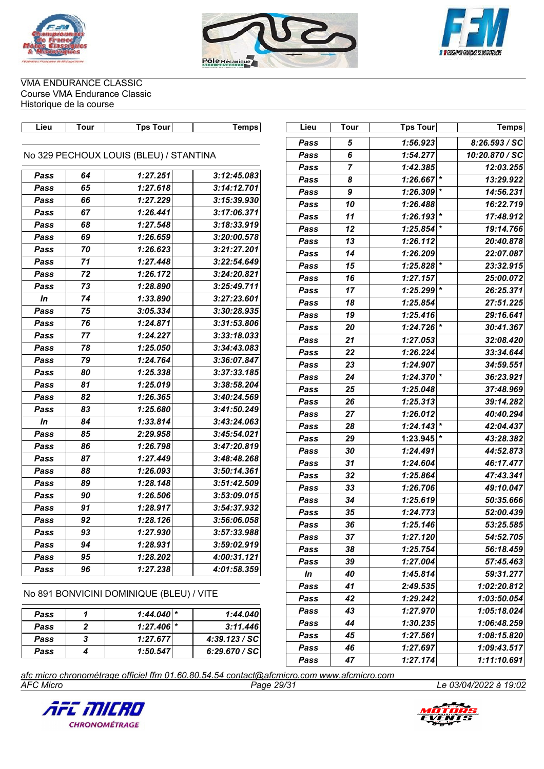





| Lieu    | <b>Tour</b>                   | <b>Tps Tour</b>                          | <b>Temps</b>           | Lieu | <b>Tour</b>    | <b>Tps Tour</b>         | <b>Temps</b>   |
|---------|-------------------------------|------------------------------------------|------------------------|------|----------------|-------------------------|----------------|
|         |                               |                                          |                        | Pass | 5              | 1:56.923                | 8:26.593 / SC  |
|         |                               | No 329 PECHOUX LOUIS (BLEU) / STANTINA   |                        | Pass | 6              | 1:54.277                | 10:20.870 / SC |
|         |                               |                                          |                        | Pass | $\overline{7}$ | 1:42.385                | 12:03.255      |
| Pass    | 64                            | 1:27.251                                 | 3:12:45.083            | Pass | 8              | 1:26.667                | 13:29.922      |
| Pass    | 65                            | 1:27.618                                 | 3:14:12.701            | Pass | 9              | $1:26.309$ *            | 14:56.231      |
| Pass    | 66                            | 1:27.229                                 | 3:15:39.930            | Pass | 10             | 1:26.488                | 16:22.719      |
| Pass    | 67                            | 1:26.441                                 | 3:17:06.371            | Pass | 11             | 1:26.193                | 17:48.912      |
| Pass    | 68                            | 1:27.548                                 | 3:18:33.919            | Pass | 12             | $1:25.854$ *            | 19:14.766      |
| Pass    | 69                            | 1:26.659                                 | 3:20:00.578            | Pass | 13             | 1:26.112                | 20:40.878      |
| Pass    | 70                            | 1:26.623                                 | 3:21:27.201            | Pass | 14             | 1:26.209                | 22:07.087      |
| Pass    | 71                            | 1:27.448                                 | 3:22:54.649            | Pass | 15             | $1:25.828$ <sup>*</sup> | 23:32.915      |
| Pass    | 72                            | 1:26.172                                 | 3:24:20.821            | Pass | 16             | 1:27.157                | 25:00.072      |
| Pass    | 73                            | 1:28.890                                 | 3:25:49.711            | Pass | 17             | $1:25.299$ <sup>*</sup> | 26:25.371      |
| In      | 74                            | 1:33.890                                 | 3:27:23.601            | Pass | 18             | 1:25.854                | 27:51.225      |
| Pass    | 75                            | 3:05.334                                 | 3:30:28.935            | Pass | 19             | 1:25.416                | 29:16.641      |
| Pass    | 76                            | 1:24.871                                 | 3:31:53.806            | Pass | 20             | $1:24.726$ *            | 30:41.367      |
| Pass    | 77                            | 1:24.227                                 | 3:33:18.033            | Pass | 21             | 1:27.053                | 32:08.420      |
| Pass    | 78                            | 1:25.050                                 | 3:34:43.083            | Pass | 22             | 1:26.224                | 33:34.644      |
| Pass    | 79                            | 1:24.764                                 | 3:36:07.847            | Pass | 23             | 1:24.907                | 34:59.551      |
| Pass    | 80                            | 1:25.338                                 | 3:37:33.185            | Pass | 24             | $1:24.370$ *            | 36:23.921      |
| Pass    | 81                            | 1:25.019                                 | 3:38:58.204            | Pass | 25             | 1:25.048                | 37:48.969      |
| Pass    | 82                            | 1:26.365                                 | 3:40:24.569            | Pass | 26             | 1:25.313                | 39:14.282      |
| Pass    | 83                            | 1:25.680                                 | 3:41:50.249            | Pass | 27             | 1:26.012                | 40:40.294      |
| In      | 84                            | 1:33.814                                 | 3:43:24.063            | Pass | 28             | 1:24.143                | 42:04.437      |
| Pass    | 85                            | 2:29.958                                 | 3:45:54.021            | Pass | 29             | 1:23.945                | 43:28.382      |
| Pass    | 86                            | 1:26.798                                 | 3:47:20.819            | Pass | 30             | 1:24.491                | 44:52.873      |
| Pass    | 87                            | 1:27.449                                 | 3:48:48.268            | Pass | 31             | 1:24.604                | 46:17.477      |
| Pass    | 88                            | 1:26.093                                 | 3:50:14.361            | Pass | 32             | 1:25.864                | 47:43.341      |
| Pass    | 89                            | 1:28.148                                 | 3:51:42.509            | Pass | 33             | 1:26.706                | 49:10.047      |
| Pass    | 90                            | 1:26.506                                 | 3:53:09.015            | Pass | 34             | 1:25.619                | 50:35.666      |
| Pass    | 91                            | 1:28.917                                 | 3:54:37.932            | Pass | 35             | 1:24.773                | 52:00.439      |
| Pass    | 92                            | 1:28.126                                 | 3:56:06.058            | Pass | 36             | 1:25.146                | 53:25.585      |
| Pass    | 93                            | 1:27.930                                 | 3:57:33.988            | Pass | 37             | 1:27.120                | 54:52.705      |
| Pass    | 94                            | 1:28.931                                 | 3:59:02.919            | Pass | 38             | 1:25.754                | 56:18.459      |
| Pass    | 95                            | 1:28.202                                 | 4:00:31.121            | Pass | 39             | 1:27.004                | 57:45.463      |
| Pass    | 96                            | 1:27.238                                 | 4:01:58.359            | In   | 40             | 1:45.814                | 59:31.277      |
|         |                               |                                          |                        | Pass | 41             | 2:49.535                | 1:02:20.812    |
|         |                               | No 891 BONVICINI DOMINIQUE (BLEU) / VITE |                        | Pass | 42             | 1:29.242                | 1:03:50.054    |
|         |                               |                                          |                        | Pass | 43             | 1:27.970                | 1:05:18.024    |
| Pass    | 1                             | $1:44.040$ *                             | 1:44.040               | Pass | 44             | 1:30.235                | 1:06:48.259    |
| Pass    | $\boldsymbol{2}$<br>$\bullet$ | $1:27.406$ *<br>1.2727                   | 3:11.446<br>1.20122180 | Pass | 45             | 1:27.561                | 1:08:15.820    |
| $D = 0$ |                               |                                          |                        |      |                |                         |                |

*AFC Micro Page 29/31 Le 03/04/2022 à 19:02 afc micro chronométrage officiel ffm 01.60.80.54.54 contact@afcmicro.com www.afcmicro.com*



*Pass 3 1:27.677 4:39.123 / SC Pass 4 1:50.547 6:29.670 / SC*



*Pass 46 1:27.697 1:09:43.517 Pass 47 1:27.174 1:11:10.691*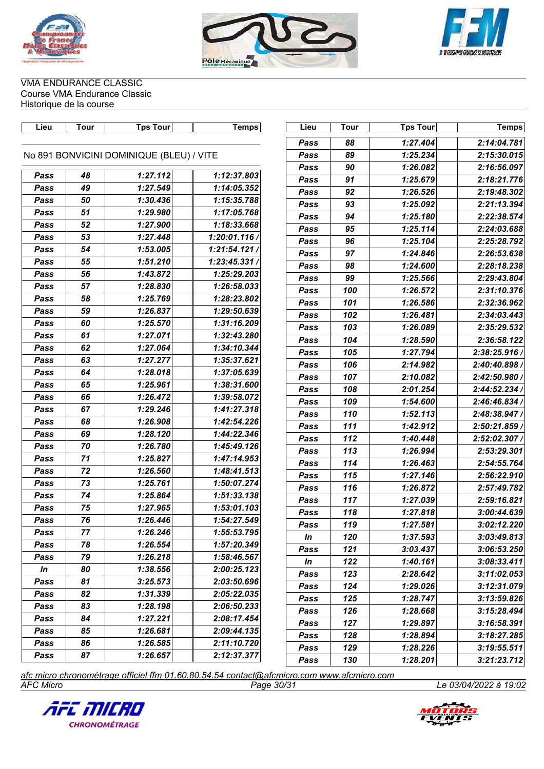





| Lieu | <b>Tour</b> | <b>Tps Tour</b>                          | <b>Temps</b> | Lieu | <b>Tour</b> | <b>Tps Tour</b> | <b>Temps</b> |
|------|-------------|------------------------------------------|--------------|------|-------------|-----------------|--------------|
|      |             |                                          |              | Pass | 88          | 1:27.404        | 2:14:04.781  |
|      |             | No 891 BONVICINI DOMINIQUE (BLEU) / VITE |              | Pass | 89          | 1:25.234        | 2:15:30.015  |
|      |             |                                          |              | Pass | 90          | 1:26.082        | 2:16:56.097  |
| Pass | 48          | 1:27.112                                 | 1:12:37.803  | Pass | 91          | 1:25.679        | 2:18:21.776  |
| Pass | 49          | 1:27.549                                 | 1:14:05.352  | Pass | 92          | 1:26.526        | 2:19:48.302  |
| Pass | 50          | 1:30.436                                 | 1:15:35.788  | Pass | 93          | 1:25.092        | 2:21:13.394  |
| Pass | 51          | 1:29.980                                 | 1:17:05.768  | Pass | 94          | 1:25.180        | 2:22:38.574  |
| Pass | 52          | 1:27.900                                 | 1:18:33.668  | Pass | 95          | 1:25.114        | 2:24:03.688  |
| Pass | 53          | 1:27.448                                 | 1:20:01.116  | Pass | 96          | 1:25.104        | 2:25:28.792  |
| Pass | 54          | 1:53.005                                 | 1:21:54.121/ | Pass | 97          | 1:24.846        | 2:26:53.638  |
| Pass | 55          | 1:51.210                                 | 1:23:45.331  | Pass | 98          | 1:24.600        | 2:28:18.238  |
| Pass | 56          | 1:43.872                                 | 1:25:29.203  | Pass | 99          | 1:25.566        | 2:29:43.804  |
| Pass | 57          | 1:28.830                                 | 1:26:58.033  | Pass | 100         | 1:26.572        | 2:31:10.376  |
| Pass | 58          | 1:25.769                                 | 1:28:23.802  | Pass | 101         | 1:26.586        | 2:32:36.962  |
| Pass | 59          | 1:26.837                                 | 1:29:50.639  | Pass | 102         | 1:26.481        | 2:34:03.443  |
| Pass | 60          | 1:25.570                                 | 1:31:16.209  | Pass | 103         | 1:26.089        | 2:35:29.532  |
| Pass | 61          | 1:27.071                                 | 1:32:43.280  | Pass | 104         | 1:28.590        | 2:36:58.122  |
| Pass | 62          | 1:27.064                                 | 1:34:10.344  | Pass | 105         | 1:27.794        | 2:38:25.916  |
| Pass | 63          | 1:27.277                                 | 1:35:37.621  | Pass | 106         | 2:14.982        | 2:40:40.898  |
| Pass | 64          | 1:28.018                                 | 1:37:05.639  | Pass | 107         | 2:10.082        | 2:42:50.980  |
| Pass | 65          | 1:25.961                                 | 1:38:31.600  | Pass | 108         | 2:01.254        | 2:44:52.234  |
| Pass | 66          | 1:26.472                                 | 1:39:58.072  | Pass | 109         | 1:54.600        | 2:46:46.834  |
| Pass | 67          | 1:29.246                                 | 1:41:27.318  | Pass | 110         | 1:52.113        | 2:48:38.947  |
| Pass | 68          | 1:26.908                                 | 1:42:54.226  | Pass | 111         | 1:42.912        | 2:50:21.859  |
| Pass | 69          | 1:28.120                                 | 1:44:22.346  | Pass | 112         | 1:40.448        | 2:52:02.307  |
| Pass | 70          | 1:26.780                                 | 1:45:49.126  | Pass | 113         | 1:26.994        | 2:53:29.301  |
| Pass | 71          | 1:25.827                                 | 1:47:14.953  | Pass | 114         | 1:26.463        | 2:54:55.764  |
| Pass | 72          | 1:26.560                                 | 1:48:41.513  | Pass | 115         | 1:27.146        | 2:56:22.910  |
| Pass | 73          | 1:25.761                                 | 1:50:07.274  | Pass | 116         | 1:26.872        | 2:57:49.782  |
| Pass | 74          | 1:25.864                                 | 1:51:33.138  | Pass | 117         | 1:27.039        | 2:59:16.821  |
| Pass | 75          | 1:27.965                                 | 1:53:01.103  | Pass | 118         | 1:27.818        | 3:00:44.639  |
| Pass | 76          | 1:26.446                                 | 1:54:27.549  | Pass | 119         | 1:27.581        | 3:02:12.220  |
| Pass | $77 \,$     | 1:26.246                                 | 1:55:53.795  | In   | 120         | 1:37.593        | 3:03:49.813  |
| Pass | 78          | 1:26.554                                 | 1:57:20.349  | Pass | 121         | 3:03.437        | 3:06:53.250  |
| Pass | 79          | 1:26.218                                 | 1:58:46.567  | In   | 122         | 1:40.161        | 3:08:33.411  |
| In   | 80          | 1:38.556                                 | 2:00:25.123  | Pass | 123         | 2:28.642        | 3:11:02.053  |
| Pass | 81          | 3:25.573                                 | 2:03:50.696  | Pass | 124         | 1:29.026        | 3:12:31.079  |
| Pass | 82          | 1:31.339                                 | 2:05:22.035  | Pass | 125         | 1:28.747        | 3:13:59.826  |
| Pass | 83          | 1:28.198                                 | 2:06:50.233  | Pass | 126         | 1:28.668        | 3:15:28.494  |
| Pass | 84          | 1:27.221                                 | 2:08:17.454  | Pass | 127         | 1:29.897        | 3:16:58.391  |
| Pass | 85          | 1:26.681                                 | 2:09:44.135  | Pass | 128         | 1:28.894        | 3:18:27.285  |
| Pass | 86          | 1:26.585                                 | 2:11:10.720  | Pass | 129         | 1:28.226        | 3:19:55.511  |
| Pass | 87          | 1:26.657                                 | 2:12:37.377  | Pass | 130         | 1:28.201        | 3:21:23.712  |

*AFC Micro Page 30/31 Le 03/04/2022 à 19:02 afc micro chronométrage officiel ffm 01.60.80.54.54 contact@afcmicro.com www.afcmicro.com*